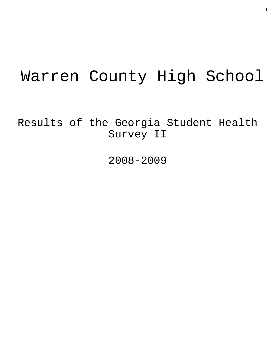# Warren County High School

Results of the Georgia Student Health Survey II

2008-2009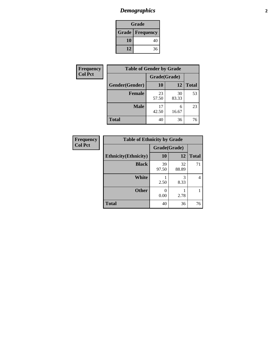# *Demographics* **2**

| Grade                    |    |  |  |  |
|--------------------------|----|--|--|--|
| <b>Grade   Frequency</b> |    |  |  |  |
| 10                       | 40 |  |  |  |
| 12                       | 36 |  |  |  |

| <b>Frequency</b> | <b>Table of Gender by Grade</b> |              |             |              |
|------------------|---------------------------------|--------------|-------------|--------------|
| <b>Col Pct</b>   |                                 | Grade(Grade) |             |              |
|                  | Gender(Gender)                  | 10           | 12          | <b>Total</b> |
|                  | <b>Female</b>                   | 23<br>57.50  | 30<br>83.33 | 53           |
|                  | <b>Male</b>                     | 17<br>42.50  | 6<br>16.67  | 23           |
|                  | <b>Total</b>                    | 40           | 36          | 76           |

| <b>Frequency</b><br>Col Pct |
|-----------------------------|
|-----------------------------|

| <b>Table of Ethnicity by Grade</b> |              |             |              |  |  |  |
|------------------------------------|--------------|-------------|--------------|--|--|--|
|                                    | Grade(Grade) |             |              |  |  |  |
| <b>Ethnicity</b> (Ethnicity)       | 10           | 12          | <b>Total</b> |  |  |  |
| <b>Black</b>                       | 39<br>97.50  | 32<br>88.89 | 71           |  |  |  |
| White                              | 2.50         | 3<br>8.33   |              |  |  |  |
| <b>Other</b>                       | 0.00         | 2.78        |              |  |  |  |
| <b>Total</b>                       | 40           | 36          | 76           |  |  |  |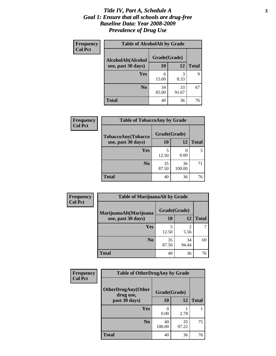### *Title IV, Part A, Schedule A* **3** *Goal 1: Ensure that all schools are drug-free Baseline Data: Year 2008-2009 Prevalence of Drug Use*

| <b>Frequency</b><br><b>Col Pct</b> | <b>Table of AlcoholAlt by Grade</b> |              |             |              |  |  |
|------------------------------------|-------------------------------------|--------------|-------------|--------------|--|--|
|                                    | AlcoholAlt(Alcohol                  | Grade(Grade) |             |              |  |  |
|                                    | use, past 30 days)                  | <b>10</b>    | 12          | <b>Total</b> |  |  |
|                                    | Yes                                 | 6<br>15.00   | 3<br>8.33   | 9            |  |  |
|                                    | N <sub>0</sub>                      | 34<br>85.00  | 33<br>91.67 | 67           |  |  |
|                                    | <b>Total</b>                        | 40           | 36          | 76           |  |  |

| Frequency<br><b>Col Pct</b> | <b>Table of TobaccoAny by Grade</b> |              |              |              |  |  |
|-----------------------------|-------------------------------------|--------------|--------------|--------------|--|--|
|                             | TobaccoAny(Tobacco                  | Grade(Grade) |              |              |  |  |
|                             | use, past 30 days)                  | 10           | 12           | <b>Total</b> |  |  |
|                             | <b>Yes</b>                          | 5<br>12.50   | 0.00         |              |  |  |
|                             | N <sub>0</sub>                      | 35<br>87.50  | 36<br>100.00 | 71           |  |  |
|                             | <b>Total</b>                        | 40           | 36           | 76           |  |  |

| Frequency      | <b>Table of MarijuanaAlt by Grade</b> |              |                        |              |  |
|----------------|---------------------------------------|--------------|------------------------|--------------|--|
| <b>Col Pct</b> | MarijuanaAlt(Marijuana                | Grade(Grade) |                        |              |  |
|                | use, past 30 days)                    | 10           | 12                     | <b>Total</b> |  |
|                | Yes                                   | 5<br>12.50   | $\overline{2}$<br>5.56 |              |  |
|                | N <sub>0</sub>                        | 35<br>87.50  | 34<br>94.44            | 69           |  |
|                | <b>Total</b>                          | 40           | 36                     | 76           |  |

| Frequency<br><b>Col Pct</b> | <b>Table of OtherDrugAny by Grade</b>  |              |             |              |  |
|-----------------------------|----------------------------------------|--------------|-------------|--------------|--|
|                             | <b>OtherDrugAny(Other</b><br>drug use, | Grade(Grade) |             |              |  |
|                             | past 30 days)                          | 10           | <b>12</b>   | <b>Total</b> |  |
|                             | Yes                                    | 0.00         | 2.78        |              |  |
|                             | N <sub>0</sub>                         | 40<br>100.00 | 35<br>97.22 | 75           |  |
|                             | <b>Total</b>                           | 40           | 36          | 76           |  |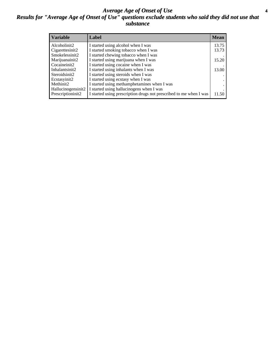### *Average Age of Onset of Use* **4** *Results for "Average Age of Onset of Use" questions exclude students who said they did not use that substance*

| <b>Variable</b>    | Label                                                              | <b>Mean</b> |
|--------------------|--------------------------------------------------------------------|-------------|
| Alcoholinit2       | I started using alcohol when I was                                 | 13.75       |
| Cigarettesinit2    | I started smoking tobacco when I was                               | 13.73       |
| Smokelessinit2     | I started chewing tobacco when I was                               |             |
| Marijuanainit2     | I started using marijuana when I was                               | 15.20       |
| Cocaineinit2       | I started using cocaine when I was                                 |             |
| Inhalantsinit2     | I started using inhalants when I was                               | 13.00       |
| Steroidsinit2      | I started using steroids when I was                                |             |
| Ecstasyinit2       | I started using ecstasy when I was                                 |             |
| Methinit2          | I started using methamphetamines when I was                        |             |
| Hallucinogensinit2 | I started using hallucinogens when I was                           |             |
| Prescriptioninit2  | I started using prescription drugs not prescribed to me when I was | 11.50       |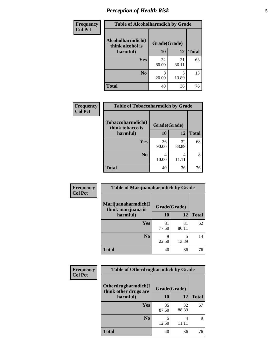# *Perception of Health Risk* **5**

| Frequency      | <b>Table of Alcoholharmdich by Grade</b> |              |             |              |  |
|----------------|------------------------------------------|--------------|-------------|--------------|--|
| <b>Col Pct</b> | Alcoholharmdich(I<br>think alcohol is    | Grade(Grade) |             |              |  |
|                | harmful)                                 | 10           | 12          | <b>Total</b> |  |
|                | <b>Yes</b>                               | 32<br>80.00  | 31<br>86.11 | 63           |  |
|                | N <sub>0</sub>                           | 8<br>20.00   | 13.89       | 13           |  |
|                | <b>Total</b>                             | 40           | 36          | 76           |  |

| Frequency      | <b>Table of Tobaccoharmdich by Grade</b> |              |             |              |
|----------------|------------------------------------------|--------------|-------------|--------------|
| <b>Col Pct</b> | Tobaccoharmdich(I<br>think tobacco is    | Grade(Grade) |             |              |
|                | harmful)                                 | 10           | 12          | <b>Total</b> |
|                | Yes                                      | 36<br>90.00  | 32<br>88.89 | 68           |
|                | N <sub>0</sub>                           | 4<br>10.00   | 4           | 8            |
|                | <b>Total</b>                             | 40           | 36          | 76           |

| Frequency      | <b>Table of Marijuanaharmdich by Grade</b> |              |             |              |  |  |
|----------------|--------------------------------------------|--------------|-------------|--------------|--|--|
| <b>Col Pct</b> | Marijuanaharmdich(I<br>think marijuana is  | Grade(Grade) |             |              |  |  |
|                | harmful)                                   | 10           | 12          | <b>Total</b> |  |  |
|                | Yes                                        | 31<br>77.50  | 31<br>86.11 | 62           |  |  |
|                | N <sub>0</sub>                             | Q<br>22.50   | 5<br>13.89  | 14           |  |  |
|                | <b>Total</b>                               | 40           | 36          | 76           |  |  |

| <b>Frequency</b> | <b>Table of Otherdrugharmdich by Grade</b>           |              |             |              |
|------------------|------------------------------------------------------|--------------|-------------|--------------|
| <b>Col Pct</b>   | <b>Otherdrugharmdich(I)</b><br>think other drugs are | Grade(Grade) |             |              |
|                  | harmful)                                             | <b>10</b>    | 12          | <b>Total</b> |
|                  | <b>Yes</b>                                           | 35<br>87.50  | 32<br>88.89 | 67           |
|                  | N <sub>0</sub>                                       | 12.50        | 4<br>11.11  | 9            |
|                  | <b>Total</b>                                         | 40           | 36          | 76           |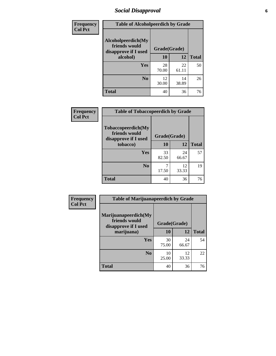# *Social Disapproval* **6**

| <b>Frequency</b> | <b>Table of Alcoholpeerdich by Grade</b>                    |              |             |              |  |
|------------------|-------------------------------------------------------------|--------------|-------------|--------------|--|
| <b>Col Pct</b>   | Alcoholpeerdich(My<br>friends would<br>disapprove if I used | Grade(Grade) |             |              |  |
|                  | alcohol)                                                    | 10           | 12          | <b>Total</b> |  |
|                  | <b>Yes</b>                                                  | 28<br>70.00  | 22<br>61.11 | 50           |  |
|                  | N <sub>0</sub>                                              | 12<br>30.00  | 14<br>38.89 | 26           |  |
|                  | <b>Total</b>                                                | 40           | 36          | 76           |  |

| <b>Frequency</b> |
|------------------|
| <b>Col Pct</b>   |

| <b>Table of Tobaccopeerdich by Grade</b>                    |              |             |              |  |  |
|-------------------------------------------------------------|--------------|-------------|--------------|--|--|
| Tobaccopeerdich(My<br>friends would<br>disapprove if I used | Grade(Grade) |             |              |  |  |
| tobacco)                                                    | 10           | 12          | <b>Total</b> |  |  |
| Yes                                                         | 33<br>82.50  | 24<br>66.67 | 57           |  |  |
| N <sub>0</sub>                                              | 17.50        | 12<br>33.33 | 19           |  |  |
| <b>Total</b>                                                | 40           | 36          | 76           |  |  |

| Frequency      | <b>Table of Marijuanapeerdich by Grade</b>                    |              |             |              |
|----------------|---------------------------------------------------------------|--------------|-------------|--------------|
| <b>Col Pct</b> | Marijuanapeerdich(My<br>friends would<br>disapprove if I used | Grade(Grade) |             |              |
|                | marijuana)                                                    | 10           | 12          | <b>Total</b> |
|                | <b>Yes</b>                                                    | 30<br>75.00  | 24<br>66.67 | 54           |
|                | N <sub>0</sub>                                                | 10<br>25.00  | 12<br>33.33 | 22           |
|                | <b>Total</b>                                                  | 40           | 36          | 76           |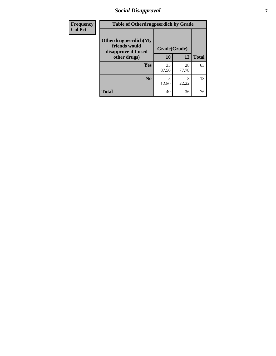# *Social Disapproval* **7**

| Frequency      | <b>Table of Otherdrugpeerdich by Grade</b>                    |              |             |              |
|----------------|---------------------------------------------------------------|--------------|-------------|--------------|
| <b>Col Pct</b> | Otherdrugpeerdich(My<br>friends would<br>disapprove if I used | Grade(Grade) |             |              |
|                | other drugs)                                                  | 10           | 12          | <b>Total</b> |
|                | <b>Yes</b>                                                    | 35<br>87.50  | 28<br>77.78 | 63           |
|                | N <sub>0</sub>                                                | 5<br>12.50   | 8<br>22.22  | 13           |
|                | <b>Total</b>                                                  | 40           | 36          | 76           |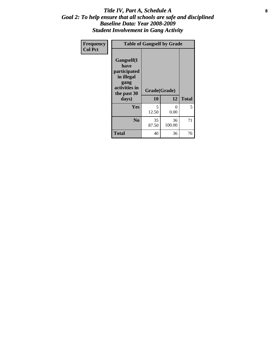### Title IV, Part A, Schedule A **8** *Goal 2: To help ensure that all schools are safe and disciplined Baseline Data: Year 2008-2009 Student Involvement in Gang Activity*

| Frequency      | <b>Table of Gangself by Grade</b>                                                                 |                    |                  |              |  |
|----------------|---------------------------------------------------------------------------------------------------|--------------------|------------------|--------------|--|
| <b>Col Pct</b> | Gangself(I<br>have<br>participated<br>in illegal<br>gang<br>activities in<br>the past 30<br>days) | Grade(Grade)<br>10 | 12               | <b>Total</b> |  |
|                | Yes                                                                                               | 5<br>12.50         | $\theta$<br>0.00 | 5            |  |
|                | N <sub>0</sub>                                                                                    | 35<br>87.50        | 36<br>100.00     | 71           |  |
|                | <b>Total</b>                                                                                      | 40                 | 36               | 76           |  |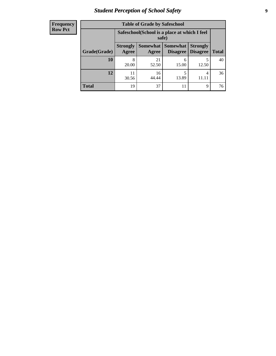# *Student Perception of School Safety* **9**

| <b>Frequency</b><br>Row Pct |
|-----------------------------|
|                             |

| <b>Table of Grade by Safeschool</b> |                          |                                                        |                                    |                                    |              |
|-------------------------------------|--------------------------|--------------------------------------------------------|------------------------------------|------------------------------------|--------------|
|                                     |                          | Safeschool (School is a place at which I feel<br>safe) |                                    |                                    |              |
| Grade(Grade)                        | <b>Strongly</b><br>Agree | Somewhat<br>Agree                                      | <b>Somewhat</b><br><b>Disagree</b> | <b>Strongly</b><br><b>Disagree</b> | <b>Total</b> |
| 10                                  | 8<br>20.00               | 21<br>52.50                                            | 6<br>15.00                         | 5<br>12.50                         | 40           |
| 12                                  | 30.56                    | 16<br>44.44                                            | 5<br>13.89                         | 4                                  | 36           |
| Total                               | 19                       | 37                                                     | 11                                 | 9                                  | 76           |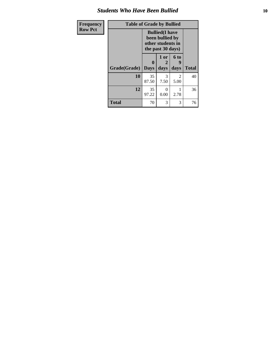### *Students Who Have Been Bullied* **10**

| Frequency      | <b>Table of Grade by Bullied</b> |             |                                                                                     |                   |              |
|----------------|----------------------------------|-------------|-------------------------------------------------------------------------------------|-------------------|--------------|
| <b>Row Pct</b> |                                  |             | <b>Bullied</b> (I have<br>been bullied by<br>other students in<br>the past 30 days) |                   |              |
|                | Grade(Grade)   Days              | 0           | 1 or<br>2<br>days                                                                   | 6 to<br>9<br>days | <b>Total</b> |
|                | 10                               | 35<br>87.50 | 3<br>7.50                                                                           | 2<br>5.00         | 40           |
|                | 12                               | 35<br>97.22 | 0<br>0.00                                                                           | 2.78              | 36           |
|                | <b>Total</b>                     | 70          | 3                                                                                   | 3                 | 76           |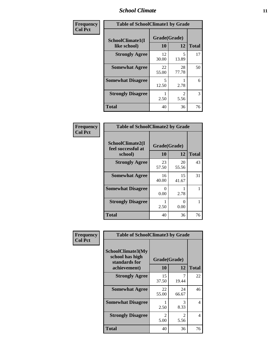### *School Climate* **11**

| Frequency      | <b>Table of SchoolClimate1 by Grade</b> |                    |                        |              |  |
|----------------|-----------------------------------------|--------------------|------------------------|--------------|--|
| <b>Col Pct</b> | SchoolClimate1(I<br>like school)        | Grade(Grade)<br>10 | 12                     | <b>Total</b> |  |
|                | <b>Strongly Agree</b>                   | 12<br>30.00        | 5<br>13.89             | 17           |  |
|                | <b>Somewhat Agree</b>                   | 22<br>55.00        | 28<br>77.78            | 50           |  |
|                | <b>Somewhat Disagree</b>                | 5<br>12.50         | 2.78                   | 6            |  |
|                | <b>Strongly Disagree</b>                | 2.50               | $\mathfrak{D}$<br>5.56 | 3            |  |
|                | <b>Total</b>                            | 40                 | 36                     | 76           |  |

| <b>Frequency</b> |
|------------------|
| <b>Col Pct</b>   |

| <b>Table of SchoolClimate2 by Grade</b>           |                    |             |              |  |  |
|---------------------------------------------------|--------------------|-------------|--------------|--|--|
| SchoolClimate2(I<br>feel successful at<br>school) | Grade(Grade)<br>10 | 12          | <b>Total</b> |  |  |
| <b>Strongly Agree</b>                             | 23<br>57.50        | 20<br>55.56 | 43           |  |  |
| <b>Somewhat Agree</b>                             | 16<br>40.00        | 15<br>41.67 | 31           |  |  |
| <b>Somewhat Disagree</b>                          | 0.00               | 2.78        | 1            |  |  |
| <b>Strongly Disagree</b>                          | 2.50               | 0.00        | 1            |  |  |
| <b>Total</b>                                      | 40                 | 36          | 76           |  |  |

| Frequency      | <b>Table of SchoolClimate3 by Grade</b>                      |                        |             |              |  |
|----------------|--------------------------------------------------------------|------------------------|-------------|--------------|--|
| <b>Col Pct</b> | <b>SchoolClimate3(My</b><br>school has high<br>standards for | Grade(Grade)           |             |              |  |
|                | achievement)                                                 | 10                     | 12          | <b>Total</b> |  |
|                | <b>Strongly Agree</b>                                        | 15<br>37.50            | 7<br>19.44  | 22           |  |
|                | <b>Somewhat Agree</b>                                        | 22<br>55.00            | 24<br>66.67 | 46           |  |
|                | <b>Somewhat Disagree</b>                                     | 2.50                   | 3<br>8.33   | 4            |  |
|                | <b>Strongly Disagree</b>                                     | $\mathfrak{D}$<br>5.00 | 2<br>5.56   | 4            |  |
|                | Total                                                        | 40                     | 36          | 76           |  |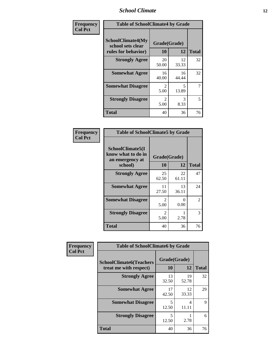### *School Climate* **12**

| Frequency      | <b>Table of SchoolClimate4 by Grade</b>                       |                                     |             |              |
|----------------|---------------------------------------------------------------|-------------------------------------|-------------|--------------|
| <b>Col Pct</b> | SchoolClimate4(My<br>school sets clear<br>rules for behavior) | Grade(Grade)<br>10                  | 12          | <b>Total</b> |
|                | <b>Strongly Agree</b>                                         | 20<br>50.00                         | 12<br>33.33 | 32           |
|                | <b>Somewhat Agree</b>                                         | 16<br>40.00                         | 16<br>44.44 | 32           |
|                | <b>Somewhat Disagree</b>                                      | $\mathfrak{D}$<br>5.00              | 5<br>13.89  | 7            |
|                | <b>Strongly Disagree</b>                                      | $\mathcal{D}_{\mathcal{L}}$<br>5.00 | 3<br>8.33   | 5            |
|                | <b>Total</b>                                                  | 40                                  | 36          | 76           |

| <b>Table of SchoolClimate5 by Grade</b>                              |                        |              |               |  |  |
|----------------------------------------------------------------------|------------------------|--------------|---------------|--|--|
| SchoolClimate5(I<br>know what to do in<br>an emergency at<br>school) | Grade(Grade)<br>10     | <b>Total</b> |               |  |  |
| <b>Strongly Agree</b>                                                | 25<br>62.50            | 22<br>61.11  | 47            |  |  |
| <b>Somewhat Agree</b>                                                | 11<br>27.50            | 13<br>36.11  | 24            |  |  |
| <b>Somewhat Disagree</b>                                             | $\mathfrak{D}$<br>5.00 | 0<br>0.00    | $\mathcal{L}$ |  |  |
| <b>Strongly Disagree</b>                                             | 2<br>5.00              | 2.78         | 3             |  |  |
| <b>Total</b>                                                         | 40                     | 36           | 76            |  |  |

| Frequency      | <b>Table of SchoolClimate6 by Grade</b>                  |                    |             |              |
|----------------|----------------------------------------------------------|--------------------|-------------|--------------|
| <b>Col Pct</b> | <b>SchoolClimate6(Teachers</b><br>treat me with respect) | Grade(Grade)<br>10 | 12          | <b>Total</b> |
|                | <b>Strongly Agree</b>                                    | 13<br>32.50        | 19<br>52.78 | 32           |
|                | <b>Somewhat Agree</b>                                    | 17<br>42.50        | 12<br>33.33 | 29           |
|                | <b>Somewhat Disagree</b>                                 | 5<br>12.50         | 4<br>11.11  | 9            |
|                | <b>Strongly Disagree</b>                                 | 5<br>12.50         | 2.78        | 6            |
|                | <b>Total</b>                                             | 40                 | 36          | 76           |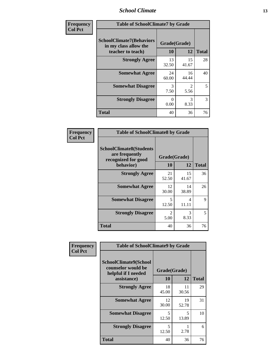### *School Climate* **13**

| Frequency      | <b>Table of SchoolClimate7 by Grade</b>                                       |                           |                        |              |
|----------------|-------------------------------------------------------------------------------|---------------------------|------------------------|--------------|
| <b>Col Pct</b> | <b>SchoolClimate7(Behaviors</b><br>in my class allow the<br>teacher to teach) | Grade(Grade)<br><b>10</b> | 12                     | <b>Total</b> |
|                | <b>Strongly Agree</b>                                                         | 13<br>32.50               | 15<br>41.67            | 28           |
|                | <b>Somewhat Agree</b>                                                         | 24<br>60.00               | 16<br>44.44            | 40           |
|                | <b>Somewhat Disagree</b>                                                      | 3<br>7.50                 | $\overline{2}$<br>5.56 | 5            |
|                | <b>Strongly Disagree</b>                                                      | $\Omega$<br>0.00          | 3<br>8.33              | 3            |
|                | <b>Total</b>                                                                  | 40                        | 36                     | 76           |

| Frequency      | <b>Table of SchoolClimate8 by Grade</b>                                 |                        |             |              |
|----------------|-------------------------------------------------------------------------|------------------------|-------------|--------------|
| <b>Col Pct</b> | <b>SchoolClimate8(Students</b><br>are frequently<br>recognized for good | Grade(Grade)           |             |              |
|                | behavior)                                                               | 10                     | 12          | <b>Total</b> |
|                | <b>Strongly Agree</b>                                                   | 21<br>52.50            | 15<br>41.67 | 36           |
|                | <b>Somewhat Agree</b>                                                   | 12<br>30.00            | 14<br>38.89 | 26           |
|                | <b>Somewhat Disagree</b>                                                | 5<br>12.50             | 4<br>11.11  | 9            |
|                | <b>Strongly Disagree</b>                                                | $\mathfrak{D}$<br>5.00 | 3<br>8.33   | 5            |
|                | <b>Total</b>                                                            | 40                     | 36          | 76           |

| Frequency      | <b>Table of SchoolClimate9 by Grade</b>                                           |                    |             |              |
|----------------|-----------------------------------------------------------------------------------|--------------------|-------------|--------------|
| <b>Col Pct</b> | SchoolClimate9(School<br>counselor would be<br>helpful if I needed<br>assistance) | Grade(Grade)<br>10 | 12          | <b>Total</b> |
|                | <b>Strongly Agree</b>                                                             | 18<br>45.00        | 11<br>30.56 | 29           |
|                | <b>Somewhat Agree</b>                                                             | 12<br>30.00        | 19<br>52.78 | 31           |
|                | <b>Somewhat Disagree</b>                                                          | 5<br>12.50         | 5<br>13.89  | 10           |
|                | <b>Strongly Disagree</b>                                                          | 5<br>12.50         | 2.78        | 6            |
|                | Total                                                                             | 40                 | 36          | 76           |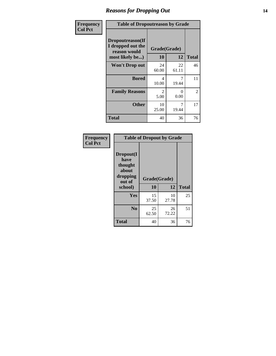### *Reasons for Dropping Out* **14**

| Frequency      | <b>Table of Dropoutreason by Grade</b>                                   |                        |             |                |
|----------------|--------------------------------------------------------------------------|------------------------|-------------|----------------|
| <b>Col Pct</b> | Dropoutreason(If<br>I dropped out the<br>reason would<br>most likely be) | Grade(Grade)<br>10     | 12          | <b>Total</b>   |
|                | <b>Won't Drop out</b>                                                    | 24<br>60.00            | 22<br>61.11 | 46             |
|                | <b>Bored</b>                                                             | 4<br>10.00             | 19.44       | 11             |
|                | <b>Family Reasons</b>                                                    | $\mathfrak{D}$<br>5.00 | 0<br>0.00   | $\overline{2}$ |
|                | <b>Other</b>                                                             | 10<br>25.00            | 7<br>19.44  | 17             |
|                | <b>Total</b>                                                             | 40                     | 36          | 76             |

| Frequency<br><b>Col Pct</b> | <b>Table of Dropout by Grade</b>                                       |                    |             |              |
|-----------------------------|------------------------------------------------------------------------|--------------------|-------------|--------------|
|                             | Dropout(I<br>have<br>thought<br>about<br>dropping<br>out of<br>school) | Grade(Grade)<br>10 | 12          | <b>Total</b> |
|                             | Yes                                                                    | 15<br>37.50        | 10<br>27.78 | 25           |
|                             | N <sub>0</sub>                                                         | 25<br>62.50        | 26<br>72.22 | 51           |
|                             | <b>Total</b>                                                           | 40                 | 36          | 76           |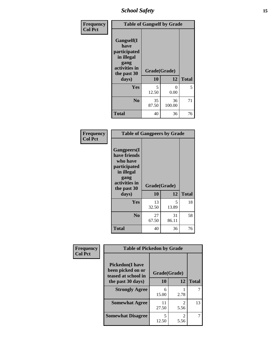*School Safety* **15**

| Frequency      |                                                                                                   | <b>Table of Gangself by Grade</b> |              |              |
|----------------|---------------------------------------------------------------------------------------------------|-----------------------------------|--------------|--------------|
| <b>Col Pct</b> | Gangself(I<br>have<br>participated<br>in illegal<br>gang<br>activities in<br>the past 30<br>days) | Grade(Grade)<br>10<br>12          |              | <b>Total</b> |
|                |                                                                                                   |                                   |              |              |
|                | Yes                                                                                               | 5<br>12.50                        | 0<br>0.00    | 5            |
|                | N <sub>o</sub>                                                                                    | 35<br>87.50                       | 36<br>100.00 | 71           |
|                | Total                                                                                             | 40                                | 36           | 76           |

| Frequency<br><b>Col Pct</b> | <b>Table of Gangpeers by Grade</b>                                                                                     |                    |             |              |
|-----------------------------|------------------------------------------------------------------------------------------------------------------------|--------------------|-------------|--------------|
|                             | Gangpeers(I<br>have friends<br>who have<br>participated<br>in illegal<br>gang<br>activities in<br>the past 30<br>days) | Grade(Grade)<br>10 | 12          | <b>Total</b> |
|                             | <b>Yes</b>                                                                                                             | 13<br>32.50        | 5<br>13.89  | 18           |
|                             | N <sub>0</sub>                                                                                                         | 27<br>67.50        | 31<br>86.11 | 58           |
|                             | <b>Total</b>                                                                                                           | 40                 | 36          | 76           |

| Frequency      | <b>Table of Pickedon by Grade</b>                                   |              |           |              |
|----------------|---------------------------------------------------------------------|--------------|-----------|--------------|
| <b>Col Pct</b> | <b>Pickedon</b> (I have<br>been picked on or<br>teased at school in | Grade(Grade) |           |              |
|                | the past 30 days)                                                   | 10           | 12        | <b>Total</b> |
|                | <b>Strongly Agree</b>                                               | 6<br>15.00   | 2.78      |              |
|                | <b>Somewhat Agree</b>                                               | 11<br>27.50  | 2<br>5.56 | 13           |
|                | <b>Somewhat Disagree</b>                                            | 5<br>12.50   | 2<br>5.56 |              |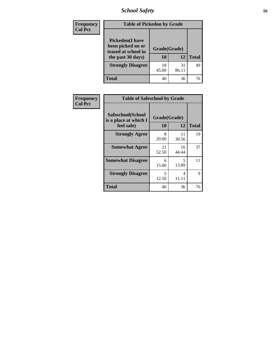# *School Safety* **16**

| <b>Frequency</b> | <b>Table of Pickedon by Grade</b>                                                        |                    |             |              |
|------------------|------------------------------------------------------------------------------------------|--------------------|-------------|--------------|
| <b>Col Pct</b>   | <b>Pickedon</b> (I have<br>been picked on or<br>teased at school in<br>the past 30 days) | Grade(Grade)<br>10 | 12          | <b>Total</b> |
|                  | <b>Strongly Disagree</b>                                                                 | 18<br>45.00        | 31<br>86.11 | 49           |
|                  | Total                                                                                    | 40                 | 36          | 76           |

| Frequency      | <b>Table of Safeschool by Grade</b>                      |                    |             |              |  |  |
|----------------|----------------------------------------------------------|--------------------|-------------|--------------|--|--|
| <b>Col Pct</b> | Safeschool(School<br>is a place at which I<br>feel safe) | Grade(Grade)<br>10 | 12          | <b>Total</b> |  |  |
|                | <b>Strongly Agree</b>                                    | 8<br>20.00         | 11<br>30.56 | 19           |  |  |
|                | <b>Somewhat Agree</b>                                    | 21<br>52.50        | 16<br>44.44 | 37           |  |  |
|                | <b>Somewhat Disagree</b>                                 | 6<br>15.00         | 5<br>13.89  | 11           |  |  |
|                | <b>Strongly Disagree</b>                                 | 5<br>12.50         | 4<br>11.11  | 9            |  |  |
|                | <b>Total</b>                                             | 40                 | 36          | 76           |  |  |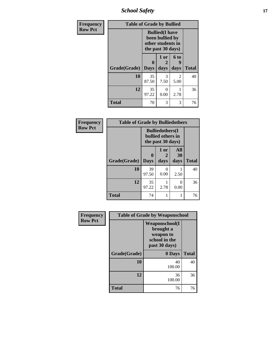*School Safety* **17**

| Frequency      | <b>Table of Grade by Bullied</b> |                  |                                                                                     |                              |              |  |  |  |
|----------------|----------------------------------|------------------|-------------------------------------------------------------------------------------|------------------------------|--------------|--|--|--|
| <b>Row Pct</b> |                                  |                  | <b>Bullied</b> (I have<br>been bullied by<br>other students in<br>the past 30 days) |                              |              |  |  |  |
|                | Grade(Grade)                     | 0<br><b>Days</b> | 1 or<br>2<br>days                                                                   | 6 <sub>to</sub><br>9<br>days | <b>Total</b> |  |  |  |
|                | 10                               | 35<br>87.50      | 3<br>7.50                                                                           | 2<br>5.00                    | 40           |  |  |  |
|                | 12                               | 35<br>97.22      | $\theta$<br>0.00                                                                    | 2.78                         | 36           |  |  |  |
|                | <b>Total</b>                     | 70               | 3                                                                                   | 3                            | 76           |  |  |  |

| Frequency      | <b>Table of Grade by Bulliedothers</b> |                                                                   |              |                   |              |  |
|----------------|----------------------------------------|-------------------------------------------------------------------|--------------|-------------------|--------------|--|
| <b>Row Pct</b> |                                        | <b>Bulliedothers</b> (I<br>bullied others in<br>the past 30 days) |              |                   |              |  |
|                | Grade(Grade)                           | 0<br><b>Days</b>                                                  | 1 or<br>days | All<br>30<br>days | <b>Total</b> |  |
|                | 10                                     | 39<br>97.50                                                       | 0<br>0.00    | 2.50              | 40           |  |
|                | 12                                     | 35<br>97.22                                                       | 2.78         | 0<br>0.00         | 36           |  |
|                | <b>Total</b>                           | 74                                                                |              | 1                 | 76           |  |

| Frequency      |              | <b>Table of Grade by Weaponschool</b>                                              |              |
|----------------|--------------|------------------------------------------------------------------------------------|--------------|
| <b>Row Pct</b> |              | <b>Weaponschool</b> (I<br>brought a<br>weapon to<br>school in the<br>past 30 days) |              |
|                | Grade(Grade) | 0 Days                                                                             | <b>Total</b> |
|                | 10           | 40<br>100.00                                                                       | 40           |
|                | 12           | 36<br>100.00                                                                       | 36           |
|                | <b>Total</b> | 76                                                                                 | 76           |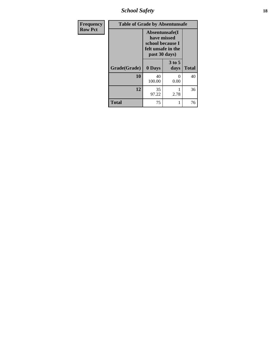*School Safety* **18**

| <b>Frequency</b> | <b>Table of Grade by Absentunsafe</b> |                                                                                           |                  |              |  |
|------------------|---------------------------------------|-------------------------------------------------------------------------------------------|------------------|--------------|--|
| <b>Row Pct</b>   |                                       | Absentunsafe(I)<br>have missed<br>school because I<br>felt unsafe in the<br>past 30 days) |                  |              |  |
|                  | Grade(Grade)                          | 0 Days                                                                                    | $3$ to 5<br>days | <b>Total</b> |  |
|                  | 10                                    | 40<br>100.00                                                                              | 0<br>0.00        | 40           |  |
|                  | 12                                    | 35<br>97.22                                                                               | 2.78             | 36           |  |
|                  | <b>Total</b>                          | 75                                                                                        | 1                | 76           |  |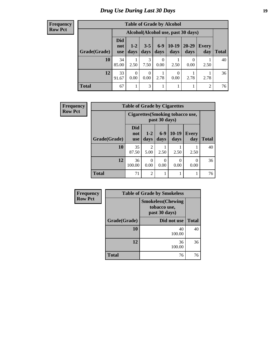# *Drug Use During Last 30 Days* **19**

#### **Frequency Row Pct**

| <b>Table of Grade by Alcohol</b> |                                 |                                    |                  |               |                  |               |                     |              |
|----------------------------------|---------------------------------|------------------------------------|------------------|---------------|------------------|---------------|---------------------|--------------|
|                                  |                                 | Alcohol(Alcohol use, past 30 days) |                  |               |                  |               |                     |              |
| Grade(Grade)                     | <b>Did</b><br>not<br><b>use</b> | $1 - 2$<br>days                    | $3 - 5$<br>days  | $6-9$<br>days | $10-19$<br>days  | 20-29<br>days | <b>Every</b><br>day | <b>Total</b> |
| 10                               | 34<br>85.00                     | 2.50                               | 3<br>7.50        | 0<br>0.00     | 2.50             | 0.00          | 2.50                | 40           |
| 12                               | 33<br>91.67                     | $\Omega$<br>0.00                   | $\Omega$<br>0.00 | 2.78          | $\theta$<br>0.00 | 2.78          | 2.78                | 36           |
| <b>Total</b>                     | 67                              |                                    | 3                | 1             |                  |               | 2                   | 76           |

| <b>Frequency</b> | <b>Table of Grade by Cigarettes</b> |                                                   |                |               |                  |              |              |
|------------------|-------------------------------------|---------------------------------------------------|----------------|---------------|------------------|--------------|--------------|
| <b>Row Pct</b>   |                                     | Cigarettes (Smoking tobacco use,<br>past 30 days) |                |               |                  |              |              |
|                  | Grade(Grade)                        | Did<br>not<br><b>use</b>                          | $1-2$<br>days  | $6-9$<br>days | $10-19$<br>days  | Every<br>day | <b>Total</b> |
|                  | 10                                  | 35<br>87.50                                       | 2<br>5.00      | 2.50          | 2.50             | 2.50         | 40           |
|                  | 12                                  | 36<br>100.00                                      | 0<br>0.00      | 0<br>0.00     | $\Omega$<br>0.00 | 0<br>0.00    | 36           |
|                  | <b>Total</b>                        | 71                                                | $\overline{2}$ | 1             |                  |              | 76           |

| Frequency      | <b>Table of Grade by Smokeless</b> |                                                           |              |  |  |
|----------------|------------------------------------|-----------------------------------------------------------|--------------|--|--|
| <b>Row Pct</b> |                                    | <b>Smokeless(Chewing</b><br>tobacco use,<br>past 30 days) |              |  |  |
|                | Grade(Grade)                       | Did not use                                               | <b>Total</b> |  |  |
|                | 10                                 | 40<br>100.00                                              | 40           |  |  |
|                | 12                                 | 36<br>100.00                                              | 36           |  |  |
|                | <b>Total</b>                       | 76                                                        | 76           |  |  |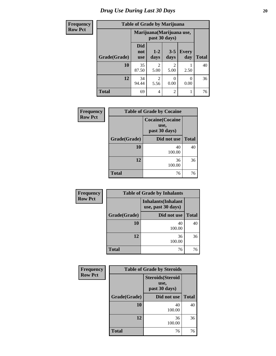# *Drug Use During Last 30 Days* 20

#### **Frequency Row Pct**

# **Table of Grade by Marijuana**

| ıcy | Table of Grade by Marijuana |                                 |                        |                 |                     |              |  |
|-----|-----------------------------|---------------------------------|------------------------|-----------------|---------------------|--------------|--|
| t   |                             | Marijuana (Marijuana use,       |                        |                 |                     |              |  |
|     | Grade(Grade)                | <b>Did</b><br>not<br><b>use</b> | $1 - 2$<br>days        | $3 - 5$<br>days | <b>Every</b><br>day | <b>Total</b> |  |
|     | 10                          | 35<br>87.50                     | 2<br>5.00              | 2<br>5.00       | 2.50                | 40           |  |
|     | 12                          | 34<br>94.44                     | $\overline{2}$<br>5.56 | 0.00            | 0<br>0.00           | 36           |  |
|     | <b>Total</b>                | 69                              | 4                      | 2               | 1                   | 76           |  |

| Frequency      | <b>Table of Grade by Cocaine</b> |                                                  |              |  |  |  |
|----------------|----------------------------------|--------------------------------------------------|--------------|--|--|--|
| <b>Row Pct</b> |                                  | <b>Cocaine</b> (Cocaine<br>use,<br>past 30 days) |              |  |  |  |
|                | Grade(Grade)                     | Did not use                                      | <b>Total</b> |  |  |  |
|                | 10                               | 40<br>100.00                                     | 40           |  |  |  |
|                | 12                               | 36<br>100.00                                     | 36           |  |  |  |
|                | <b>Total</b>                     | 76                                               | 76           |  |  |  |

| Frequency      | <b>Table of Grade by Inhalants</b> |              |              |  |  |
|----------------|------------------------------------|--------------|--------------|--|--|
| <b>Row Pct</b> |                                    |              |              |  |  |
|                | Grade(Grade)                       | Did not use  | <b>Total</b> |  |  |
|                | 10                                 | 40<br>100.00 | 40           |  |  |
|                | 12                                 | 36<br>100.00 | 36           |  |  |
|                | <b>Total</b>                       | 76           | 76           |  |  |

| Frequency      | <b>Table of Grade by Steroids</b>                 |              |              |  |  |
|----------------|---------------------------------------------------|--------------|--------------|--|--|
| <b>Row Pct</b> | <b>Steroids</b> (Steroid<br>use,<br>past 30 days) |              |              |  |  |
|                | Grade(Grade)                                      | Did not use  | <b>Total</b> |  |  |
|                | 10                                                | 40<br>100.00 | 40           |  |  |
|                | 12                                                | 36<br>100.00 | 36           |  |  |
|                | <b>Total</b>                                      | 76           | 76           |  |  |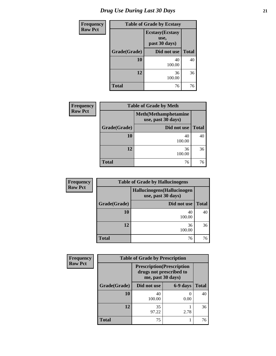# *Drug Use During Last 30 Days* **21**

| <b>Frequency</b> | <b>Table of Grade by Ecstasy</b> |                                                  |              |  |  |
|------------------|----------------------------------|--------------------------------------------------|--------------|--|--|
| <b>Row Pct</b>   |                                  | <b>Ecstasy</b> (Ecstasy<br>use,<br>past 30 days) |              |  |  |
|                  | Grade(Grade)                     | Did not use                                      | <b>Total</b> |  |  |
|                  | 10                               | 40<br>100.00                                     | 40           |  |  |
|                  | 12                               | 36<br>100.00                                     | 36           |  |  |
|                  | <b>Total</b>                     | 76                                               | 76           |  |  |

| <b>Frequency</b> | <b>Table of Grade by Meth</b><br><b>Meth</b> (Methamphetamine<br>use, past 30 days) |              |              |  |  |
|------------------|-------------------------------------------------------------------------------------|--------------|--------------|--|--|
| <b>Row Pct</b>   |                                                                                     |              |              |  |  |
|                  | Grade(Grade)                                                                        | Did not use  | <b>Total</b> |  |  |
|                  | 10                                                                                  | 40<br>100.00 | 40           |  |  |
|                  | 12                                                                                  | 36<br>100.00 | 36           |  |  |
|                  | <b>Total</b>                                                                        | 76           | 76           |  |  |

| Frequency                                                           |              | <b>Table of Grade by Hallucinogens</b> |              |  |  |
|---------------------------------------------------------------------|--------------|----------------------------------------|--------------|--|--|
| <b>Row Pct</b><br>Hallucinogens (Hallucinogen<br>use, past 30 days) |              |                                        |              |  |  |
|                                                                     | Grade(Grade) | Did not use                            | <b>Total</b> |  |  |
|                                                                     | 10           | 40<br>100.00                           | 40           |  |  |
|                                                                     | 12           | 36<br>100.00                           | 36           |  |  |
|                                                                     | <b>Total</b> | 76                                     | 76           |  |  |

| <b>Frequency</b> | <b>Table of Grade by Prescription</b> |                                                                                   |          |              |
|------------------|---------------------------------------|-----------------------------------------------------------------------------------|----------|--------------|
| <b>Row Pct</b>   |                                       | <b>Prescription</b> (Prescription<br>drugs not prescribed to<br>me, past 30 days) |          |              |
|                  | Grade(Grade)                          | Did not use                                                                       | 6-9 days | <b>Total</b> |
|                  | 10                                    | 40<br>100.00                                                                      | 0.00     | 40           |
|                  | 12                                    | 35<br>97.22                                                                       | 2.78     | 36           |
|                  | <b>Total</b>                          | 75                                                                                |          | 76           |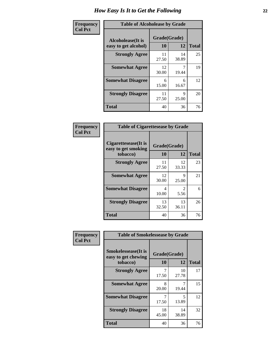| Frequency      | <b>Table of Alcoholease by Grade</b>              |                    |             |              |  |
|----------------|---------------------------------------------------|--------------------|-------------|--------------|--|
| <b>Col Pct</b> | <b>Alcoholease</b> (It is<br>easy to get alcohol) | Grade(Grade)<br>10 | 12          | <b>Total</b> |  |
|                | <b>Strongly Agree</b>                             | 11<br>27.50        | 14<br>38.89 | 25           |  |
|                | <b>Somewhat Agree</b>                             | 12<br>30.00        | 19.44       | 19           |  |
|                | <b>Somewhat Disagree</b>                          | 6<br>15.00         | 6<br>16.67  | 12           |  |
|                | <b>Strongly Disagree</b>                          | 11<br>27.50        | 9<br>25.00  | 20           |  |
|                | <b>Total</b>                                      | 40                 | 36          | 76           |  |

| Frequency      | <b>Table of Cigarettesease by Grade</b>                 |                           |                                     |              |
|----------------|---------------------------------------------------------|---------------------------|-------------------------------------|--------------|
| <b>Col Pct</b> | Cigarettesease(It is<br>easy to get smoking<br>tobacco) | Grade(Grade)<br><b>10</b> | 12                                  | <b>Total</b> |
|                | <b>Strongly Agree</b>                                   | 11<br>27.50               | 12<br>33.33                         | 23           |
|                | <b>Somewhat Agree</b>                                   | 12<br>30.00               | Q<br>25.00                          | 21           |
|                | <b>Somewhat Disagree</b>                                | 4<br>10.00                | $\mathcal{D}_{\mathcal{L}}$<br>5.56 | 6            |
|                | <b>Strongly Disagree</b>                                | 13<br>32.50               | 13<br>36.11                         | 26           |
|                | <b>Total</b>                                            | 40                        | 36                                  | 76           |

| Frequency      | <b>Table of Smokelessease by Grade</b>             |              |             |              |  |
|----------------|----------------------------------------------------|--------------|-------------|--------------|--|
| <b>Col Pct</b> | <b>Smokelessease</b> (It is<br>easy to get chewing | Grade(Grade) |             |              |  |
|                | tobacco)                                           | 10           | 12          | <b>Total</b> |  |
|                | <b>Strongly Agree</b>                              | 17.50        | 10<br>27.78 | 17           |  |
|                | <b>Somewhat Agree</b>                              | 8<br>20.00   | 19.44       | 15           |  |
|                | <b>Somewhat Disagree</b>                           | 17.50        | 5<br>13.89  | 12           |  |
|                | <b>Strongly Disagree</b>                           | 18<br>45.00  | 14<br>38.89 | 32           |  |
|                | <b>Total</b>                                       | 40           | 36          | 76           |  |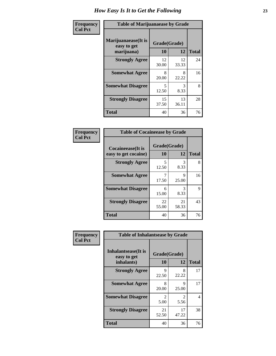| Frequency      | <b>Table of Marijuanaease by Grade</b>           |                    |             |              |
|----------------|--------------------------------------------------|--------------------|-------------|--------------|
| <b>Col Pct</b> | Marijuanaease(It is<br>easy to get<br>marijuana) | Grade(Grade)<br>10 | 12          | <b>Total</b> |
|                | <b>Strongly Agree</b>                            | 12<br>30.00        | 12<br>33.33 | 24           |
|                | <b>Somewhat Agree</b>                            | 8<br>20.00         | 8<br>22.22  | 16           |
|                | <b>Somewhat Disagree</b>                         | 5<br>12.50         | 3<br>8.33   | 8            |
|                | <b>Strongly Disagree</b>                         | 15<br>37.50        | 13<br>36.11 | 28           |
|                | <b>Total</b>                                     | 40                 | 36          | 76           |

| <b>Table of Cocaineease by Grade</b>              |                          |             |                   |  |  |
|---------------------------------------------------|--------------------------|-------------|-------------------|--|--|
| <b>Cocaineease</b> (It is<br>easy to get cocaine) | Grade(Grade)<br>12<br>10 |             |                   |  |  |
| <b>Strongly Agree</b>                             | 5<br>12.50               | 3<br>8.33   | <b>Total</b><br>8 |  |  |
| <b>Somewhat Agree</b>                             | 17.50                    | 9<br>25.00  | 16                |  |  |
| <b>Somewhat Disagree</b>                          | 6<br>15.00               | 3<br>8.33   | 9                 |  |  |
| <b>Strongly Disagree</b>                          | 22<br>55.00              | 21<br>58.33 | 43                |  |  |
| <b>Total</b>                                      | 40                       | 36          | 76                |  |  |

| Frequency      | <b>Table of Inhalantsease by Grade</b>                   |                        |                        |              |
|----------------|----------------------------------------------------------|------------------------|------------------------|--------------|
| <b>Col Pct</b> | <b>Inhalantsease</b> (It is<br>easy to get<br>inhalants) | Grade(Grade)<br>10     | 12                     | <b>Total</b> |
|                | <b>Strongly Agree</b>                                    | 9<br>22.50             | 8<br>22.22             | 17           |
|                | <b>Somewhat Agree</b>                                    | 8<br>20.00             | 9<br>25.00             | 17           |
|                | <b>Somewhat Disagree</b>                                 | $\mathfrak{D}$<br>5.00 | $\mathfrak{D}$<br>5.56 | 4            |
|                | <b>Strongly Disagree</b>                                 | 21<br>52.50            | 17<br>47.22            | 38           |
|                | <b>Total</b>                                             | 40                     | 36                     | 76           |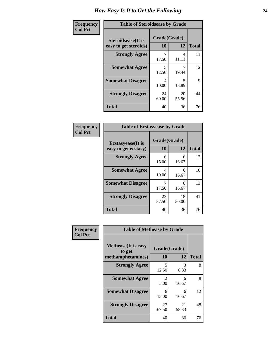| Frequency      | <b>Table of Steroidsease by Grade</b>               |                    |             |              |  |  |  |
|----------------|-----------------------------------------------------|--------------------|-------------|--------------|--|--|--|
| <b>Col Pct</b> | <b>Steroidsease</b> (It is<br>easy to get steroids) | Grade(Grade)<br>10 | 12          | <b>Total</b> |  |  |  |
|                | <b>Strongly Agree</b>                               | 17.50              | 4<br>11.11  | 11           |  |  |  |
|                | <b>Somewhat Agree</b>                               | 5<br>12.50         | 19.44       | 12           |  |  |  |
|                | <b>Somewhat Disagree</b>                            | 4<br>10.00         | 5<br>13.89  | 9            |  |  |  |
|                | <b>Strongly Disagree</b>                            | 24<br>60.00        | 20<br>55.56 | 44           |  |  |  |
|                | <b>Total</b>                                        | 40                 | 36          | 76           |  |  |  |

| Frequency      | <b>Table of Ecstasyease by Grade</b>              |                    |             |              |
|----------------|---------------------------------------------------|--------------------|-------------|--------------|
| <b>Col Pct</b> | <b>Ecstasyease</b> (It is<br>easy to get ecstasy) | Grade(Grade)<br>10 | 12          | <b>Total</b> |
|                | <b>Strongly Agree</b>                             | 6<br>15.00         | 6<br>16.67  | 12           |
|                | <b>Somewhat Agree</b>                             | 4<br>10.00         | 6<br>16.67  | 10           |
|                | <b>Somewhat Disagree</b>                          | 7<br>17.50         | 6<br>16.67  | 13           |
|                | <b>Strongly Disagree</b>                          | 23<br>57.50        | 18<br>50.00 | 41           |
|                | <b>Total</b>                                      | 40                 | 36          | 76           |

| <b>Frequency</b> | <b>Table of Methease by Grade</b>                          |                                     |             |              |
|------------------|------------------------------------------------------------|-------------------------------------|-------------|--------------|
| <b>Col Pct</b>   | <b>Methease</b> (It is easy<br>to get<br>methamphetamines) | Grade(Grade)<br>10                  | 12          | <b>Total</b> |
|                  | <b>Strongly Agree</b>                                      | 5<br>12.50                          | 3<br>8.33   | 8            |
|                  | <b>Somewhat Agree</b>                                      | $\mathcal{D}_{\mathcal{L}}$<br>5.00 | 6<br>16.67  | 8            |
|                  | <b>Somewhat Disagree</b>                                   | 6<br>15.00                          | 6<br>16.67  | 12           |
|                  | <b>Strongly Disagree</b>                                   | 27<br>67.50                         | 21<br>58.33 | 48           |
|                  | <b>Total</b>                                               | 40                                  | 36          | 76           |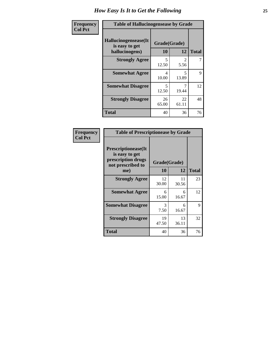| <b>Frequency</b> | <b>Table of Hallucinogensease by Grade</b>               |                                   |                       |              |  |  |
|------------------|----------------------------------------------------------|-----------------------------------|-----------------------|--------------|--|--|
| <b>Col Pct</b>   | Hallucinogensease(It<br>is easy to get<br>hallucinogens) | Grade(Grade)<br>10                | 12                    | <b>Total</b> |  |  |
|                  | <b>Strongly Agree</b>                                    | $\overline{\phantom{0}}$<br>12.50 | $\mathcal{L}$<br>5.56 | 7            |  |  |
|                  | <b>Somewhat Agree</b>                                    | 4<br>10.00                        | 5<br>13.89            | 9            |  |  |
|                  | <b>Somewhat Disagree</b>                                 | 5<br>12.50                        | 7<br>19.44            | 12           |  |  |
|                  | <b>Strongly Disagree</b>                                 | 26<br>65.00                       | 22<br>61.11           | 48           |  |  |
|                  | <b>Total</b>                                             | 40                                | 36                    | 76           |  |  |

| Frequency<br>  Col Pct |
|------------------------|
|                        |

| <b>Table of Prescriptionease by Grade</b>                                                |              |             |              |  |  |
|------------------------------------------------------------------------------------------|--------------|-------------|--------------|--|--|
| <b>Prescriptionease</b> (It<br>is easy to get<br>prescription drugs<br>not prescribed to | Grade(Grade) |             |              |  |  |
| me)                                                                                      | 10           | 12          | <b>Total</b> |  |  |
| <b>Strongly Agree</b>                                                                    | 12<br>30.00  | 11<br>30.56 | 23           |  |  |
| <b>Somewhat Agree</b>                                                                    | 6<br>15.00   | 6<br>16.67  | 12           |  |  |
| <b>Somewhat Disagree</b>                                                                 | 3<br>7.50    | 6<br>16.67  | 9            |  |  |
| <b>Strongly Disagree</b>                                                                 | 19<br>47.50  | 13<br>36.11 | 32           |  |  |
| <b>Total</b>                                                                             | 40           | 36          | 76           |  |  |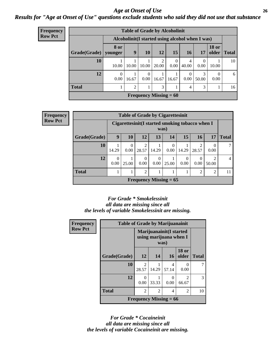### *Age at Onset of Use* **26** *Results for "Age at Onset of Use" questions exclude students who said they did not use that substance*

| <b>Frequency</b> | <b>Table of Grade by Alcoholinit</b> |                          |                                                  |                  |                          |           |                  |                  |                       |              |
|------------------|--------------------------------------|--------------------------|--------------------------------------------------|------------------|--------------------------|-----------|------------------|------------------|-----------------------|--------------|
| <b>Row Pct</b>   |                                      |                          | Alcoholinit (I started using alcohol when I was) |                  |                          |           |                  |                  |                       |              |
|                  | Grade(Grade)                         | 8 or<br>younger          | 9                                                | <b>10</b>        | 12                       | 15        | 16               | 17               | <b>18 or</b><br>older | <b>Total</b> |
|                  | <b>10</b>                            | 10.00                    | 10.00                                            | 10.00            | 2<br>20.00               | 0<br>0.00 | 4<br>40.00       | $\Omega$<br>0.00 | 10.00                 | 10           |
|                  | 12                                   | $\boldsymbol{0}$<br>0.00 | 16.67                                            | $\Omega$<br>0.00 | 16.67                    | 16.67     | $\Omega$<br>0.00 | 3<br>50.00       | $\Omega$<br>0.00      | 6            |
|                  | <b>Total</b>                         |                          | 2                                                |                  | 3                        |           | $\overline{4}$   | 3                |                       | 16           |
|                  |                                      |                          |                                                  |                  | Frequency Missing $= 60$ |           |                  |                  |                       |              |

| Frequency      | <b>Table of Grade by Cigarettesinit</b>                  |                  |                  |                         |                  |                          |                  |                |                |              |
|----------------|----------------------------------------------------------|------------------|------------------|-------------------------|------------------|--------------------------|------------------|----------------|----------------|--------------|
| <b>Row Pct</b> | Cigarettesinit (I started smoking tobacco when I<br>was) |                  |                  |                         |                  |                          |                  |                |                |              |
|                | Grade(Grade)                                             | 9                | 10               | 12                      | 13               | 14                       | 15               | 16             | 17             | <b>Total</b> |
|                | 10                                                       | 14.29            | $\theta$<br>0.00 | $\overline{2}$<br>28.57 | 14.29            | $\Omega$<br>0.00         | 14.29            | 28.57          | 0.00           |              |
|                | 12                                                       | $\Omega$<br>0.00 | 25.00            | $\Omega$<br>0.00        | $\Omega$<br>0.00 | 25.00                    | $\Omega$<br>0.00 | O<br>0.00      | 50.00          | 4            |
|                | <b>Total</b>                                             |                  |                  | $\overline{2}$          |                  |                          |                  | $\overline{2}$ | $\mathfrak{D}$ | 11           |
|                |                                                          |                  |                  |                         |                  | Frequency Missing $= 65$ |                  |                |                |              |

### *For Grade \* Smokelessinit all data are missing since all the levels of variable Smokelessinit are missing.*

| <b>Frequency</b> | <b>Table of Grade by Marijuanainit</b> |                                                            |                          |                  |                         |              |  |  |
|------------------|----------------------------------------|------------------------------------------------------------|--------------------------|------------------|-------------------------|--------------|--|--|
| <b>Row Pct</b>   |                                        | Marijuanainit (I started<br>using marijuana when I<br>was) |                          |                  |                         |              |  |  |
|                  | Grade(Grade)                           | 12                                                         | 14                       | 16               | <b>18 or</b><br>older   | <b>Total</b> |  |  |
|                  | 10                                     | $\mathfrak{D}$<br>28.57                                    | 14.29                    | 4<br>57.14       | $\Omega$<br>0.00        |              |  |  |
|                  | 12                                     | 0<br>0.00                                                  | 33.33                    | $\Omega$<br>0.00 | $\mathfrak{D}$<br>66.67 | 3            |  |  |
|                  | <b>Total</b>                           | 2                                                          | 2                        | 4                | 2                       | 10           |  |  |
|                  |                                        |                                                            | Frequency Missing $= 66$ |                  |                         |              |  |  |

*For Grade \* Cocaineinit all data are missing since all the levels of variable Cocaineinit are missing.*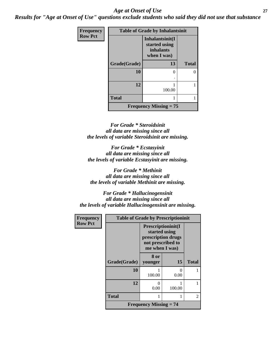### *Age at Onset of Use* **27**

*Results for "Age at Onset of Use" questions exclude students who said they did not use that substance*

| Frequency      |              | <b>Table of Grade by Inhalantsinit</b>                              |              |
|----------------|--------------|---------------------------------------------------------------------|--------------|
| <b>Row Pct</b> |              | Inhalantsinit(I<br>started using<br><i>inhalants</i><br>when I was) |              |
|                | Grade(Grade) | 13                                                                  | <b>Total</b> |
|                | 10           |                                                                     | 0            |
|                | 12           | 100.00                                                              |              |
|                | <b>Total</b> |                                                                     |              |
|                |              | <b>Frequency Missing <math>= 75</math></b>                          |              |

*For Grade \* Steroidsinit all data are missing since all the levels of variable Steroidsinit are missing.*

*For Grade \* Ecstasyinit all data are missing since all the levels of variable Ecstasyinit are missing.*

*For Grade \* Methinit all data are missing since all the levels of variable Methinit are missing.*

*For Grade \* Hallucinogensinit all data are missing since all the levels of variable Hallucinogensinit are missing.*

| Frequency      | <b>Table of Grade by Prescriptioninit</b> |                                                                                                         |                           |              |  |  |  |  |
|----------------|-------------------------------------------|---------------------------------------------------------------------------------------------------------|---------------------------|--------------|--|--|--|--|
| <b>Row Pct</b> |                                           | <b>Prescriptioninit(I</b><br>started using<br>prescription drugs<br>not prescribed to<br>me when I was) |                           |              |  |  |  |  |
|                | Grade(Grade)                              | 8 or<br>younger                                                                                         | 15                        | <b>Total</b> |  |  |  |  |
|                | 10                                        | 100.00                                                                                                  | $\mathbf{\Omega}$<br>0.00 |              |  |  |  |  |
|                | 12                                        | 0<br>0.00                                                                                               | 100.00                    |              |  |  |  |  |
|                | <b>Total</b>                              |                                                                                                         |                           | 2            |  |  |  |  |
|                |                                           | <b>Frequency Missing <math>= 74</math></b>                                                              |                           |              |  |  |  |  |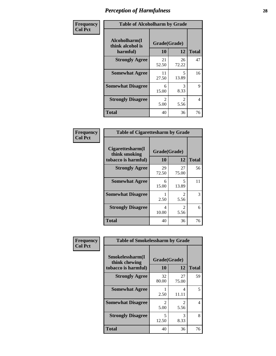| Frequency      | <b>Table of Alcoholharm by Grade</b>          |                        |                        |              |  |  |
|----------------|-----------------------------------------------|------------------------|------------------------|--------------|--|--|
| <b>Col Pct</b> | Alcoholharm(I<br>think alcohol is<br>harmful) | Grade(Grade)<br>10     | 12                     | <b>Total</b> |  |  |
|                | <b>Strongly Agree</b>                         | 21<br>52.50            | 26<br>72.22            | 47           |  |  |
|                | <b>Somewhat Agree</b>                         | 11<br>27.50            | 5<br>13.89             | 16           |  |  |
|                | <b>Somewhat Disagree</b>                      | 6<br>15.00             | 3<br>8.33              | 9            |  |  |
|                | <b>Strongly Disagree</b>                      | $\mathfrak{D}$<br>5.00 | $\mathfrak{D}$<br>5.56 | 4            |  |  |
|                | <b>Total</b>                                  | 40                     | 36                     | 76           |  |  |

| <b>Table of Cigarettesharm by Grade</b>                  |                    |                               |              |  |  |
|----------------------------------------------------------|--------------------|-------------------------------|--------------|--|--|
| Cigarettesharm(I<br>think smoking<br>tobacco is harmful) | Grade(Grade)<br>10 | 12                            | <b>Total</b> |  |  |
| <b>Strongly Agree</b>                                    | 29<br>72.50        | 27<br>75.00                   | 56           |  |  |
| <b>Somewhat Agree</b>                                    | 6<br>15.00         | 5<br>13.89                    | 11           |  |  |
| <b>Somewhat Disagree</b>                                 | 2.50               | $\mathfrak{D}$<br>5.56        | 3            |  |  |
| <b>Strongly Disagree</b>                                 | 4<br>10.00         | $\mathcal{D}_{\cdot}$<br>5.56 | 6            |  |  |
| <b>Total</b>                                             | 40                 | 36                            | 76           |  |  |

| Frequency      | <b>Table of Smokelessharm by Grade</b>                  |                           |                        |              |  |
|----------------|---------------------------------------------------------|---------------------------|------------------------|--------------|--|
| <b>Col Pct</b> | Smokelessharm(I<br>think chewing<br>tobacco is harmful) | Grade(Grade)<br><b>10</b> | 12                     | <b>Total</b> |  |
|                | <b>Strongly Agree</b>                                   | 32<br>80.00               | 27<br>75.00            | 59           |  |
|                | <b>Somewhat Agree</b>                                   | 2.50                      | 4<br>11.11             | 5            |  |
|                | <b>Somewhat Disagree</b>                                | 2<br>5.00                 | $\mathfrak{D}$<br>5.56 | 4            |  |
|                | <b>Strongly Disagree</b>                                | 5<br>12.50                | 3<br>8.33              | 8            |  |
|                | <b>Total</b>                                            | 40                        | 36                     | 76           |  |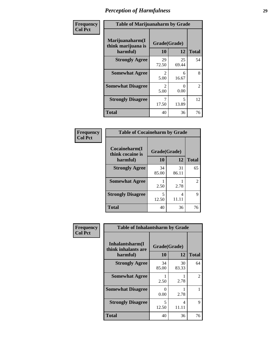| Frequency      | <b>Table of Marijuanaharm by Grade</b>            |                        |                                   |                |
|----------------|---------------------------------------------------|------------------------|-----------------------------------|----------------|
| <b>Col Pct</b> | Marijuanaharm(I<br>think marijuana is<br>harmful) | Grade(Grade)<br>10     | 12                                | <b>Total</b>   |
|                | <b>Strongly Agree</b>                             | 29<br>72.50            | 25<br>69.44                       | 54             |
|                | <b>Somewhat Agree</b>                             | $\mathfrak{D}$<br>5.00 | 6<br>16.67                        | 8              |
|                | <b>Somewhat Disagree</b>                          | 2<br>5.00              | $\mathbf{\Omega}$<br>0.00         | $\overline{2}$ |
|                | <b>Strongly Disagree</b>                          | 7<br>17.50             | $\overline{\phantom{0}}$<br>13.89 | 12             |
|                | <b>Total</b>                                      | 40                     | 36                                | 76             |

| <b>Table of Cocaineharm by Grade</b> |              |             |              |  |  |  |
|--------------------------------------|--------------|-------------|--------------|--|--|--|
| Cocaineharm(I<br>think cocaine is    | Grade(Grade) |             |              |  |  |  |
| harmful)                             | 10           | 12          | <b>Total</b> |  |  |  |
| <b>Strongly Agree</b>                | 34<br>85.00  | 31<br>86.11 | 65           |  |  |  |
| <b>Somewhat Agree</b>                | 2.50         | 2.78        | 2            |  |  |  |
| <b>Strongly Disagree</b>             | 5<br>12.50   | 4<br>11.11  | 9            |  |  |  |
| <b>Total</b>                         | 40           | 36          | 76           |  |  |  |

| Frequency      | <b>Table of Inhalantsharm by Grade</b>              |                    |             |               |  |
|----------------|-----------------------------------------------------|--------------------|-------------|---------------|--|
| <b>Col Pct</b> | Inhalantsharm(I)<br>think inhalants are<br>harmful) | Grade(Grade)<br>10 | 12          | <b>Total</b>  |  |
|                | <b>Strongly Agree</b>                               | 34<br>85.00        | 30<br>83.33 | 64            |  |
|                | <b>Somewhat Agree</b>                               | 2.50               | 2.78        | $\mathcal{L}$ |  |
|                | <b>Somewhat Disagree</b>                            | 0.00               | 2.78        |               |  |
|                | <b>Strongly Disagree</b>                            | 5<br>12.50         | 4<br>11.11  | 9             |  |
|                | <b>Total</b>                                        | 40                 | 36          | 76            |  |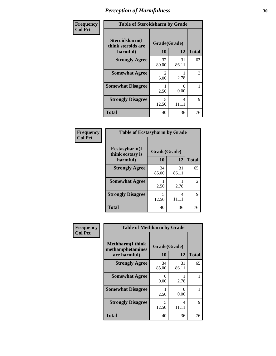| Frequency      | <b>Table of Steroidsharm by Grade</b>            |                                   |             |              |
|----------------|--------------------------------------------------|-----------------------------------|-------------|--------------|
| <b>Col Pct</b> | Steroidsharm(I<br>think steroids are<br>harmful) | Grade(Grade)<br>10                | 12          | <b>Total</b> |
|                | <b>Strongly Agree</b>                            | 32<br>80.00                       | 31<br>86.11 | 63           |
|                | <b>Somewhat Agree</b>                            | $\mathcal{L}$<br>5.00             | 2.78        | 3            |
|                | <b>Somewhat Disagree</b>                         | 2.50                              | 0<br>0.00   |              |
|                | <b>Strongly Disagree</b>                         | $\overline{\mathcal{L}}$<br>12.50 | 4<br>11.11  | 9            |
|                | <b>Total</b>                                     | 40                                | 36          | 76           |

| <b>Table of Ecstasyharm by Grade</b> |              |             |                |  |  |
|--------------------------------------|--------------|-------------|----------------|--|--|
| Ecstasyharm(I<br>think ecstasy is    | Grade(Grade) |             |                |  |  |
| harmful)                             | 10           | 12          | <b>Total</b>   |  |  |
| <b>Strongly Agree</b>                | 34<br>85.00  | 31<br>86.11 | 65             |  |  |
| <b>Somewhat Agree</b>                | 2.50         | 2.78        | $\overline{c}$ |  |  |
| <b>Strongly Disagree</b>             | 5<br>12.50   | 4<br>11.11  | 9              |  |  |
| <b>Total</b>                         | 40           | 36          | 76             |  |  |

| Frequency      | <b>Table of Methharm by Grade</b>                            |                    |                           |              |
|----------------|--------------------------------------------------------------|--------------------|---------------------------|--------------|
| <b>Col Pct</b> | <b>Methharm</b> (I think<br>methamphetamines<br>are harmful) | Grade(Grade)<br>10 | 12                        | <b>Total</b> |
|                | <b>Strongly Agree</b>                                        | 34<br>85.00        | 31<br>86.11               | 65           |
|                | <b>Somewhat Agree</b>                                        | 0<br>0.00          | 2.78                      |              |
|                | <b>Somewhat Disagree</b>                                     | 2.50               | $\mathbf{\Omega}$<br>0.00 |              |
|                | <b>Strongly Disagree</b>                                     | 5<br>12.50         | 4<br>11.11                | 9            |
|                | <b>Total</b>                                                 | 40                 | 36                        | 76           |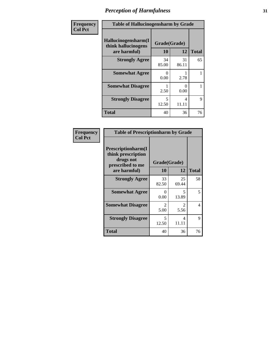| Frequency      | <b>Table of Hallucinogensharm by Grade</b>                 |                    |             |              |
|----------------|------------------------------------------------------------|--------------------|-------------|--------------|
| <b>Col Pct</b> | Hallucinogensharm(I<br>think hallucinogens<br>are harmful) | Grade(Grade)<br>10 | 12          | <b>Total</b> |
|                | <b>Strongly Agree</b>                                      | 34<br>85.00        | 31<br>86.11 | 65           |
|                | <b>Somewhat Agree</b>                                      | 0<br>0.00          | 2.78        | 1            |
|                | <b>Somewhat Disagree</b>                                   | 2.50               | 0<br>0.00   | 1            |
|                | <b>Strongly Disagree</b>                                   | 5<br>12.50         | 4<br>11.11  | 9            |
|                | <b>Total</b>                                               | 40                 | 36          | 76           |

| <b>Table of Prescriptionharm by Grade</b>                                         |                        |                               |              |  |
|-----------------------------------------------------------------------------------|------------------------|-------------------------------|--------------|--|
| <b>Prescriptionharm(I)</b><br>think prescription<br>drugs not<br>prescribed to me | Grade(Grade)           |                               |              |  |
| are harmful)                                                                      | 10                     | 12                            | <b>Total</b> |  |
| <b>Strongly Agree</b>                                                             | 33<br>82.50            | 25<br>69.44                   | 58           |  |
| <b>Somewhat Agree</b>                                                             | $\mathbf{0}$<br>0.00   | 5<br>13.89                    | 5            |  |
| <b>Somewhat Disagree</b>                                                          | $\mathfrak{D}$<br>5.00 | $\mathcal{D}_{\cdot}$<br>5.56 | 4            |  |
| <b>Strongly Disagree</b>                                                          | 5<br>12.50             | 4<br>11.11                    | 9            |  |
| <b>Total</b>                                                                      | 40                     | 36                            | 76           |  |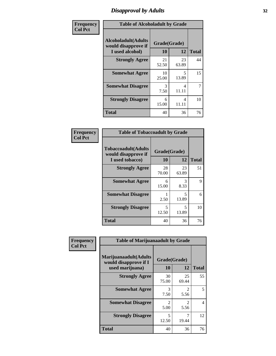# *Disapproval by Adults* **32**

| Frequency      | <b>Table of Alcoholadult by Grade</b>                                 |                    |             |              |
|----------------|-----------------------------------------------------------------------|--------------------|-------------|--------------|
| <b>Col Pct</b> | <b>Alcoholadult</b> (Adults<br>would disapprove if<br>I used alcohol) | Grade(Grade)<br>10 | 12          | <b>Total</b> |
|                | <b>Strongly Agree</b>                                                 | 21<br>52.50        | 23<br>63.89 | 44           |
|                | <b>Somewhat Agree</b>                                                 | 10<br>25.00        | 5<br>13.89  | 15           |
|                | <b>Somewhat Disagree</b>                                              | 3<br>7.50          | 4<br>11.11  | 7            |
|                | <b>Strongly Disagree</b>                                              | 6<br>15.00         | 4<br>11.11  | 10           |
|                | <b>Total</b>                                                          | 40                 | 36          | 76           |

| <b>Table of Tobaccoadult by Grade</b>                                 |                    |             |              |  |  |
|-----------------------------------------------------------------------|--------------------|-------------|--------------|--|--|
| <b>Tobaccoadult</b> (Adults<br>would disapprove if<br>I used tobacco) | Grade(Grade)<br>10 | 12          | <b>Total</b> |  |  |
| <b>Strongly Agree</b>                                                 | 28<br>70.00        | 23<br>63.89 | 51           |  |  |
| <b>Somewhat Agree</b>                                                 | 6<br>15.00         | 3<br>8.33   | 9            |  |  |
| <b>Somewhat Disagree</b>                                              | 2.50               | 5<br>13.89  | 6            |  |  |
| <b>Strongly Disagree</b>                                              | 5<br>12.50         | 5<br>13.89  | 10           |  |  |
| <b>Total</b>                                                          | 40                 | 36          | 76           |  |  |

| Frequency      | <b>Table of Marijuanaadult by Grade</b>                           |                        |                        |              |
|----------------|-------------------------------------------------------------------|------------------------|------------------------|--------------|
| <b>Col Pct</b> | Marijuanaadult(Adults<br>would disapprove if I<br>used marijuana) | Grade(Grade)<br>10     | 12                     | <b>Total</b> |
|                | <b>Strongly Agree</b>                                             | 30<br>75.00            | 25<br>69.44            | 55           |
|                | <b>Somewhat Agree</b>                                             | 3<br>7.50              | $\overline{2}$<br>5.56 | 5            |
|                | <b>Somewhat Disagree</b>                                          | $\mathfrak{D}$<br>5.00 | $\mathfrak{D}$<br>5.56 | 4            |
|                | <b>Strongly Disagree</b>                                          | 5<br>12.50             | 7<br>19.44             | 12           |
|                | <b>Total</b>                                                      | 40                     | 36                     | 76           |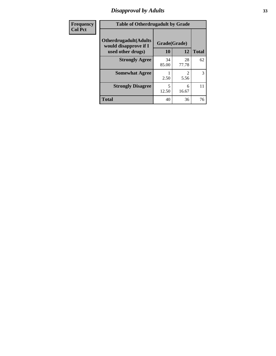# *Disapproval by Adults* **33**

| Frequency      | <b>Table of Otherdrugadult by Grade</b>                                     |                    |                        |              |
|----------------|-----------------------------------------------------------------------------|--------------------|------------------------|--------------|
| <b>Col Pct</b> | <b>Otherdrugadult</b> (Adults<br>would disapprove if I<br>used other drugs) | Grade(Grade)<br>10 | 12                     | <b>Total</b> |
|                | <b>Strongly Agree</b>                                                       | 34<br>85.00        | 28<br>77.78            | 62           |
|                | <b>Somewhat Agree</b>                                                       | 2.50               | $\mathfrak{D}$<br>5.56 | 3            |
|                | <b>Strongly Disagree</b>                                                    | 5<br>12.50         | 6<br>16.67             | 11           |
|                | <b>Total</b>                                                                | 40                 | 36                     | 76           |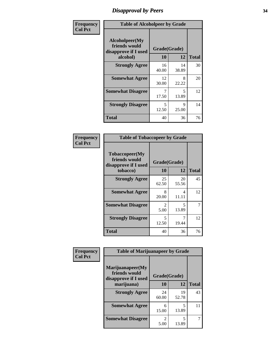# *Disapproval by Peers* **34**

| Frequency      | <b>Table of Alcoholpeer by Grade</b>                    |              |             |              |
|----------------|---------------------------------------------------------|--------------|-------------|--------------|
| <b>Col Pct</b> | Alcoholpeer(My<br>friends would<br>disapprove if I used | Grade(Grade) |             |              |
|                | alcohol)                                                | 10           | 12          | <b>Total</b> |
|                | <b>Strongly Agree</b>                                   | 16<br>40.00  | 14<br>38.89 | 30           |
|                | <b>Somewhat Agree</b>                                   | 12<br>30.00  | 8<br>22.22  | 20           |
|                | <b>Somewhat Disagree</b>                                | 7<br>17.50   | 5<br>13.89  | 12           |
|                | <b>Strongly Disagree</b>                                | 5<br>12.50   | 9<br>25.00  | 14           |
|                | Total                                                   | 40           | 36          | 76           |

| Frequency      | <b>Table of Tobaccopeer by Grade</b>                    |                        |                                   |              |
|----------------|---------------------------------------------------------|------------------------|-----------------------------------|--------------|
| <b>Col Pct</b> | Tobaccopeer(My<br>friends would<br>disapprove if I used | Grade(Grade)           |                                   |              |
|                | tobacco)                                                | 10                     | 12                                | <b>Total</b> |
|                | <b>Strongly Agree</b>                                   | 25<br>62.50            | 20<br>55.56                       | 45           |
|                | <b>Somewhat Agree</b>                                   | 8<br>20.00             | 4<br>11.11                        | 12           |
|                | <b>Somewhat Disagree</b>                                | $\mathfrak{D}$<br>5.00 | $\overline{\mathcal{L}}$<br>13.89 | 7            |
|                | <b>Strongly Disagree</b>                                | 5<br>12.50             | 19.44                             | 12           |
|                | Total                                                   | 40                     | 36                                | 76           |

| Frequency      | <b>Table of Marijuanapeer by Grade</b>                    |                                     |             |              |
|----------------|-----------------------------------------------------------|-------------------------------------|-------------|--------------|
| <b>Col Pct</b> | Marijuanapeer(My<br>friends would<br>disapprove if I used | Grade(Grade)                        |             |              |
|                | marijuana)                                                | 10                                  | 12          | <b>Total</b> |
|                | <b>Strongly Agree</b>                                     | 24<br>60.00                         | 19<br>52.78 | 43           |
|                | <b>Somewhat Agree</b>                                     | 6<br>15.00                          | 5<br>13.89  | 11           |
|                | <b>Somewhat Disagree</b>                                  | $\mathcal{D}_{\mathcal{L}}$<br>5.00 | 5<br>13.89  |              |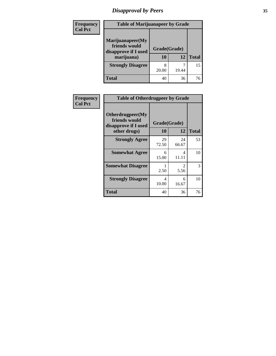# *Disapproval by Peers* **35**

| Frequency<br><b>Col Pct</b> | <b>Table of Marijuanapeer by Grade</b>                                  |                    |       |              |
|-----------------------------|-------------------------------------------------------------------------|--------------------|-------|--------------|
|                             | Marijuanapeer(My<br>friends would<br>disapprove if I used<br>marijuana) | Grade(Grade)<br>10 | 12    | <b>Total</b> |
|                             | <b>Strongly Disagree</b>                                                | 8<br>20.00         | 19.44 | 15           |
|                             | Total                                                                   | 40                 | 36    | 76           |

| Frequency      | <b>Table of Otherdrugpeer by Grade</b>                                    |                    |             |              |
|----------------|---------------------------------------------------------------------------|--------------------|-------------|--------------|
| <b>Col Pct</b> | Otherdrugpeer(My<br>friends would<br>disapprove if I used<br>other drugs) | Grade(Grade)<br>10 | 12          | <b>Total</b> |
|                | <b>Strongly Agree</b>                                                     | 29<br>72.50        | 24<br>66.67 | 53           |
|                | <b>Somewhat Agree</b>                                                     | 6<br>15.00         | 4<br>11.11  | 10           |
|                | <b>Somewhat Disagree</b>                                                  | 2.50               | 2<br>5.56   | 3            |
|                | <b>Strongly Disagree</b>                                                  | 4<br>10.00         | 6<br>16.67  | 10           |
|                | Total                                                                     | 40                 | 36          | 76           |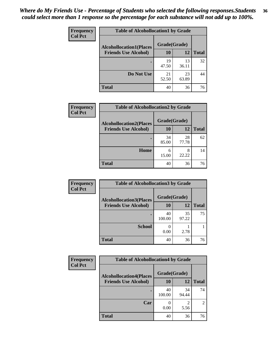#### *Where do My Friends Use - Percentage of Students who selected the following responses.Students could select more than 1 response so the percentage for each substance will not add up to 100%.* **36**

| <b>Frequency</b><br><b>Col Pct</b> | <b>Table of Alcohollocation1 by Grade</b><br>Grade(Grade)<br><b>Alcohollocation1(Places</b> |             |             |              |  |
|------------------------------------|---------------------------------------------------------------------------------------------|-------------|-------------|--------------|--|
|                                    |                                                                                             |             |             |              |  |
|                                    | <b>Friends Use Alcohol)</b>                                                                 | 10          | 12          | <b>Total</b> |  |
|                                    |                                                                                             | 19<br>47.50 | 13<br>36.11 | 32           |  |
|                                    | Do Not Use                                                                                  | 21<br>52.50 | 23<br>63.89 | 44           |  |
|                                    | <b>Total</b>                                                                                | 40          | 36          | 76           |  |

| <b>Frequency</b> | <b>Table of Alcohollocation2 by Grade</b>                     |                           |             |              |
|------------------|---------------------------------------------------------------|---------------------------|-------------|--------------|
| <b>Col Pct</b>   | <b>Alcohollocation2(Places</b><br><b>Friends Use Alcohol)</b> | Grade(Grade)<br><b>10</b> | 12          | <b>Total</b> |
|                  |                                                               | 34<br>85.00               | 28<br>77.78 | 62           |
|                  | Home                                                          | 6<br>15.00                | 8<br>22.22  | 14           |
|                  | <b>Total</b>                                                  | 40                        | 36          | 76           |

| Frequency<br><b>Col Pct</b> | <b>Table of Alcohollocation 3 by Grade</b> |                    |             |              |
|-----------------------------|--------------------------------------------|--------------------|-------------|--------------|
|                             | <b>Alcohollocation3(Places</b>             | Grade(Grade)<br>10 |             |              |
|                             | <b>Friends Use Alcohol)</b>                |                    | 12          | <b>Total</b> |
|                             |                                            | 40<br>100.00       | 35<br>97.22 | 75           |
|                             | <b>School</b>                              | 0.00               | 2.78        |              |
|                             | <b>Total</b>                               | 40                 | 36          | 76           |

| Frequency      | <b>Table of Alcohollocation4 by Grade</b> |              |                        |                |  |
|----------------|-------------------------------------------|--------------|------------------------|----------------|--|
| <b>Col Pct</b> | <b>Alcohollocation4(Places</b>            | Grade(Grade) |                        |                |  |
|                | <b>Friends Use Alcohol)</b>               | 10           | 12                     | <b>Total</b>   |  |
|                |                                           | 40<br>100.00 | 34<br>94.44            | 74             |  |
|                | Car                                       | 0.00         | $\mathfrak{D}$<br>5.56 | $\overline{2}$ |  |
|                | <b>Total</b>                              | 40           | 36                     | 76             |  |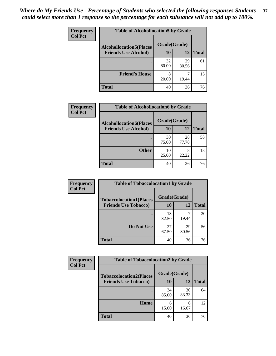| Frequency<br><b>Col Pct</b> | <b>Table of Alcohollocation5 by Grade</b>      |             |             |              |  |
|-----------------------------|------------------------------------------------|-------------|-------------|--------------|--|
|                             | Grade(Grade)<br><b>Alcohollocation5(Places</b> |             |             |              |  |
|                             | <b>Friends Use Alcohol)</b>                    | 10          | 12          | <b>Total</b> |  |
|                             |                                                | 32<br>80.00 | 29<br>80.56 | 61           |  |
|                             | <b>Friend's House</b>                          | 8<br>20.00  | 19.44       | 15           |  |
|                             | <b>Total</b>                                   | 40          | 36          | 76           |  |

| <b>Frequency</b> | <b>Table of Alcohollocation6 by Grade</b> |              |             |              |
|------------------|-------------------------------------------|--------------|-------------|--------------|
| <b>Col Pct</b>   | <b>Alcohollocation6(Places</b>            | Grade(Grade) |             |              |
|                  | <b>Friends Use Alcohol)</b>               | 10           | 12          | <b>Total</b> |
|                  |                                           | 30<br>75.00  | 28<br>77.78 | 58           |
|                  | <b>Other</b>                              | 10<br>25.00  | 8<br>22.22  | 18           |
|                  | <b>Total</b>                              | 40           | 36          | 76           |

| Frequency      | <b>Table of Tobaccolocation1 by Grade</b> |              |             |              |
|----------------|-------------------------------------------|--------------|-------------|--------------|
| <b>Col Pct</b> | <b>Tobaccolocation1(Places</b>            | Grade(Grade) |             |              |
|                | <b>Friends Use Tobacco)</b>               | 10           | 12          | <b>Total</b> |
|                |                                           | 13<br>32.50  | 19.44       | 20           |
|                | Do Not Use                                | 27<br>67.50  | 29<br>80.56 | 56           |
|                | <b>Total</b>                              | 40           | 36          | 76           |

| <b>Frequency</b> | <b>Table of Tobaccolocation2 by Grade</b> |              |             |              |  |
|------------------|-------------------------------------------|--------------|-------------|--------------|--|
| <b>Col Pct</b>   | <b>Tobaccolocation2(Places</b>            | Grade(Grade) |             |              |  |
|                  | <b>Friends Use Tobacco)</b>               | 10           | 12          | <b>Total</b> |  |
|                  |                                           | 34<br>85.00  | 30<br>83.33 | 64           |  |
|                  | Home                                      | 6<br>15.00   | 6<br>16.67  | 12           |  |
|                  | <b>Total</b>                              | 40           | 36          | 76           |  |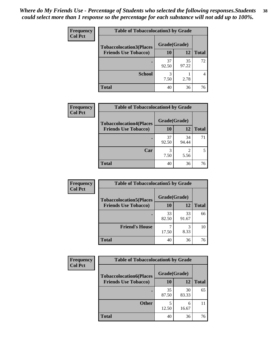| Frequency      |                                | <b>Table of Tobaccolocation 3 by Grade</b> |             |              |  |
|----------------|--------------------------------|--------------------------------------------|-------------|--------------|--|
| <b>Col Pct</b> | <b>Tobaccolocation3(Places</b> | Grade(Grade)                               |             |              |  |
|                | <b>Friends Use Tobacco)</b>    | 10                                         | 12          | <b>Total</b> |  |
|                |                                | 37<br>92.50                                | 35<br>97.22 | 72           |  |
|                | <b>School</b>                  | 3<br>7.50                                  | 2.78        |              |  |
|                | <b>Total</b>                   | 40                                         | 36          | 76           |  |

| Frequency      | <b>Table of Tobaccolocation4 by Grade</b>                     |                           |                        |              |
|----------------|---------------------------------------------------------------|---------------------------|------------------------|--------------|
| <b>Col Pct</b> | <b>Tobaccolocation4(Places</b><br><b>Friends Use Tobacco)</b> | Grade(Grade)<br><b>10</b> | 12                     | <b>Total</b> |
|                |                                                               |                           |                        |              |
|                |                                                               | 37<br>92.50               | 34<br>94.44            | 71           |
|                | Car                                                           | 3<br>7.50                 | $\mathfrak{D}$<br>5.56 |              |
|                | <b>Total</b>                                                  | 40                        | 36                     | 76           |

| Frequency      | <b>Table of Tobaccolocation5 by Grade</b> |              |             |              |
|----------------|-------------------------------------------|--------------|-------------|--------------|
| <b>Col Pct</b> | <b>Tobaccolocation5(Places</b>            | Grade(Grade) |             |              |
|                | <b>Friends Use Tobacco)</b>               | 10           | <b>12</b>   | <b>Total</b> |
|                |                                           | 33<br>82.50  | 33<br>91.67 | 66           |
|                | <b>Friend's House</b>                     | 17.50        | 3<br>8.33   | 10           |
|                | <b>Total</b>                              | 40           | 36          | 76           |

| Frequency      | <b>Table of Tobaccolocation6 by Grade</b> |              |             |              |  |
|----------------|-------------------------------------------|--------------|-------------|--------------|--|
| <b>Col Pct</b> | <b>Tobaccolocation6(Places</b>            | Grade(Grade) |             |              |  |
|                | <b>Friends Use Tobacco)</b>               | 10           | 12          | <b>Total</b> |  |
|                |                                           | 35<br>87.50  | 30<br>83.33 | 65           |  |
|                | <b>Other</b>                              | 12.50        | 6<br>16.67  |              |  |
|                | <b>Total</b>                              | 40           | 36          | 76           |  |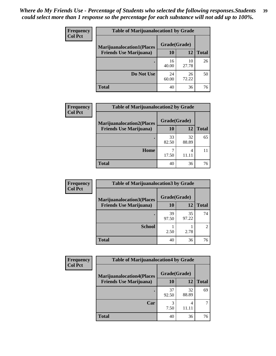| <b>Frequency</b> | <b>Table of Marijuanalocation1 by Grade</b> |              |             |              |
|------------------|---------------------------------------------|--------------|-------------|--------------|
| <b>Col Pct</b>   | <b>Marijuanalocation1(Places</b>            | Grade(Grade) |             |              |
|                  | <b>Friends Use Marijuana</b> )              | <b>10</b>    | 12          | <b>Total</b> |
|                  |                                             | 16<br>40.00  | 10<br>27.78 | 26           |
|                  | Do Not Use                                  | 24<br>60.00  | 26<br>72.22 | 50           |
|                  | <b>Total</b>                                | 40           | 36          | 76           |

| <b>Frequency</b> | <b>Table of Marijuanalocation2 by Grade</b>                        |                    |             |              |
|------------------|--------------------------------------------------------------------|--------------------|-------------|--------------|
| <b>Col Pct</b>   | <b>Marijuanalocation2(Places</b><br><b>Friends Use Marijuana</b> ) | Grade(Grade)<br>10 | 12          | <b>Total</b> |
|                  |                                                                    | 33<br>82.50        | 32<br>88.89 | 65           |
|                  | Home                                                               | 17.50              | 4<br>11 11  |              |
|                  | <b>Total</b>                                                       | 40                 | 36          | 76           |

| Frequency<br><b>Col Pct</b> | <b>Table of Marijuanalocation3 by Grade</b> |              |             |                |
|-----------------------------|---------------------------------------------|--------------|-------------|----------------|
|                             | <b>Marijuanalocation3(Places</b>            | Grade(Grade) |             |                |
|                             | <b>Friends Use Marijuana</b> )              | 10           | 12          | Total          |
|                             |                                             | 39<br>97.50  | 35<br>97.22 | 74             |
|                             | <b>School</b>                               | 2.50         | 2.78        | $\mathfrak{D}$ |
|                             | <b>Total</b>                                | 40           | 36          | 76             |

| <b>Frequency</b> | <b>Table of Marijuanalocation4 by Grade</b> |              |             |              |  |
|------------------|---------------------------------------------|--------------|-------------|--------------|--|
| <b>Col Pct</b>   | <b>Marijuanalocation4(Places</b>            | Grade(Grade) |             |              |  |
|                  | <b>Friends Use Marijuana</b> )              | 10           | 12          | <b>Total</b> |  |
|                  |                                             | 37<br>92.50  | 32<br>88.89 | 69           |  |
|                  | Car                                         | 3<br>7.50    | 4           |              |  |
|                  | <b>Total</b>                                | 40           | 36          | 76           |  |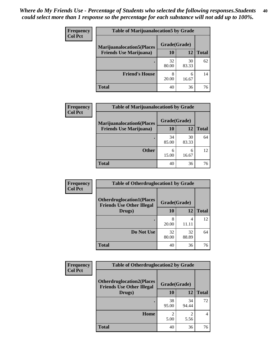| <b>Frequency</b> | <b>Table of Marijuanalocation5 by Grade</b> |              |             |              |
|------------------|---------------------------------------------|--------------|-------------|--------------|
| <b>Col Pct</b>   | <b>Marijuanalocation5(Places</b>            | Grade(Grade) |             |              |
|                  | <b>Friends Use Marijuana</b> )              | 10           | 12          | <b>Total</b> |
|                  |                                             | 32<br>80.00  | 30<br>83.33 | 62           |
|                  | <b>Friend's House</b>                       | 8<br>20.00   | 6<br>16.67  | 14           |
|                  | <b>Total</b>                                | 40           | 36          | 76           |

| <b>Frequency</b> | <b>Table of Marijuanalocation6 by Grade</b> |              |             |              |
|------------------|---------------------------------------------|--------------|-------------|--------------|
| <b>Col Pct</b>   | <b>Marijuanalocation6(Places</b>            | Grade(Grade) |             |              |
|                  | <b>Friends Use Marijuana</b> )              | <b>10</b>    | 12          | <b>Total</b> |
|                  |                                             | 34<br>85.00  | 30<br>83.33 | 64           |
|                  |                                             |              |             |              |
|                  | <b>Other</b>                                | 6            | 6           | 12           |
|                  |                                             | 15.00        | 16.67       |              |
|                  | <b>Total</b>                                | 40           | 36          | 76           |

| <b>Frequency</b> | <b>Table of Otherdruglocation1 by Grade</b>                          |              |             |              |
|------------------|----------------------------------------------------------------------|--------------|-------------|--------------|
| <b>Col Pct</b>   | <b>Otherdruglocation1(Places</b><br><b>Friends Use Other Illegal</b> | Grade(Grade) |             |              |
|                  | Drugs)                                                               | <b>10</b>    | 12          | <b>Total</b> |
|                  |                                                                      | 8<br>20.00   | 4<br>11.11  | 12           |
|                  | Do Not Use                                                           | 32<br>80.00  | 32<br>88.89 | 64           |
|                  | <b>Total</b>                                                         | 40           | 36          | 76           |

| <b>Frequency</b> | <b>Table of Otherdruglocation2 by Grade</b>                          |                        |                        |              |
|------------------|----------------------------------------------------------------------|------------------------|------------------------|--------------|
| <b>Col Pct</b>   | <b>Otherdruglocation2(Places</b><br><b>Friends Use Other Illegal</b> | Grade(Grade)           |                        |              |
|                  | Drugs)                                                               | <b>10</b>              | 12                     | <b>Total</b> |
|                  |                                                                      | 38<br>95.00            | 34<br>94.44            | 72           |
|                  | <b>Home</b>                                                          | $\mathfrak{D}$<br>5.00 | $\mathfrak{D}$<br>5.56 | 4            |
|                  | <b>Total</b>                                                         | 40                     | 36                     | 76           |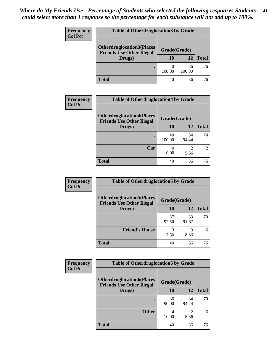| <b>Frequency</b> | <b>Table of Otherdruglocation 3 by Grade</b>                         |              |              |              |  |
|------------------|----------------------------------------------------------------------|--------------|--------------|--------------|--|
| <b>Col Pct</b>   | <b>Otherdruglocation3(Places</b><br><b>Friends Use Other Illegal</b> | Grade(Grade) |              |              |  |
|                  | Drugs)                                                               | <b>10</b>    | 12           | <b>Total</b> |  |
|                  |                                                                      | 40<br>100.00 | 36<br>100.00 | 76           |  |
|                  | Total                                                                | 40           | 36           | 76           |  |

| Frequency      |                                                                      | <b>Table of Otherdruglocation4 by Grade</b> |             |                |  |
|----------------|----------------------------------------------------------------------|---------------------------------------------|-------------|----------------|--|
| <b>Col Pct</b> | <b>Otherdruglocation4(Places</b><br><b>Friends Use Other Illegal</b> | Grade(Grade)                                |             |                |  |
|                | Drugs)                                                               | <b>10</b>                                   | 12          | <b>Total</b>   |  |
|                |                                                                      | 40<br>100.00                                | 34<br>94.44 | 74             |  |
|                | Car                                                                  | 0.00                                        | 5.56        | $\mathfrak{D}$ |  |
|                | <b>Total</b>                                                         | 40                                          | 36          | 76             |  |

| Frequency      | <b>Table of Otherdruglocation5 by Grade</b>                          |              |             |              |
|----------------|----------------------------------------------------------------------|--------------|-------------|--------------|
| <b>Col Pct</b> | <b>Otherdruglocation5(Places</b><br><b>Friends Use Other Illegal</b> | Grade(Grade) |             |              |
|                | Drugs)                                                               | 10           | 12          | <b>Total</b> |
|                |                                                                      | 37<br>92.50  | 33<br>91.67 | 70           |
|                | <b>Friend's House</b>                                                | 3<br>7.50    | 3<br>8.33   | 6            |
|                | <b>Total</b>                                                         | 40           | 36          | 76           |

| <b>Frequency</b> | <b>Table of Otherdruglocation6 by Grade</b>                          |              |             |              |
|------------------|----------------------------------------------------------------------|--------------|-------------|--------------|
| <b>Col Pct</b>   | <b>Otherdruglocation6(Places</b><br><b>Friends Use Other Illegal</b> | Grade(Grade) |             |              |
|                  | Drugs)                                                               | 10           | 12          | <b>Total</b> |
|                  |                                                                      | 36<br>90.00  | 34<br>94.44 | 70           |
|                  | <b>Other</b>                                                         | 4<br>10.00   | 5.56        | 6            |
|                  | <b>Total</b>                                                         | 40           | 36          | 76           |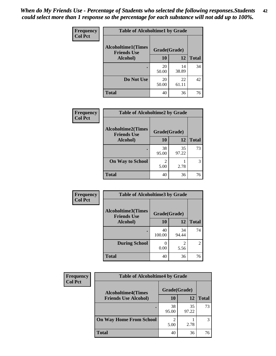| Frequency      | <b>Table of Alcoholtime1 by Grade</b>           |              |             |              |
|----------------|-------------------------------------------------|--------------|-------------|--------------|
| <b>Col Pct</b> | <b>Alcoholtime1(Times</b><br><b>Friends Use</b> | Grade(Grade) |             |              |
|                | Alcohol)                                        | <b>10</b>    | 12          | <b>Total</b> |
|                |                                                 | 20<br>50.00  | 14<br>38.89 | 34           |
|                | Do Not Use                                      | 20<br>50.00  | 22<br>61.11 | 42           |
|                | <b>Total</b>                                    | 40           | 36          | 76           |

| <b>Frequency</b> | <b>Table of Alcoholtime2 by Grade</b>           |                        |             |              |
|------------------|-------------------------------------------------|------------------------|-------------|--------------|
| <b>Col Pct</b>   | <b>Alcoholtime2(Times</b><br><b>Friends Use</b> | Grade(Grade)           |             |              |
|                  | Alcohol)                                        | 10                     | 12          | <b>Total</b> |
|                  |                                                 | 38<br>95.00            | 35<br>97.22 | 73           |
|                  | <b>On Way to School</b>                         | $\mathfrak{D}$<br>5.00 | 2.78        | 3            |
|                  | <b>Total</b>                                    | 40                     | 36          | 76           |

| Frequency<br><b>Col Pct</b> | <b>Table of Alcoholtime3 by Grade</b>           |              |             |                |
|-----------------------------|-------------------------------------------------|--------------|-------------|----------------|
|                             | <b>Alcoholtime3(Times</b><br><b>Friends Use</b> | Grade(Grade) |             |                |
|                             | Alcohol)                                        | 10           | <b>12</b>   | <b>Total</b>   |
|                             |                                                 | 40<br>100.00 | 34<br>94.44 | 74             |
|                             | <b>During School</b>                            | 0<br>0.00    | 2<br>5.56   | $\overline{2}$ |
|                             | <b>Total</b>                                    | 40           | 36          | 76             |

| <b>Frequency</b><br><b>Col Pct</b> | <b>Table of Alcoholtime4 by Grade</b> |              |             |              |  |
|------------------------------------|---------------------------------------|--------------|-------------|--------------|--|
|                                    | <b>Alcoholtime4(Times</b>             | Grade(Grade) |             |              |  |
|                                    | <b>Friends Use Alcohol)</b>           | 10           | 12          | <b>Total</b> |  |
|                                    |                                       | 38<br>95.00  | 35<br>97.22 | 73           |  |
|                                    | <b>On Way Home From School</b>        | 5.00         | 2.78        | 3            |  |
|                                    | <b>Total</b>                          | 40           | 36          | 76           |  |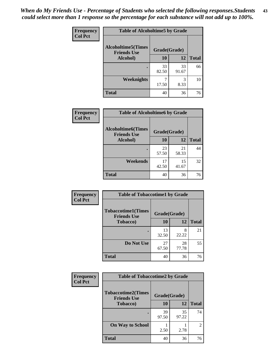*When do My Friends Use - Percentage of Students who selected the following responses.Students could select more than 1 response so the percentage for each substance will not add up to 100%.* **43**

| Frequency      | <b>Table of Alcoholtime5 by Grade</b>           |              |             |              |
|----------------|-------------------------------------------------|--------------|-------------|--------------|
| <b>Col Pct</b> | <b>Alcoholtime5(Times</b><br><b>Friends Use</b> | Grade(Grade) |             |              |
|                | Alcohol)                                        | 10           | <b>12</b>   | <b>Total</b> |
|                |                                                 | 33<br>82.50  | 33<br>91.67 | 66           |
|                | <b>Weeknights</b>                               | 17.50        | 3<br>8.33   | 10           |
|                | <b>Total</b>                                    | 40           | 36          | 76           |

| <b>Frequency</b> | <b>Table of Alcoholtime6 by Grade</b>           |              |             |              |
|------------------|-------------------------------------------------|--------------|-------------|--------------|
| <b>Col Pct</b>   | <b>Alcoholtime6(Times</b><br><b>Friends Use</b> | Grade(Grade) |             |              |
|                  | Alcohol)                                        | 10           | 12          | <b>Total</b> |
|                  |                                                 | 23<br>57.50  | 21<br>58.33 | 44           |
|                  | Weekends                                        | 17<br>42.50  | 15<br>41.67 | 32           |
|                  | <b>Total</b>                                    | 40           | 36          | 76           |

| Frequency      | <b>Table of Tobaccotime1 by Grade</b>           |              |             |              |  |
|----------------|-------------------------------------------------|--------------|-------------|--------------|--|
| <b>Col Pct</b> | <b>Tobaccotime1(Times</b><br><b>Friends Use</b> | Grade(Grade) |             |              |  |
|                | <b>Tobacco</b> )                                | 10           | 12          | <b>Total</b> |  |
|                | ٠                                               | 13<br>32.50  | 8<br>22.22  | 21           |  |
|                | Do Not Use                                      | 27<br>67.50  | 28<br>77.78 | 55           |  |
|                | <b>Total</b>                                    | 40           | 36          | 76           |  |

| <b>Frequency</b> | <b>Table of Tobaccotime2 by Grade</b>                           |             |             |                |
|------------------|-----------------------------------------------------------------|-------------|-------------|----------------|
| <b>Col Pct</b>   | <b>Tobaccotime2(Times</b><br>Grade(Grade)<br><b>Friends Use</b> |             |             |                |
|                  | <b>Tobacco</b> )                                                | 10          | <b>12</b>   | <b>Total</b>   |
|                  | ٠                                                               | 39<br>97.50 | 35<br>97.22 | 74             |
|                  | <b>On Way to School</b>                                         | 2.50        | 2.78        | $\overline{2}$ |
|                  | <b>Total</b>                                                    | 40          | 36          | 76             |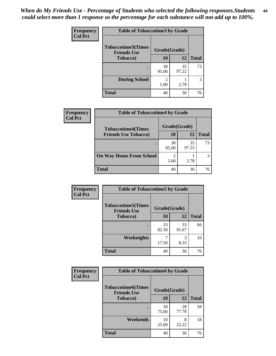| Frequency      | <b>Table of Tobaccotime3 by Grade</b>           |                        |             |              |
|----------------|-------------------------------------------------|------------------------|-------------|--------------|
| <b>Col Pct</b> | <b>Tobaccotime3(Times</b><br><b>Friends Use</b> | Grade(Grade)           |             |              |
|                | <b>Tobacco</b> )                                | 10                     | 12          | <b>Total</b> |
|                | ٠                                               | 38<br>95.00            | 35<br>97.22 | 73           |
|                | <b>During School</b>                            | $\mathfrak{D}$<br>5.00 | 2.78        | 3            |
|                | <b>Total</b>                                    | 40                     | 36          | 76           |

| Frequency      | <b>Table of Tobaccotime4 by Grade</b> |              |             |              |
|----------------|---------------------------------------|--------------|-------------|--------------|
| <b>Col Pct</b> | <b>Tobaccotime4(Times</b>             | Grade(Grade) |             |              |
|                | <b>Friends Use Tobacco)</b>           | 10           | 12          | <b>Total</b> |
|                |                                       | 38<br>95.00  | 35<br>97.22 | 73           |
|                | <b>On Way Home From School</b>        | 2<br>5.00    | 2.78        |              |
|                | <b>Total</b>                          | 40           | 36          | 76           |

| <b>Frequency</b> | <b>Table of Tobaccotime5 by Grade</b>            |              |             |              |
|------------------|--------------------------------------------------|--------------|-------------|--------------|
| <b>Col Pct</b>   | <b>Tobaccotime5</b> (Times<br><b>Friends Use</b> | Grade(Grade) |             |              |
|                  | <b>Tobacco</b> )                                 | 10           | 12          | <b>Total</b> |
|                  |                                                  | 33<br>82.50  | 33<br>91.67 | 66           |
|                  | Weeknights                                       | 17.50        | 3<br>8.33   | 10           |
|                  | <b>Total</b>                                     | 40           | 36          | 76           |

| Frequency<br><b>Col Pct</b> | <b>Table of Tobaccotime6 by Grade</b>           |              |             |              |
|-----------------------------|-------------------------------------------------|--------------|-------------|--------------|
|                             | <b>Tobaccotime6(Times</b><br><b>Friends Use</b> | Grade(Grade) |             |              |
|                             | <b>Tobacco</b> )                                | 10           | 12          | <b>Total</b> |
|                             | ٠                                               | 30<br>75.00  | 28<br>77.78 | 58           |
|                             | Weekends                                        | 10<br>25.00  | 8<br>22.22  | 18           |
|                             | <b>Total</b>                                    | 40           | 36          | 76           |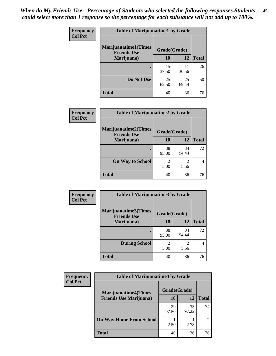| <b>Frequency</b><br><b>Col Pct</b> | <b>Table of Marijuanatime1 by Grade</b>           |              |             |              |
|------------------------------------|---------------------------------------------------|--------------|-------------|--------------|
|                                    | <b>Marijuanatime1(Times</b><br><b>Friends Use</b> | Grade(Grade) |             |              |
|                                    | Marijuana)                                        | 10           | 12          | <b>Total</b> |
|                                    |                                                   | 15<br>37.50  | 11<br>30.56 | 26           |
|                                    | Do Not Use                                        | 25<br>62.50  | 25<br>69.44 | 50           |
|                                    | <b>Total</b>                                      | 40           | 36          | 76           |

| Frequency      | <b>Table of Marijuanatime2 by Grade</b>           |              |             |              |
|----------------|---------------------------------------------------|--------------|-------------|--------------|
| <b>Col Pct</b> | <b>Marijuanatime2(Times</b><br><b>Friends Use</b> | Grade(Grade) |             |              |
|                | Marijuana)                                        | 10           | 12          | <b>Total</b> |
|                |                                                   | 38<br>95.00  | 34<br>94.44 | 72           |
|                | <b>On Way to School</b>                           | 2<br>5.00    | 5.56        | 4            |
|                | <b>Total</b>                                      | 40           | 36          | 76           |

| Frequency      | <b>Table of Marijuanatime3 by Grade</b>    |                        |                        |              |  |
|----------------|--------------------------------------------|------------------------|------------------------|--------------|--|
| <b>Col Pct</b> | Marijuanatime3(Times<br><b>Friends Use</b> | Grade(Grade)           |                        |              |  |
|                | Marijuana)                                 | 10                     | 12                     | <b>Total</b> |  |
|                |                                            | 38<br>95.00            | 34<br>94.44            | 72           |  |
|                | <b>During School</b>                       | $\mathfrak{D}$<br>5.00 | $\overline{c}$<br>5.56 |              |  |
|                | <b>Total</b>                               | 40                     | 36                     | 76           |  |

| <b>Frequency</b><br><b>Col Pct</b> | <b>Table of Marijuanatime4 by Grade</b> |              |             |                             |
|------------------------------------|-----------------------------------------|--------------|-------------|-----------------------------|
|                                    | <b>Marijuanatime4(Times</b>             | Grade(Grade) |             |                             |
|                                    | <b>Friends Use Marijuana</b> )          | 10           | 12          | <b>Total</b>                |
|                                    |                                         | 39<br>97.50  | 35<br>97.22 | 74                          |
|                                    | <b>On Way Home From School</b>          | 2.50         | 2.78        | $\mathcal{D}_{\mathcal{L}}$ |
|                                    | Total                                   | 40           | 36          | 76                          |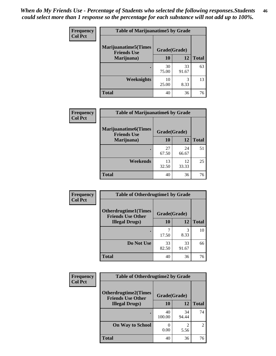| Frequency      | <b>Table of Marijuanatime5 by Grade</b>            |              |             |              |
|----------------|----------------------------------------------------|--------------|-------------|--------------|
| <b>Col Pct</b> | <b>Marijuanatime5</b> (Times<br><b>Friends Use</b> | Grade(Grade) |             |              |
|                | Marijuana)                                         | 10           | 12          | <b>Total</b> |
|                |                                                    | 30<br>75.00  | 33<br>91.67 | 63           |
|                | Weeknights                                         | 10<br>25.00  | 3<br>8.33   | 13           |
|                | <b>Total</b>                                       | 40           | 36          | 76           |

| Frequency      | <b>Table of Marijuanatime6 by Grade</b>            |              |             |              |
|----------------|----------------------------------------------------|--------------|-------------|--------------|
| <b>Col Pct</b> | <b>Marijuanatime6</b> (Times<br><b>Friends Use</b> | Grade(Grade) |             |              |
|                | Marijuana)                                         | 10           | 12          | <b>Total</b> |
|                |                                                    | 27<br>67.50  | 24<br>66.67 | 51           |
|                | Weekends                                           | 13<br>32.50  | 12<br>33.33 | 25           |
|                | <b>Total</b>                                       | 40           | 36          | 76           |

| <b>Frequency</b> | <b>Table of Otherdrugtime1 by Grade</b>                  |              |             |              |
|------------------|----------------------------------------------------------|--------------|-------------|--------------|
| <b>Col Pct</b>   | <b>Otherdrugtime1</b> (Times<br><b>Friends Use Other</b> | Grade(Grade) |             |              |
|                  | <b>Illegal Drugs</b> )                                   | 10           | 12          | <b>Total</b> |
|                  |                                                          | 17.50        | 3<br>8.33   | 10           |
|                  | Do Not Use                                               | 33<br>82.50  | 33<br>91.67 | 66           |
|                  | <b>Total</b>                                             | 40           | 36          | 76           |

| <b>Frequency</b><br><b>Col Pct</b> | <b>Table of Otherdrugtime2 by Grade</b>                 |              |             |                |
|------------------------------------|---------------------------------------------------------|--------------|-------------|----------------|
|                                    | <b>Otherdrugtime2(Times</b><br><b>Friends Use Other</b> | Grade(Grade) |             |                |
|                                    | <b>Illegal Drugs</b> )                                  | 10           | 12          | <b>Total</b>   |
|                                    |                                                         | 40<br>100.00 | 34<br>94.44 | 74             |
|                                    | <b>On Way to School</b>                                 | 0.00         | 2<br>5.56   | $\overline{c}$ |
|                                    | <b>Total</b>                                            | 40           | 36          | 76             |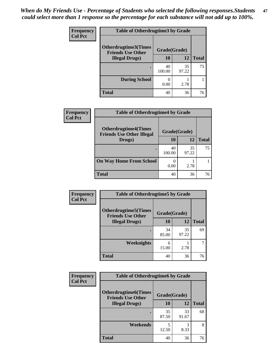| <b>Frequency</b> | <b>Table of Otherdrugtime3 by Grade</b>          |              |             |              |
|------------------|--------------------------------------------------|--------------|-------------|--------------|
| <b>Col Pct</b>   | Otherdrugtime3(Times<br><b>Friends Use Other</b> | Grade(Grade) |             |              |
|                  | <b>Illegal Drugs</b> )                           | 10           | 12          | <b>Total</b> |
|                  |                                                  | 40<br>100.00 | 35<br>97.22 | 75           |
|                  | <b>During School</b>                             | 0.00         | 2.78        |              |
|                  | Total                                            | 40           | 36          | 76           |

| Frequency      | <b>Table of Otherdrugtime4 by Grade</b>                         |              |             |              |
|----------------|-----------------------------------------------------------------|--------------|-------------|--------------|
| <b>Col Pct</b> | <b>Otherdrugtime4(Times</b><br><b>Friends Use Other Illegal</b> | Grade(Grade) |             |              |
|                | Drugs)                                                          | 10           | 12          | <b>Total</b> |
|                | $\bullet$                                                       | 40<br>100.00 | 35<br>97.22 | 75           |
|                | <b>On Way Home From School</b>                                  | 0.00         | 2.78        |              |
|                | <b>Total</b>                                                    | 40           | 36          | 76           |

| <b>Frequency</b> | <b>Table of Otherdrugtime5 by Grade</b>                 |              |             |              |
|------------------|---------------------------------------------------------|--------------|-------------|--------------|
| <b>Col Pct</b>   | <b>Otherdrugtime5(Times</b><br><b>Friends Use Other</b> | Grade(Grade) |             |              |
|                  | <b>Illegal Drugs</b> )                                  | 10           | 12          | <b>Total</b> |
|                  |                                                         | 34<br>85.00  | 35<br>97.22 | 69           |
|                  | Weeknights                                              | 6<br>15.00   | 2.78        | 7            |
|                  | Total                                                   | 40           | 36          | 76           |

| Frequency | <b>Table of Otherdrugtime6 by Grade</b>                 |              |             |              |
|-----------|---------------------------------------------------------|--------------|-------------|--------------|
| Col Pct   | <b>Otherdrugtime6(Times</b><br><b>Friends Use Other</b> | Grade(Grade) |             |              |
|           | <b>Illegal Drugs</b> )                                  | 10           | 12          | <b>Total</b> |
|           |                                                         | 35<br>87.50  | 33<br>91.67 | 68           |
|           | Weekends                                                | 5<br>12.50   | 3<br>8.33   | 8            |
|           | <b>Total</b>                                            | 40           | 36          | 76           |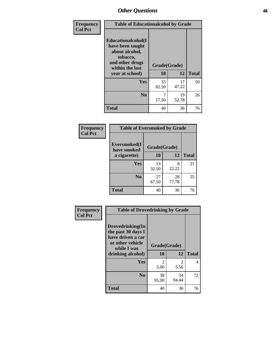| Frequency      | <b>Table of Educationalcohol by Grade</b>                                                                  |              |             |              |
|----------------|------------------------------------------------------------------------------------------------------------|--------------|-------------|--------------|
| <b>Col Pct</b> | Educationalcohol(I<br>have been taught<br>about alcohol,<br>tobacco,<br>and other drugs<br>within the last | Grade(Grade) |             |              |
|                | year at school)                                                                                            | 10           | 12          | <b>Total</b> |
|                | <b>Yes</b>                                                                                                 | 33<br>82.50  | 17<br>47.22 | 50           |
|                | N <sub>0</sub>                                                                                             | 7<br>17.50   | 19<br>52.78 | 26           |
|                | <b>Total</b>                                                                                               | 40           | 36          | 76           |

| Frequency      | <b>Table of Eversmoked by Grade</b> |              |             |              |  |
|----------------|-------------------------------------|--------------|-------------|--------------|--|
| <b>Col Pct</b> | Eversmoked(I<br>have smoked         | Grade(Grade) |             |              |  |
|                | a cigarette)                        | 10           | 12          | <b>Total</b> |  |
|                | <b>Yes</b>                          | 13<br>32.50  | 8<br>22.22  | 21           |  |
|                | N <sub>0</sub>                      | 27<br>67.50  | 28<br>77.78 | 55           |  |
|                | <b>Total</b>                        | 40           | 36          | 76           |  |

| Frequency<br><b>Col Pct</b> | <b>Table of Drovedrinking by Grade</b>                                                                              |                                  |                        |              |
|-----------------------------|---------------------------------------------------------------------------------------------------------------------|----------------------------------|------------------------|--------------|
|                             | Drovedrinking(In<br>the past 30 days I<br>have driven a car<br>or other vehicle<br>while I was<br>drinking alcohol) | Grade(Grade)<br>10               | 12                     | <b>Total</b> |
|                             | <b>Yes</b>                                                                                                          | $\overline{\mathcal{L}}$<br>5.00 | $\mathfrak{D}$<br>5.56 | 4            |
|                             | N <sub>0</sub>                                                                                                      | 38<br>95.00                      | 34<br>94.44            | 72           |
|                             | <b>Total</b>                                                                                                        | 40                               | 36                     | 76           |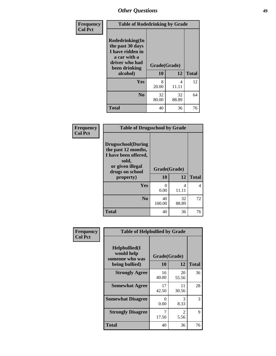| <b>Frequency</b> | <b>Table of Rodedrinking by Grade</b>                                                                                  |                    |             |              |
|------------------|------------------------------------------------------------------------------------------------------------------------|--------------------|-------------|--------------|
| <b>Col Pct</b>   | Rodedrinking(In<br>the past 30 days<br>I have ridden in<br>a car with a<br>driver who had<br>been drinking<br>alcohol) | Grade(Grade)<br>10 | 12          | <b>Total</b> |
|                  | <b>Yes</b>                                                                                                             | 8<br>20.00         | 4<br>11.11  | 12           |
|                  | N <sub>0</sub>                                                                                                         | 32<br>80.00        | 32<br>88.89 | 64           |
|                  | <b>Total</b>                                                                                                           | 40                 | 36          | 76           |

### **Frequency Col Pct**

| <b>Table of Drugsschool by Grade</b>                                                                                      |              |       |              |  |  |  |
|---------------------------------------------------------------------------------------------------------------------------|--------------|-------|--------------|--|--|--|
| <b>Drugsschool</b> (During<br>the past 12 months,<br>I have been offered,<br>sold,<br>or given illegal<br>drugs on school | Grade(Grade) |       |              |  |  |  |
|                                                                                                                           |              |       |              |  |  |  |
| property)                                                                                                                 | 10           | 12    | <b>Total</b> |  |  |  |
| Yes                                                                                                                       | 0            | 4     | 4            |  |  |  |
|                                                                                                                           | 0.00         | 11.11 |              |  |  |  |
| N <sub>0</sub>                                                                                                            | 40           | 32    | 72           |  |  |  |
|                                                                                                                           | 100.00       | 88.89 |              |  |  |  |

| Frequency      | <b>Table of Helpbullied by Grade</b>                 |                           |             |              |
|----------------|------------------------------------------------------|---------------------------|-------------|--------------|
| <b>Col Pct</b> | $Helpb$ ullied $(I$<br>would help<br>someone who was | Grade(Grade)<br><b>10</b> | 12          | <b>Total</b> |
|                | being bullied)                                       |                           |             |              |
|                | <b>Strongly Agree</b>                                | 16<br>40.00               | 20<br>55.56 | 36           |
|                | <b>Somewhat Agree</b>                                | 17<br>42.50               | 11<br>30.56 | 28           |
|                | <b>Somewhat Disagree</b>                             | 0<br>0.00                 | 3<br>8.33   | 3            |
|                | <b>Strongly Disagree</b>                             | 7<br>17.50                | 2<br>5.56   | 9            |
|                | <b>Total</b>                                         | 40                        | 36          | 76           |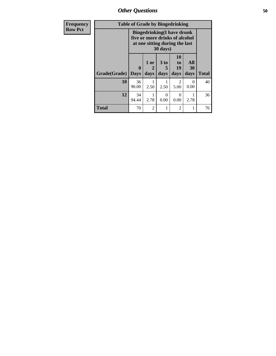| Frequency      | <b>Table of Grade by Bingedrinking</b> |                             |                                                                                                       |                              |                        |                   |              |
|----------------|----------------------------------------|-----------------------------|-------------------------------------------------------------------------------------------------------|------------------------------|------------------------|-------------------|--------------|
| <b>Row Pct</b> |                                        |                             | <b>Bingedrinking(I have drunk</b><br>five or more drinks of alcohol<br>at one sitting during the last | 30 days)                     |                        |                   |              |
|                | Grade(Grade)                           | $\mathbf{0}$<br><b>Days</b> | 1 or<br>2<br>days                                                                                     | 3 <sub>to</sub><br>5<br>days | 10<br>to<br>19<br>days | All<br>30<br>days | <b>Total</b> |
|                | 10                                     | 36<br>90.00                 | 2.50                                                                                                  | 2.50                         | $\overline{2}$<br>5.00 | $\theta$<br>0.00  | 40           |
|                | 12                                     | 34<br>94.44                 | 2.78                                                                                                  | 0<br>0.00                    | 0<br>0.00              | 2.78              | 36           |
|                | <b>Total</b>                           | 70                          | $\overline{2}$                                                                                        |                              | $\overline{2}$         |                   | 76           |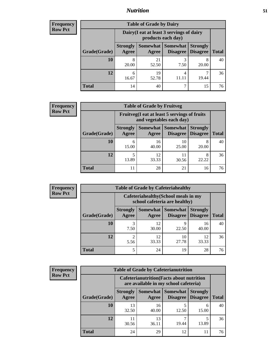## *Nutrition* **51**

| <b>Frequency</b> |
|------------------|
| - Row Pct        |

| <b>Table of Grade by Dairy</b> |                                                                                                                            |                                                                 |      |            |    |  |  |
|--------------------------------|----------------------------------------------------------------------------------------------------------------------------|-----------------------------------------------------------------|------|------------|----|--|--|
|                                |                                                                                                                            | Dairy (I eat at least 3 servings of dairy<br>products each day) |      |            |    |  |  |
| Grade(Grade)                   | Somewhat   Somewhat<br><b>Strongly</b><br><b>Strongly</b><br><b>Disagree</b><br><b>Total</b><br>Disagree<br>Agree<br>Agree |                                                                 |      |            |    |  |  |
| 10                             | 8<br>20.00                                                                                                                 | 21<br>52.50                                                     | 7.50 | 8<br>20.00 | 40 |  |  |
| 12                             | 6<br>16.67                                                                                                                 | 19<br>52.78                                                     | 4    | 19.44      | 36 |  |  |
| <b>Total</b>                   | 14                                                                                                                         | 40                                                              | ℸ    | 15         | 76 |  |  |

| <b>Frequency</b> |  |
|------------------|--|
| <b>Row Pct</b>   |  |

| $\mathbf{y}$ | <b>Table of Grade by Fruitveg</b> |                                                                          |                     |                                        |                 |              |  |
|--------------|-----------------------------------|--------------------------------------------------------------------------|---------------------|----------------------------------------|-----------------|--------------|--|
|              |                                   | Fruitveg(I eat at least 5 servings of fruits<br>and vegetables each day) |                     |                                        |                 |              |  |
|              | Grade(Grade)                      | <b>Strongly</b><br>Agree                                                 | Somewhat  <br>Agree | <b>Somewhat</b><br>Disagree   Disagree | <b>Strongly</b> | <b>Total</b> |  |
|              | 10                                | 6<br>15.00                                                               | 16<br>40.00         | 10<br>25.00                            | 8<br>20.00      | 40           |  |
|              | 12                                | 13.89                                                                    | 12<br>33.33         | 11<br>30.56                            | 8<br>22.22      | 36           |  |
|              | <b>Total</b>                      | 11                                                                       | 28                  | 21                                     | 16              | 76           |  |

| <b>Frequency</b> |              | <b>Table of Grade by Cafeteriahealthy</b> |             |                                                                       |                                    |              |  |  |
|------------------|--------------|-------------------------------------------|-------------|-----------------------------------------------------------------------|------------------------------------|--------------|--|--|
| <b>Row Pct</b>   |              |                                           |             | Cafeteriahealthy (School meals in my<br>school cafeteria are healthy) |                                    |              |  |  |
|                  | Grade(Grade) | <b>Strongly</b><br>Agree                  | Agree       | Somewhat   Somewhat<br><b>Disagree</b>                                | <b>Strongly</b><br><b>Disagree</b> | <b>Total</b> |  |  |
|                  | 10           | 3<br>7.50                                 | 12<br>30.00 | 22.50                                                                 | 16<br>40.00                        | 40           |  |  |
|                  | 12           | $\overline{2}$<br>5.56                    | 12<br>33.33 | 10<br>27.78                                                           | 12<br>33.33                        | 36           |  |  |
|                  | <b>Total</b> | 5                                         | 24          | 19                                                                    | 28                                 | 76           |  |  |

| <b>Frequency</b> |
|------------------|
| <b>Row Pct</b>   |

| <b>Table of Grade by Cafeterianutrition</b>                                               |                          |                   |                             |                                    |              |  |
|-------------------------------------------------------------------------------------------|--------------------------|-------------------|-----------------------------|------------------------------------|--------------|--|
| <b>Cafeterianutrition</b> (Facts about nutrition<br>are available in my school cafeteria) |                          |                   |                             |                                    |              |  |
| Grade(Grade)                                                                              | <b>Strongly</b><br>Agree | Somewhat<br>Agree | <b>Somewhat</b><br>Disagree | <b>Strongly</b><br><b>Disagree</b> | <b>Total</b> |  |
| 10                                                                                        | 13<br>32.50              | 16<br>40.00       | 12.50                       | 6<br>15.00                         | 40           |  |
| 12                                                                                        | 11<br>30.56              | 13<br>36.11       | 19.44                       | 13.89                              | 36           |  |
| <b>Total</b>                                                                              | 24                       | 29                | 12                          |                                    | 76           |  |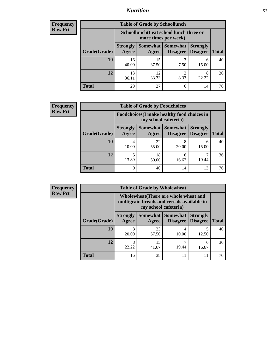## *Nutrition* **52**

| Frequency |
|-----------|
| Row Pct   |

| <b>Table of Grade by Schoollunch</b> |                                                                                                                               |                                                                 |           |            |    |  |  |
|--------------------------------------|-------------------------------------------------------------------------------------------------------------------------------|-----------------------------------------------------------------|-----------|------------|----|--|--|
|                                      |                                                                                                                               | Schoollunch(I eat school lunch three or<br>more times per week) |           |            |    |  |  |
| Grade(Grade)                         | Somewhat  <br>Somewhat<br><b>Strongly</b><br><b>Strongly</b><br><b>Disagree</b><br>Agree<br>Disagree<br><b>Total</b><br>Agree |                                                                 |           |            |    |  |  |
| 10                                   | 16<br>40.00                                                                                                                   | 15<br>37.50                                                     | 3<br>7.50 | 6<br>15.00 | 40 |  |  |
| 12                                   | 13<br>36.11                                                                                                                   | 12<br>33.33                                                     | 3<br>8.33 | 8<br>22.22 | 36 |  |  |
| <b>Total</b>                         | 29                                                                                                                            | 27                                                              | 6         | 14         | 76 |  |  |

| <b>Frequency</b> |  |
|------------------|--|
| <b>Row Pct</b>   |  |

| $\mathbf{y}$ | <b>Table of Grade by Foodchoices</b> |                                 |                                                                     |            |                                        |              |  |
|--------------|--------------------------------------|---------------------------------|---------------------------------------------------------------------|------------|----------------------------------------|--------------|--|
|              |                                      |                                 | Foodchoices (I make healthy food choices in<br>my school cafeteria) |            |                                        |              |  |
|              | Grade(Grade)                         | <b>Strongly</b><br><b>Agree</b> | Somewhat  <br>Agree                                                 | Somewhat   | <b>Strongly</b><br>Disagree   Disagree | <b>Total</b> |  |
|              | 10                                   | 4<br>10.00                      | 22<br>55.00                                                         | 20.00      | 6<br>15.00                             | 40           |  |
|              | 12                                   | 13.89                           | 18<br>50.00                                                         | 6<br>16.67 | 19.44                                  | 36           |  |
|              | <b>Total</b>                         | 9                               | 40                                                                  | 14         | 13                                     | 76           |  |

| <b>Frequency</b> | <b>Table of Grade by Wholewheat</b> |                          |             |                                                                                                             |                                    |              |  |
|------------------|-------------------------------------|--------------------------|-------------|-------------------------------------------------------------------------------------------------------------|------------------------------------|--------------|--|
| <b>Row Pct</b>   |                                     |                          |             | Wholewheat (There are whole wheat and<br>multigrain breads and cereals available in<br>my school cafeteria) |                                    |              |  |
|                  | Grade(Grade)                        | <b>Strongly</b><br>Agree | Agree       | Somewhat Somewhat<br>Disagree                                                                               | <b>Strongly</b><br><b>Disagree</b> | <b>Total</b> |  |
|                  | 10                                  | 8<br>20.00               | 23<br>57.50 | 10.00                                                                                                       | 12.50                              | 40           |  |
|                  | 12                                  | 8<br>22.22               | 15<br>41.67 | 19.44                                                                                                       | 6<br>16.67                         | 36           |  |
|                  | <b>Total</b>                        | 16                       | 38          | 11                                                                                                          | 11                                 | 76           |  |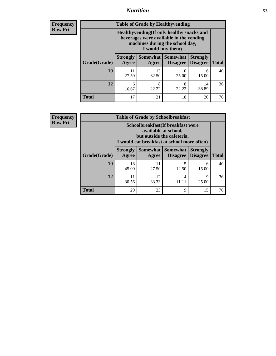## *Nutrition* **53**

**Frequency Row Pct**

| <b>Table of Grade by Healthyvending</b> |                                                                                                                                               |                          |                                    |                                    |              |  |
|-----------------------------------------|-----------------------------------------------------------------------------------------------------------------------------------------------|--------------------------|------------------------------------|------------------------------------|--------------|--|
|                                         | Healthyvending (If only healthy snacks and<br>beverages were available in the vending<br>machines during the school day,<br>I would buy them) |                          |                                    |                                    |              |  |
| Grade(Grade)                            | <b>Strongly</b><br>Agree                                                                                                                      | <b>Somewhat</b><br>Agree | <b>Somewhat</b><br><b>Disagree</b> | <b>Strongly</b><br><b>Disagree</b> | <b>Total</b> |  |
| 10                                      | 11<br>27.50                                                                                                                                   | 13<br>32.50              | 10<br>25.00                        | 6<br>15.00                         | 40           |  |
| 12                                      | 6<br>16.67                                                                                                                                    | 8<br>22.22               | 8<br>22.22                         | 14<br>38.89                        | 36           |  |
| <b>Total</b>                            | 17                                                                                                                                            | 21                       | 18                                 | 20                                 | 76           |  |

**Frequency Row Pct**

| <b>Table of Grade by Schoolbreakfast</b> |                                                                                                                                        |             |                               |                                    |              |  |
|------------------------------------------|----------------------------------------------------------------------------------------------------------------------------------------|-------------|-------------------------------|------------------------------------|--------------|--|
|                                          | Schoolbreakfast(If breakfast were<br>available at school,<br>but outside the cafeteria,<br>I would eat breakfast at school more often) |             |                               |                                    |              |  |
| Grade(Grade)                             | <b>Strongly</b><br>Agree                                                                                                               | Agree       | Somewhat Somewhat<br>Disagree | <b>Strongly</b><br><b>Disagree</b> | <b>Total</b> |  |
| 10                                       | 18<br>45.00                                                                                                                            | 11<br>27.50 | 5<br>12.50                    | 6<br>15.00                         | 40           |  |
| 12                                       | 11<br>30.56                                                                                                                            | 12<br>33.33 | 4                             | 9<br>25.00                         | 36           |  |
| <b>Total</b>                             | 29                                                                                                                                     | 23          | 9                             | 15                                 | 76           |  |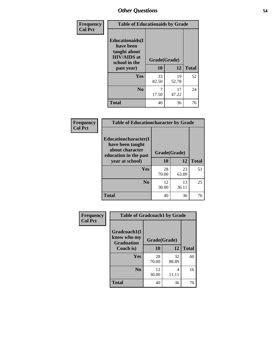| Frequency<br><b>Col Pct</b> | <b>Table of Educationaids by Grade</b>                                                                    |                    |             |              |  |
|-----------------------------|-----------------------------------------------------------------------------------------------------------|--------------------|-------------|--------------|--|
|                             | <b>Educationaids</b> (I<br>have been<br>taught about<br><b>HIV/AIDS</b> at<br>school in the<br>past year) | Grade(Grade)<br>10 | 12          | <b>Total</b> |  |
|                             | Yes                                                                                                       | 33<br>82.50        | 19<br>52.78 | 52           |  |
|                             | N <sub>0</sub>                                                                                            | 17.50              | 17<br>47.22 | 24           |  |
|                             | <b>Total</b>                                                                                              | 40                 | 36          | 76           |  |

| Frequency      | <b>Table of Educationcharacter by Grade</b>                 |              |             |              |  |
|----------------|-------------------------------------------------------------|--------------|-------------|--------------|--|
| <b>Col Pct</b> | Educationcharacter(I<br>have been taught<br>about character | Grade(Grade) |             |              |  |
|                | education in the past<br>year at school)                    | 10           | 12          | <b>Total</b> |  |
|                | Yes                                                         | 28<br>70.00  | 23<br>63.89 | 51           |  |
|                | N <sub>0</sub>                                              | 12<br>30.00  | 13<br>36.11 | 25           |  |
|                | <b>Total</b>                                                | 40           | 36          | 76           |  |

| <b>Frequency</b><br><b>Col Pct</b> | <b>Table of Gradcoach1 by Grade</b>              |              |             |              |  |
|------------------------------------|--------------------------------------------------|--------------|-------------|--------------|--|
|                                    | Gradcoach1(I<br>know who my<br><b>Graduation</b> | Grade(Grade) |             |              |  |
|                                    | Coach is)                                        | 10           | 12          | <b>Total</b> |  |
|                                    | Yes                                              | 28<br>70.00  | 32<br>88.89 | 60           |  |
|                                    | N <sub>0</sub>                                   | 12<br>30.00  | 4<br>11.11  | 16           |  |
|                                    | <b>Total</b>                                     | 40           | 36          | 76           |  |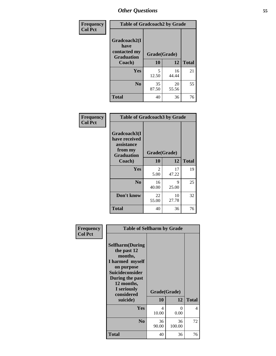| Frequency      | <b>Table of Gradcoach2 by Grade</b> |              |             |              |
|----------------|-------------------------------------|--------------|-------------|--------------|
| <b>Col Pct</b> | Gradcoach2(I<br>have                |              |             |              |
|                | contacted my<br><b>Graduation</b>   | Grade(Grade) |             |              |
|                | Coach)                              | 10           | 12          | <b>Total</b> |
|                | Yes                                 | 5<br>12.50   | 16<br>44.44 | 21           |
|                | N <sub>0</sub>                      | 35<br>87.50  | 20<br>55.56 | 55           |
|                | <b>Total</b>                        | 40           | 36          | 76           |

| Frequency<br><b>Col Pct</b> |                                                                             | <b>Table of Gradcoach3 by Grade</b> |             |              |  |  |
|-----------------------------|-----------------------------------------------------------------------------|-------------------------------------|-------------|--------------|--|--|
|                             | Gradcoach3(I<br>have received<br>assistance<br>from my<br><b>Graduation</b> | Grade(Grade)                        |             |              |  |  |
|                             | Coach)                                                                      | 10                                  | 12          | <b>Total</b> |  |  |
|                             | Yes                                                                         | 2<br>5.00                           | 17<br>47.22 | 19           |  |  |
|                             | N <sub>0</sub>                                                              | 16<br>40.00                         | 9<br>25.00  | 25           |  |  |
|                             | Don't know                                                                  | 22<br>55.00                         | 10<br>27.78 | 32           |  |  |
|                             | <b>Total</b>                                                                | 40                                  | 36          | 76           |  |  |

| Frequency      | <b>Table of Selfharm by Grade</b>                                                                                                                                                      |                           |              |              |
|----------------|----------------------------------------------------------------------------------------------------------------------------------------------------------------------------------------|---------------------------|--------------|--------------|
| <b>Col Pct</b> | <b>Selfharm</b> (During<br>the past 12<br>months,<br>I harmed myself<br>on purpose<br><b>Suicideconsider</b><br>During the past<br>12 months,<br>I seriously<br>considered<br>suicide) | Grade(Grade)<br><b>10</b> | 12           | <b>Total</b> |
|                | Yes                                                                                                                                                                                    | 4<br>10.00                | 0<br>0.00    | 4            |
|                | N <sub>0</sub>                                                                                                                                                                         | 36<br>90.00               | 36<br>100.00 | 72           |
|                | Total                                                                                                                                                                                  | 40                        | 36           | 76           |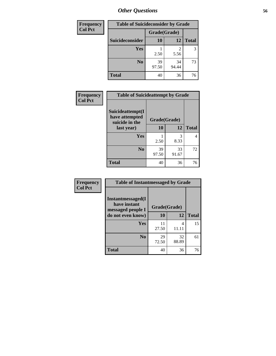| <b>Frequency</b> | <b>Table of Suicideconsider by Grade</b> |              |             |              |
|------------------|------------------------------------------|--------------|-------------|--------------|
| <b>Col Pct</b>   |                                          | Grade(Grade) |             |              |
|                  | Suicideconsider                          | <b>10</b>    | 12          | <b>Total</b> |
|                  | Yes                                      | 2.50         | 5.56        | 3            |
|                  | N <sub>0</sub>                           | 39<br>97.50  | 34<br>94.44 | 73           |
|                  | <b>Total</b>                             | 40           | 36          | 76           |

| Frequency      | <b>Table of Suicideattempt by Grade</b>              |              |             |              |
|----------------|------------------------------------------------------|--------------|-------------|--------------|
| <b>Col Pct</b> | Suicideattempt(I<br>have attempted<br>suicide in the | Grade(Grade) |             |              |
|                | last year)                                           | 10           | 12          | <b>Total</b> |
|                | Yes                                                  | 2.50         | 3<br>8.33   | 4            |
|                | $\bf No$                                             | 39<br>97.50  | 33<br>91.67 | 72           |
|                | <b>Total</b>                                         | 40           | 36          | 76           |

| Frequency      | <b>Table of Instantmessaged by Grade</b>               |              |             |              |
|----------------|--------------------------------------------------------|--------------|-------------|--------------|
| <b>Col Pct</b> | Instantmessaged(I<br>have instant<br>messaged people I | Grade(Grade) |             |              |
|                | do not even know)                                      | 10           | 12          | <b>Total</b> |
|                | Yes                                                    | 11<br>27.50  | 4<br>11.11  | 15           |
|                | N <sub>0</sub>                                         | 29<br>72.50  | 32<br>88.89 | 61           |
|                | <b>Total</b>                                           | 40           | 36          | 76           |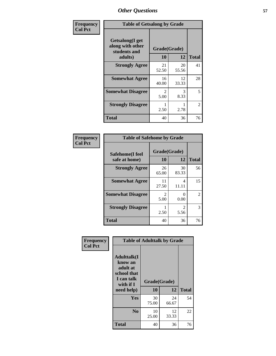| Frequency      | <b>Table of Getsalong by Grade</b>                          |                        |             |              |  |  |  |  |
|----------------|-------------------------------------------------------------|------------------------|-------------|--------------|--|--|--|--|
| <b>Col Pct</b> | <b>Getsalong</b> (I get<br>along with other<br>students and | Grade(Grade)<br>10     | 12          | <b>Total</b> |  |  |  |  |
|                | adults)<br><b>Strongly Agree</b>                            | 21                     | 20          | 41           |  |  |  |  |
|                |                                                             | 52.50                  | 55.56       |              |  |  |  |  |
|                | <b>Somewhat Agree</b>                                       | 16<br>40.00            | 12<br>33.33 | 28           |  |  |  |  |
|                | <b>Somewhat Disagree</b>                                    | $\mathfrak{D}$<br>5.00 | 3<br>8.33   | 5            |  |  |  |  |
|                | <b>Strongly Disagree</b>                                    | 2.50                   | 2.78        | 2            |  |  |  |  |
|                | <b>Total</b>                                                | 40                     | 36          | 76           |  |  |  |  |

| Frequency      | <b>Table of Safehome by Grade</b> |                           |              |                |  |  |  |  |
|----------------|-----------------------------------|---------------------------|--------------|----------------|--|--|--|--|
| <b>Col Pct</b> | Safehome(I feel<br>safe at home)  | Grade(Grade)<br><b>10</b> | <b>Total</b> |                |  |  |  |  |
|                | <b>Strongly Agree</b>             | 26<br>65.00               | 30<br>83.33  | 56             |  |  |  |  |
|                | <b>Somewhat Agree</b>             | 11<br>27.50               | 4<br>11.11   | 15             |  |  |  |  |
|                | <b>Somewhat Disagree</b>          | $\mathfrak{D}$<br>5.00    | 0.00         | $\overline{c}$ |  |  |  |  |
|                | <b>Strongly Disagree</b>          | 2.50                      | 2<br>5.56    | 3              |  |  |  |  |
|                | <b>Total</b>                      | 40                        | 36           | 76             |  |  |  |  |

| Frequency      |                                                                                      | <b>Table of Adulttalk by Grade</b> |             |              |
|----------------|--------------------------------------------------------------------------------------|------------------------------------|-------------|--------------|
| <b>Col Pct</b> | <b>Adulttalk</b> (I<br>know an<br>adult at<br>school that<br>I can talk<br>with if I | Grade(Grade)                       |             |              |
|                | need help)                                                                           | 10                                 | 12          | <b>Total</b> |
|                | <b>Yes</b>                                                                           | 30<br>75.00                        | 24<br>66.67 | 54           |
|                | N <sub>0</sub>                                                                       | 10<br>25.00                        | 12<br>33.33 | 22           |
|                | <b>Total</b>                                                                         | 40                                 | 36          | 76           |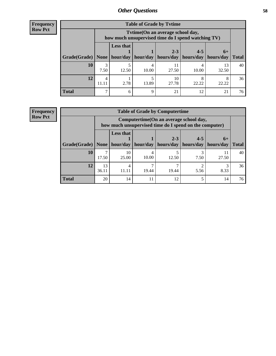**Frequency Row Pct**

r

| <b>Table of Grade by Tvtime</b> |            |                                                                                        |          |             |           |             |              |  |  |  |  |
|---------------------------------|------------|----------------------------------------------------------------------------------------|----------|-------------|-----------|-------------|--------------|--|--|--|--|
|                                 |            | Tvtime(On an average school day,<br>how much unsupervised time do I spend watching TV) |          |             |           |             |              |  |  |  |  |
|                                 |            | <b>Less that</b><br>$2 - 3$<br>$4 - 5$<br>$6+$                                         |          |             |           |             |              |  |  |  |  |
| Grade(Grade)   None             |            | hour/day                                                                               | hour/day | hours/day   | hours/day | hours/day   | <b>Total</b> |  |  |  |  |
| <b>10</b>                       | 7.50       | 12.50                                                                                  | 10.00    | 11<br>27.50 | 10.00     | 13<br>32.50 | 40           |  |  |  |  |
| 12                              | 4<br>11.11 | 2.78                                                                                   | 13.89    | 10<br>27.78 | 22.22     | 22.22       | 36           |  |  |  |  |
| <b>Total</b>                    | ⇁          | 6                                                                                      | Q        | 21          | 12        | 21          | 76           |  |  |  |  |

**Frequency Row Pct**

| <b>Table of Grade by Computertime</b> |             |                                                                                                                               |       |       |           |       |    |  |  |  |  |
|---------------------------------------|-------------|-------------------------------------------------------------------------------------------------------------------------------|-------|-------|-----------|-------|----|--|--|--|--|
|                                       |             | Computertime (On an average school day,<br>how much unsupervised time do I spend on the computer)                             |       |       |           |       |    |  |  |  |  |
| Grade(Grade)                          | None        | <b>Less that</b><br>$2 - 3$<br>$4 - 5$<br>$6+$<br>hour/day<br>hours/day<br>hours/day<br>hour/day<br>hours/day<br><b>Total</b> |       |       |           |       |    |  |  |  |  |
| 10                                    | 17.50       | 10<br>25.00                                                                                                                   | 10.00 | 12.50 | 3<br>7.50 | 27.50 | 40 |  |  |  |  |
| 12                                    | 13<br>36.11 | 4<br>11.11                                                                                                                    | 19.44 | 19.44 | 5.56      | 8.33  | 36 |  |  |  |  |
| <b>Total</b>                          | 20          | 14                                                                                                                            | 11    | 12    |           | 14    | 76 |  |  |  |  |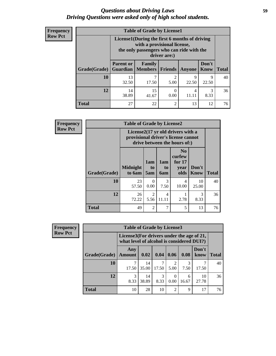## *Questions about Driving Laws* **59** *Driving Questions were asked only of high school students.*

| <b>Frequency</b> |
|------------------|
| <b>Row Pct</b>   |

| <b>Table of Grade by License1</b> |                  |                                                                                                                                           |                |            |               |              |  |  |  |  |  |
|-----------------------------------|------------------|-------------------------------------------------------------------------------------------------------------------------------------------|----------------|------------|---------------|--------------|--|--|--|--|--|
|                                   |                  | License1(During the first 6 months of driving<br>with a provisional license,<br>the only passengers who can ride with the<br>driver are:) |                |            |               |              |  |  |  |  |  |
| <b>Grade</b> (Grade)              | <b>Parent or</b> | Family<br><b>Guardian</b>   Members                                                                                                       | Friends        | Anyone     | Don't<br>Know | <b>Total</b> |  |  |  |  |  |
| 10                                | 13<br>32.50      | 17.50                                                                                                                                     | 2<br>5.00      | 9<br>22.50 | 9<br>22.50    | 40           |  |  |  |  |  |
| 12                                | 14<br>38.89      | 15<br>41.67                                                                                                                               | 0<br>0.00      | 4          | 3<br>8.33     | 36           |  |  |  |  |  |
| <b>Total</b>                      | 27               | 22                                                                                                                                        | $\overline{c}$ | 13         | 12            | 76           |  |  |  |  |  |

| <b>Frequency</b> |                                                                                                          | <b>Table of Grade by License2</b> |                  |                         |                                                      |                      |              |  |  |
|------------------|----------------------------------------------------------------------------------------------------------|-----------------------------------|------------------|-------------------------|------------------------------------------------------|----------------------|--------------|--|--|
| <b>Row Pct</b>   | License2(17 yr old drivers with a<br>provisional driver's license cannot<br>drive between the hours of:) |                                   |                  |                         |                                                      |                      |              |  |  |
|                  | Grade(Grade)                                                                                             | <b>Midnight</b><br>to 6am         | 1am<br>to<br>5am | 1am<br>to<br>6am        | N <sub>0</sub><br>curfew<br>for $17$<br>year<br>olds | Don't<br><b>Know</b> | <b>Total</b> |  |  |
|                  | 10                                                                                                       | 23<br>57.50                       | $\Omega$<br>0.00 | 3<br>7.50               | $\overline{4}$<br>10.00                              | 10<br>25.00          | 40           |  |  |
|                  | 12                                                                                                       | 26<br>72.22                       | 2<br>5.56        | $\overline{4}$<br>11.11 | 2.78                                                 | 3<br>8.33            | 36           |  |  |
|                  | <b>Total</b>                                                                                             | 49                                | $\overline{2}$   | 7                       | 5                                                    | 13                   | 76           |  |  |

| Frequency      |              | <b>Table of Grade by License3</b> |                                                                                        |           |                        |            |               |              |  |
|----------------|--------------|-----------------------------------|----------------------------------------------------------------------------------------|-----------|------------------------|------------|---------------|--------------|--|
| <b>Row Pct</b> |              |                                   | License3(For drivers under the age of 21,<br>what level of alcohol is considered DUI?) |           |                        |            |               |              |  |
|                | Grade(Grade) | Any<br><b>Amount</b>              | 0.02                                                                                   | 0.04      | 0.06                   | 0.08       | Don't<br>know | <b>Total</b> |  |
|                | 10           | 17.50                             | 14<br>35.00                                                                            | 17.50     | $\mathfrak{D}$<br>5.00 | 3<br>7.50  | 17.50         | 40           |  |
|                | 12           | 3<br>8.33                         | 14<br>38.89                                                                            | 3<br>8.33 | 0.00                   | 6<br>16.67 | 10<br>27.78   | 36           |  |
|                | <b>Total</b> | 10                                | 28                                                                                     | 10        | $\overline{2}$         | 9          | 17            | 76           |  |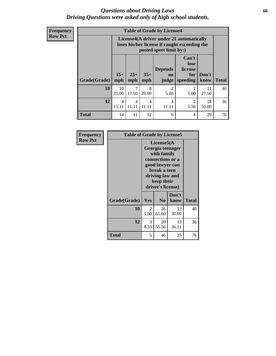## *Questions about Driving Laws* **60** *Driving Questions were asked only of high school students.*

**Frequency Row Pct**

| <b>Table of Grade by License4</b> |                                   |                                                                                                                                                                                                                                                                                |                         |                         |                        |             |    |  |  |  |
|-----------------------------------|-----------------------------------|--------------------------------------------------------------------------------------------------------------------------------------------------------------------------------------------------------------------------------------------------------------------------------|-------------------------|-------------------------|------------------------|-------------|----|--|--|--|
|                                   |                                   | License4(A driver under 21 automatically<br>loses his/her license if caught exceeding the<br>posted speet limit by:)<br>Can't<br>lose<br><b>Depends</b><br>license<br>$15+$<br>$25+$<br>$35+$<br>Don't<br>for<br>on<br><b>Total</b><br>mph<br>mph<br>speeding<br>know<br>judge |                         |                         |                        |             |    |  |  |  |
| Grade(Grade)                      | mph                               |                                                                                                                                                                                                                                                                                |                         |                         |                        |             |    |  |  |  |
| 10                                | 10<br>25.00                       | 7<br>17.50                                                                                                                                                                                                                                                                     | 8<br>20.00              | $\mathfrak{D}$<br>5.00  | $\mathfrak{D}$<br>5.00 | 11<br>27.50 | 40 |  |  |  |
| 12                                | $\overline{\mathcal{A}}$<br>11 11 | 4<br>11.11                                                                                                                                                                                                                                                                     | $\overline{4}$<br>11.11 | $\overline{4}$<br>11.11 | 2<br>5.56              | 18<br>50.00 | 36 |  |  |  |
| <b>Total</b>                      | 14                                | 11                                                                                                                                                                                                                                                                             | 12                      | 6                       | 4                      | 29          | 76 |  |  |  |

| Frequency      | <b>Table of Grade by License5</b> |                                                                                                                                                             |                |               |              |
|----------------|-----------------------------------|-------------------------------------------------------------------------------------------------------------------------------------------------------------|----------------|---------------|--------------|
| <b>Row Pct</b> |                                   | License5(A)<br>Georgia teenager<br>with family<br>connections or a<br>good lawyer can<br>break a teen<br>driving law and<br>keep their<br>driver's license) |                |               |              |
|                | Grade(Grade)                      | Yes                                                                                                                                                         | N <sub>0</sub> | Don't<br>know | <b>Total</b> |
|                | 10                                | 2<br>5.00                                                                                                                                                   | 26<br>65.00    | 12<br>30.00   | 40           |
|                | 12                                | 3<br>8.33                                                                                                                                                   | 20<br>55.56    | 13<br>36.11   | 36           |
|                | Total                             | 5                                                                                                                                                           | 46             | 25            | 76           |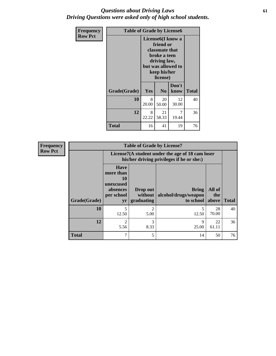## *Questions about Driving Laws* **61** *Driving Questions were asked only of high school students.*

| <b>Frequency</b> | <b>Table of Grade by License6</b> |                                                                                                                                                 |                |                         |              |
|------------------|-----------------------------------|-------------------------------------------------------------------------------------------------------------------------------------------------|----------------|-------------------------|--------------|
| <b>Row Pct</b>   |                                   | License <sub>6</sub> (I know a<br>friend or<br>classmate that<br>broke a teen<br>driving law,<br>but was allowed to<br>keep his/her<br>license) |                |                         |              |
|                  | Grade(Grade)                      | Yes                                                                                                                                             | N <sub>0</sub> | Don't<br>know           | <b>Total</b> |
|                  | 10                                | 8<br>20.00                                                                                                                                      | 20<br>50.00    | 12<br>30.00             | 40           |
|                  | 12                                | 8<br>22.22                                                                                                                                      | 21<br>58.33    | $\overline{7}$<br>19.44 | 36           |
|                  | <b>Total</b>                      | 16                                                                                                                                              | 41             | 19                      | 76           |

| <b>Frequency</b> | <b>Table of Grade by License7</b> |                                                                                               |                                     |                                                   |                        |              |
|------------------|-----------------------------------|-----------------------------------------------------------------------------------------------|-------------------------------------|---------------------------------------------------|------------------------|--------------|
| <b>Row Pct</b>   |                                   | License7(A student under the age of 18 cam loser<br>his/her driving privileges if he or she:) |                                     |                                                   |                        |              |
|                  | Grade(Grade)                      | <b>Have</b><br>more than<br>10<br>unexcused<br>absences<br>per school<br>yr                   | Drop out<br>without  <br>graduating | <b>Bring</b><br>alcohol/drugs/weapon<br>to school | All of<br>the<br>above | <b>Total</b> |
|                  | 10                                | 5<br>12.50                                                                                    | $\mathcal{D}_{\mathcal{L}}$<br>5.00 | 12.50                                             | 28<br>70.00            | 40           |
|                  | 12                                | $\mathfrak{D}$<br>5.56                                                                        | 3<br>8.33                           | q<br>25.00                                        | 22<br>61.11            | 36           |
|                  | <b>Total</b>                      | 7                                                                                             | 5                                   | 14                                                | 50                     | 76           |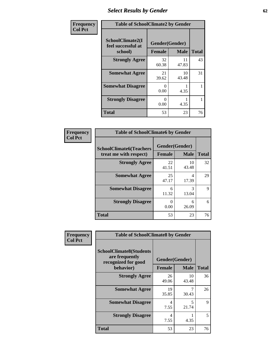# *Select Results by Gender* **62**

| Frequency      | <b>Table of SchoolClimate2 by Gender</b>          |                                 |             |              |  |
|----------------|---------------------------------------------------|---------------------------------|-------------|--------------|--|
| <b>Col Pct</b> | SchoolClimate2(I<br>feel successful at<br>school) | Gender(Gender)<br><b>Female</b> | <b>Male</b> | <b>Total</b> |  |
|                | <b>Strongly Agree</b>                             | 32<br>60.38                     | 11<br>47.83 | 43           |  |
|                | <b>Somewhat Agree</b>                             | 21<br>39.62                     | 10<br>43.48 | 31           |  |
|                | <b>Somewhat Disagree</b>                          | $\mathbf{\Omega}$<br>0.00       | 4.35        |              |  |
|                | <b>Strongly Disagree</b>                          | $\mathbf{0}$<br>0.00            | 4.35        |              |  |
|                | <b>Total</b>                                      | 53                              | 23          | 76           |  |

| <b>Frequency</b> | <b>Table of SchoolClimate6 by Gender</b>                 |                  |                               |              |
|------------------|----------------------------------------------------------|------------------|-------------------------------|--------------|
| <b>Col Pct</b>   | <b>SchoolClimate6(Teachers</b><br>treat me with respect) | <b>Female</b>    | Gender(Gender)<br><b>Male</b> | <b>Total</b> |
|                  | <b>Strongly Agree</b>                                    | 22<br>41.51      | 10<br>43.48                   | 32           |
|                  | <b>Somewhat Agree</b>                                    | 25<br>47.17      | 4<br>17.39                    | 29           |
|                  | <b>Somewhat Disagree</b>                                 | 6<br>11.32       | 3<br>13.04                    | 9            |
|                  | <b>Strongly Disagree</b>                                 | $\Omega$<br>0.00 | 6<br>26.09                    | 6            |
|                  | <b>Total</b>                                             | 53               | 23                            | 76           |

| <b>Frequency</b> | <b>Table of SchoolClimate8 by Gender</b>                                             |               |                                   |              |
|------------------|--------------------------------------------------------------------------------------|---------------|-----------------------------------|--------------|
| <b>Col Pct</b>   | <b>SchoolClimate8(Students</b><br>are frequently<br>recognized for good<br>behavior) | <b>Female</b> | Gender(Gender)<br><b>Male</b>     | <b>Total</b> |
|                  | <b>Strongly Agree</b>                                                                | 26<br>49.06   | 10<br>43.48                       | 36           |
|                  | <b>Somewhat Agree</b>                                                                | 19<br>35.85   | 7<br>30.43                        | 26           |
|                  | <b>Somewhat Disagree</b>                                                             | 4<br>7.55     | $\overline{\mathcal{L}}$<br>21.74 | 9            |
|                  | <b>Strongly Disagree</b>                                                             | 4<br>7.55     | 4.35                              | 5            |
|                  | Total                                                                                | 53            | 23                                | 76           |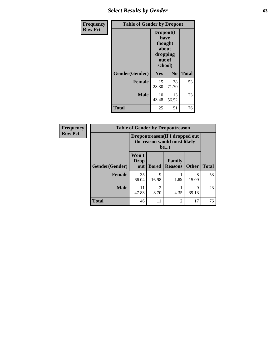# *Select Results by Gender* **63**

| <b>Frequency</b> | <b>Table of Gender by Dropout</b> |                                                                        |                |              |
|------------------|-----------------------------------|------------------------------------------------------------------------|----------------|--------------|
| <b>Row Pct</b>   |                                   | Dropout(I<br>have<br>thought<br>about<br>dropping<br>out of<br>school) |                |              |
|                  | Gender(Gender)                    | Yes                                                                    | N <sub>0</sub> | <b>Total</b> |
|                  | <b>Female</b>                     | 15<br>28.30                                                            | 38<br>71.70    | 53           |
|                  | <b>Male</b>                       | 10<br>43.48                                                            | 13<br>56.52    | 23           |
|                  | <b>Total</b>                      | 25                                                                     | 51             | 76           |

| Frequency      | <b>Table of Gender by Dropoutreason</b> |                                                                        |              |                                 |              |              |
|----------------|-----------------------------------------|------------------------------------------------------------------------|--------------|---------------------------------|--------------|--------------|
| <b>Row Pct</b> |                                         | Dropoutreason (If I dropped out<br>the reason would most likely<br>be) |              |                                 |              |              |
|                | Gender(Gender)                          | Won't<br>Drop<br>out                                                   | <b>Bored</b> | <b>Family</b><br><b>Reasons</b> | <b>Other</b> | <b>Total</b> |
|                | <b>Female</b>                           | 35<br>66.04                                                            | 9<br>16.98   | 1.89                            | 8<br>15.09   | 53           |
|                | <b>Male</b>                             | 11<br>47.83                                                            | ↑<br>8.70    | 4.35                            | 9<br>39.13   | 23           |
|                | <b>Total</b>                            | 46                                                                     | 11           | 2                               | 17           | 76           |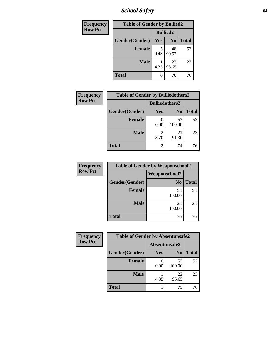*School Safety* **64**

| Frequency      | <b>Table of Gender by Bullied2</b> |                 |                |              |  |
|----------------|------------------------------------|-----------------|----------------|--------------|--|
| <b>Row Pct</b> |                                    | <b>Bullied2</b> |                |              |  |
|                | Gender(Gender)                     | Yes             | N <sub>0</sub> | <b>Total</b> |  |
|                | <b>Female</b>                      | 5<br>9.43       | 48<br>90.57    | 53           |  |
|                | <b>Male</b>                        | 4.35            | 22<br>95.65    | 23           |  |
|                | <b>Total</b>                       | 6               | 70             | 76           |  |

| <b>Frequency</b> | <b>Table of Gender by Bulliedothers2</b> |                       |                |              |
|------------------|------------------------------------------|-----------------------|----------------|--------------|
| <b>Row Pct</b>   |                                          | <b>Bulliedothers2</b> |                |              |
|                  | Gender(Gender)                           | Yes                   | N <sub>0</sub> | <b>Total</b> |
|                  | <b>Female</b>                            | 0.00                  | 53<br>100.00   | 53           |
|                  | <b>Male</b>                              | 8.70                  | 21<br>91.30    | 23           |
|                  | <b>Total</b>                             | 2                     | 74             | 76           |

| Frequency      | <b>Table of Gender by Weaponschool2</b> |                      |              |  |
|----------------|-----------------------------------------|----------------------|--------------|--|
| <b>Row Pct</b> |                                         | <b>Weaponschool2</b> |              |  |
|                | Gender(Gender)                          | N <sub>0</sub>       | <b>Total</b> |  |
|                | <b>Female</b>                           | 53<br>100.00         | 53           |  |
|                | <b>Male</b>                             | 23<br>100.00         | 23           |  |
|                | <b>Total</b>                            | 76                   | 76           |  |

| Frequency      | <b>Table of Gender by Absentunsafe2</b> |               |                |              |
|----------------|-----------------------------------------|---------------|----------------|--------------|
| <b>Row Pct</b> |                                         | Absentunsafe2 |                |              |
|                | Gender(Gender)                          | <b>Yes</b>    | N <sub>0</sub> | <b>Total</b> |
|                | <b>Female</b>                           | 0.00          | 53<br>100.00   | 53           |
|                | <b>Male</b>                             | 4.35          | 22<br>95.65    | 23           |
|                | <b>Total</b>                            |               | 75             | 76           |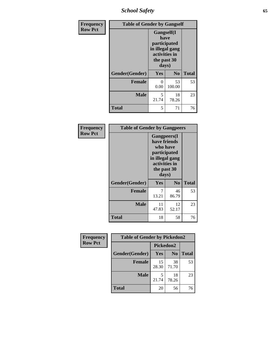*School Safety* **65**

| Frequency      | <b>Table of Gender by Gangself</b> |                                                                                                |                |              |
|----------------|------------------------------------|------------------------------------------------------------------------------------------------|----------------|--------------|
| <b>Row Pct</b> |                                    | Gangself(I<br>have<br>participated<br>in illegal gang<br>activities in<br>the past 30<br>days) |                |              |
|                | Gender(Gender)                     | Yes                                                                                            | N <sub>0</sub> | <b>Total</b> |
|                | <b>Female</b>                      | 0<br>0.00                                                                                      | 53<br>100.00   | 53           |
|                | <b>Male</b>                        | 5<br>21.74                                                                                     | 18<br>78.26    | 23           |
|                | <b>Total</b>                       | 5                                                                                              | 71             | 76           |

| Frequency      | <b>Table of Gender by Gangpeers</b> |                                                                                                                             |                |              |
|----------------|-------------------------------------|-----------------------------------------------------------------------------------------------------------------------------|----------------|--------------|
| <b>Row Pct</b> |                                     | <b>Gangpeers</b> (I<br>have friends<br>who have<br>participated<br>in illegal gang<br>activities in<br>the past 30<br>days) |                |              |
|                | Gender(Gender)                      | Yes                                                                                                                         | N <sub>0</sub> | <b>Total</b> |
|                | <b>Female</b>                       | 7<br>13.21                                                                                                                  | 46<br>86.79    | 53           |
|                | <b>Male</b>                         | 11<br>47.83                                                                                                                 | 12<br>52.17    | 23           |
|                | <b>Total</b>                        | 18                                                                                                                          | 58             | 76           |

| <b>Frequency</b> | <b>Table of Gender by Pickedon2</b> |             |                |              |
|------------------|-------------------------------------|-------------|----------------|--------------|
| <b>Row Pct</b>   |                                     |             | Pickedon2      |              |
|                  | Gender(Gender)                      | Yes         | N <sub>o</sub> | <b>Total</b> |
|                  | <b>Female</b>                       | 15<br>28.30 | 38<br>71.70    | 53           |
|                  | <b>Male</b>                         | 21.74       | 18<br>78.26    | 23           |
|                  | <b>Total</b>                        | 20          | 56             | 76           |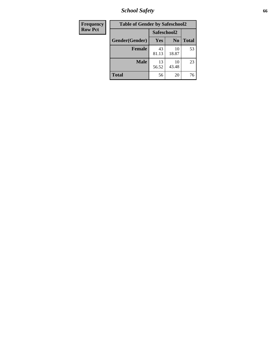*School Safety* **66**

| Frequency      | <b>Table of Gender by Safeschool2</b> |             |                |              |
|----------------|---------------------------------------|-------------|----------------|--------------|
| <b>Row Pct</b> |                                       | Safeschool2 |                |              |
|                | Gender(Gender)                        | <b>Yes</b>  | N <sub>0</sub> | <b>Total</b> |
|                | <b>Female</b>                         | 43<br>81.13 | 10<br>18.87    | 53           |
|                | <b>Male</b>                           | 13<br>56.52 | 10<br>43.48    | 23           |
|                | <b>Total</b>                          | 56          | 20             | 76           |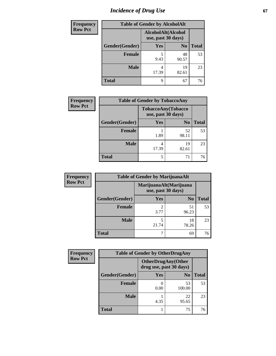# *Incidence of Drug Use* 67

| <b>Frequency</b> | <b>Table of Gender by AlcoholAlt</b> |            |                                          |              |  |
|------------------|--------------------------------------|------------|------------------------------------------|--------------|--|
| <b>Row Pct</b>   |                                      |            | AlcoholAlt(Alcohol<br>use, past 30 days) |              |  |
|                  | Gender(Gender)                       | <b>Yes</b> | N <sub>0</sub>                           | <b>Total</b> |  |
|                  | <b>Female</b>                        | 5<br>9.43  | 48<br>90.57                              | 53           |  |
|                  | <b>Male</b>                          | 4<br>17.39 | 19<br>82.61                              | 23           |  |
|                  | <b>Total</b>                         | Q          | 67                                       | 76           |  |

| Frequency      | <b>Table of Gender by TobaccoAny</b> |                                          |                |              |  |
|----------------|--------------------------------------|------------------------------------------|----------------|--------------|--|
| <b>Row Pct</b> |                                      | TobaccoAny(Tobacco<br>use, past 30 days) |                |              |  |
|                | Gender(Gender)                       | Yes                                      | N <sub>0</sub> | <b>Total</b> |  |
|                | Female                               | 1.89                                     | 52<br>98.11    | 53           |  |
|                | <b>Male</b>                          | 4<br>17.39                               | 19<br>82.61    | 23           |  |
|                | <b>Total</b>                         | 5                                        | 71             | 76           |  |

| <b>Frequency</b> | <b>Table of Gender by MarijuanaAlt</b> |                                              |                |       |
|------------------|----------------------------------------|----------------------------------------------|----------------|-------|
| <b>Row Pct</b>   |                                        | MarijuanaAlt(Marijuana<br>use, past 30 days) |                |       |
|                  | Gender(Gender)                         | Yes                                          | N <sub>0</sub> | Total |
|                  | Female                                 | 2<br>3.77                                    | 51<br>96.23    | 53    |
|                  | <b>Male</b>                            | 5<br>21.74                                   | 18<br>78.26    | 23    |
|                  | <b>Total</b>                           | 7                                            | 69             | 76    |

| <b>Frequency</b> | <b>Table of Gender by OtherDrugAny</b> |                         |                           |              |
|------------------|----------------------------------------|-------------------------|---------------------------|--------------|
| <b>Row Pct</b>   |                                        | drug use, past 30 days) | <b>OtherDrugAny(Other</b> |              |
|                  | Gender(Gender)                         | <b>Yes</b>              | N <sub>0</sub>            | <b>Total</b> |
|                  | <b>Female</b>                          | 0.00                    | 53<br>100.00              | 53           |
|                  | <b>Male</b>                            | 4.35                    | 22<br>95.65               | 23           |
|                  | <b>Total</b>                           |                         | 75                        | 76           |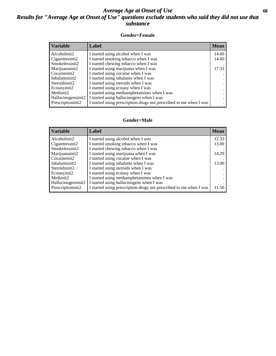## *Average Age at Onset of Use* **68** *Results for "Average Age at Onset of Use" questions exclude students who said they did not use that substance*

### **Gender=Female**

| <b>Variable</b>                 | <b>Label</b>                                                       | <b>Mean</b> |
|---------------------------------|--------------------------------------------------------------------|-------------|
| Alcoholinit2                    | I started using alcohol when I was                                 | 14.60       |
| Cigarettesinit2                 | I started smoking tobacco when I was                               | 14.60       |
| Smokelessinit2                  | I started chewing tobacco when I was                               |             |
| Marijuanainit2                  | I started using marijuana when I was                               | 17.33       |
| Cocaineinit2                    | I started using cocaine when I was                                 |             |
| Inhalantsinit2                  | I started using inhalants when I was                               |             |
| Steroidsinit2                   | I started using steroids when I was                                |             |
| Ecstasyinit2                    | I started using ecstasy when I was                                 |             |
| Methinit2                       | I started using methamphetamines when I was                        |             |
| Hallucinogensinit2              | I started using hallucinogens when I was                           |             |
| Prescription in it <sub>2</sub> | I started using prescription drugs not prescribed to me when I was |             |

### **Gender=Male**

| <b>Variable</b>    | Label                                                              | <b>Mean</b> |
|--------------------|--------------------------------------------------------------------|-------------|
| Alcoholinit2       | I started using alcohol when I was                                 | 12.33       |
| Cigarettesinit2    | I started smoking tobacco when I was                               | 13.00       |
| Smokelessinit2     | I started chewing tobacco when I was                               |             |
| Marijuanainit2     | I started using marijuana when I was                               | 14.29       |
| Cocaineinit2       | I started using cocaine when I was                                 |             |
| Inhalantsinit2     | I started using inhalants when I was                               | 13.00       |
| Steroidsinit2      | I started using steroids when I was                                |             |
| Ecstasyinit2       | I started using ecstasy when I was                                 |             |
| Methinit2          | I started using methamphetamines when I was                        |             |
| Hallucinogensinit2 | I started using hallucinogens when I was                           |             |
| Prescriptioninit2  | I started using prescription drugs not prescribed to me when I was | 11.50       |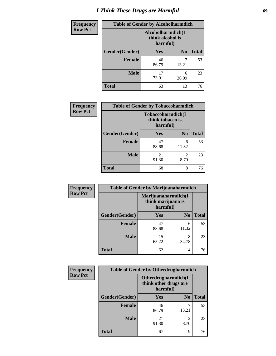# *I Think These Drugs are Harmful* **69**

| <b>Frequency</b> | <b>Table of Gender by Alcoholharmdich</b> |                                                   |                |              |
|------------------|-------------------------------------------|---------------------------------------------------|----------------|--------------|
| <b>Row Pct</b>   |                                           | Alcoholharmdich(I<br>think alcohol is<br>harmful) |                |              |
|                  | Gender(Gender)                            | <b>Yes</b>                                        | N <sub>0</sub> | <b>Total</b> |
|                  | <b>Female</b>                             | 46<br>86.79                                       | 13.21          | 53           |
|                  | <b>Male</b>                               | 17<br>73.91                                       | 6<br>26.09     | 23           |
|                  | <b>Total</b>                              | 63                                                | 13             | 76           |

| Frequency      | <b>Table of Gender by Tobaccoharmdich</b> |                  |                               |              |
|----------------|-------------------------------------------|------------------|-------------------------------|--------------|
| <b>Row Pct</b> |                                           | think tobacco is | Tobaccoharmdich(I<br>harmful) |              |
|                | Gender(Gender)                            | Yes              | N <sub>0</sub>                | <b>Total</b> |
|                | <b>Female</b>                             | 47<br>88.68      | 6<br>11.32                    | 53           |
|                | <b>Male</b>                               | 21<br>91.30      | 2<br>8.70                     | 23           |
|                | <b>Total</b>                              | 68               | 8                             | 76           |

| Frequency      | <b>Table of Gender by Marijuanaharmdich</b> |                                |                     |              |
|----------------|---------------------------------------------|--------------------------------|---------------------|--------------|
| <b>Row Pct</b> |                                             | think marijuana is<br>harmful) | Marijuanaharmdich(I |              |
|                | Gender(Gender)                              | <b>Yes</b>                     | N <sub>0</sub>      | <b>Total</b> |
|                | <b>Female</b>                               | 47<br>88.68                    | 6<br>11.32          | 53           |
|                | <b>Male</b>                                 | 15<br>65.22                    | 8<br>34.78          | 23           |
|                | <b>Total</b>                                | 62                             | 14                  | 76           |

| Frequency      | <b>Table of Gender by Otherdrugharmdich</b> |                                                          |                |              |
|----------------|---------------------------------------------|----------------------------------------------------------|----------------|--------------|
| <b>Row Pct</b> |                                             | Otherdrugharmdich(I<br>think other drugs are<br>harmful) |                |              |
|                | Gender(Gender)                              | <b>Yes</b>                                               | N <sub>0</sub> | <b>Total</b> |
|                | <b>Female</b>                               | 46<br>86.79                                              | ¬<br>13.21     | 53           |
|                | <b>Male</b>                                 | 21<br>91.30                                              | 2<br>8.70      | 23           |
|                | <b>Total</b>                                | 67                                                       | 9              | 76           |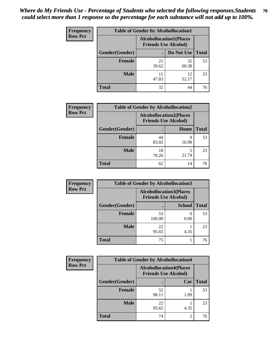| <b>Frequency</b> | <b>Table of Gender by Alcohollocation1</b> |                                                               |             |              |
|------------------|--------------------------------------------|---------------------------------------------------------------|-------------|--------------|
| <b>Row Pct</b>   |                                            | <b>Alcohollocation1(Places</b><br><b>Friends Use Alcohol)</b> |             |              |
|                  | Gender(Gender)                             |                                                               | Do Not Use  | <b>Total</b> |
|                  | <b>Female</b>                              | 21<br>39.62                                                   | 32<br>60.38 | 53           |
|                  | <b>Male</b>                                | 47.83                                                         | 12<br>52.17 | 23           |
|                  | <b>Total</b>                               | 32                                                            | 44          | 76           |

| <b>Frequency</b> | <b>Table of Gender by Alcohollocation2</b> |                                                               |            |              |
|------------------|--------------------------------------------|---------------------------------------------------------------|------------|--------------|
| <b>Row Pct</b>   |                                            | <b>Alcohollocation2(Places</b><br><b>Friends Use Alcohol)</b> |            |              |
|                  | Gender(Gender)                             |                                                               | Home       | <b>Total</b> |
|                  | <b>Female</b>                              | 44<br>83.02                                                   | 9<br>16.98 | 53           |
|                  | <b>Male</b>                                | 18<br>78.26                                                   | 21.74      | 23           |
|                  | <b>Total</b>                               | 62                                                            | 14         | 76           |

| Frequency      | <b>Table of Gender by Alcohollocation3</b> |                                                               |               |              |
|----------------|--------------------------------------------|---------------------------------------------------------------|---------------|--------------|
| <b>Row Pct</b> |                                            | <b>Alcohollocation3(Places</b><br><b>Friends Use Alcohol)</b> |               |              |
|                | Gender(Gender)                             |                                                               | <b>School</b> | <b>Total</b> |
|                | <b>Female</b>                              | 53<br>100.00                                                  | 0.00          | 53           |
|                | <b>Male</b>                                | 22<br>95.65                                                   | 4.35          | 23           |
|                | <b>Total</b>                               | 75                                                            |               | 76           |

| Frequency      | <b>Table of Gender by Alcohollocation4</b> |                                                               |      |              |
|----------------|--------------------------------------------|---------------------------------------------------------------|------|--------------|
| <b>Row Pct</b> |                                            | <b>Alcohollocation4(Places</b><br><b>Friends Use Alcohol)</b> |      |              |
|                | Gender(Gender)                             |                                                               | Car  | <b>Total</b> |
|                | <b>Female</b>                              | 52<br>98.11                                                   | 1.89 | 53           |
|                | <b>Male</b>                                | 22<br>95.65                                                   | 4.35 | 23           |
|                | <b>Total</b>                               | 74                                                            | 2    | 76           |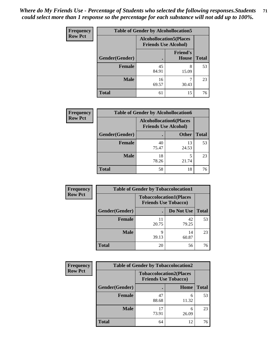| <b>Frequency</b> | <b>Table of Gender by Alcohollocation5</b> |                                                                |                                 |              |
|------------------|--------------------------------------------|----------------------------------------------------------------|---------------------------------|--------------|
| <b>Row Pct</b>   |                                            | <b>Alcohollocation5</b> (Places<br><b>Friends Use Alcohol)</b> |                                 |              |
|                  | Gender(Gender)                             |                                                                | <b>Friend's</b><br><b>House</b> | <b>Total</b> |
|                  | <b>Female</b>                              | 45<br>84.91                                                    | 8<br>15.09                      | 53           |
|                  | <b>Male</b>                                | 16<br>69.57                                                    | 30.43                           | 23           |
|                  | <b>Total</b>                               | 61                                                             | 15                              | 76           |

| <b>Frequency</b> |                | <b>Table of Gender by Alcohollocation6</b>                    |              |              |
|------------------|----------------|---------------------------------------------------------------|--------------|--------------|
| <b>Row Pct</b>   |                | <b>Alcohollocation6(Places</b><br><b>Friends Use Alcohol)</b> |              |              |
|                  | Gender(Gender) |                                                               | <b>Other</b> | <b>Total</b> |
|                  | <b>Female</b>  | 40<br>75.47                                                   | 13<br>24.53  | 53           |
|                  | <b>Male</b>    | 18<br>78.26                                                   | 21.74        | 23           |
|                  | <b>Total</b>   | 58                                                            | 18           | 76           |

| Frequency      | <b>Table of Gender by Tobaccolocation1</b> |                                                               |             |              |  |
|----------------|--------------------------------------------|---------------------------------------------------------------|-------------|--------------|--|
| <b>Row Pct</b> |                                            | <b>Tobaccolocation1(Places</b><br><b>Friends Use Tobacco)</b> |             |              |  |
|                | Gender(Gender)                             |                                                               | Do Not Use  | <b>Total</b> |  |
|                | Female                                     | 11<br>20.75                                                   | 42<br>79.25 | 53           |  |
|                | <b>Male</b>                                | 39.13                                                         | 14<br>60.87 | 23           |  |
|                | <b>Total</b>                               | 20                                                            | 56          | 76           |  |

| <b>Frequency</b> | <b>Table of Gender by Tobaccolocation2</b> |                             |                                |              |
|------------------|--------------------------------------------|-----------------------------|--------------------------------|--------------|
| <b>Row Pct</b>   |                                            | <b>Friends Use Tobacco)</b> | <b>Tobaccolocation2(Places</b> |              |
|                  | Gender(Gender)                             |                             | Home                           | <b>Total</b> |
|                  | Female                                     | 47<br>88.68                 | 6<br>11.32                     | 53           |
|                  | <b>Male</b>                                | 17<br>73.91                 | 6<br>26.09                     | 23           |
|                  | <b>Total</b>                               | 64                          | 12                             | 76           |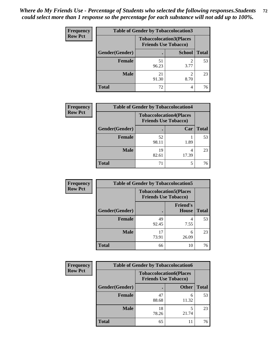| <b>Frequency</b> | <b>Table of Gender by Tobaccolocation3</b> |             |                                                               |              |
|------------------|--------------------------------------------|-------------|---------------------------------------------------------------|--------------|
| <b>Row Pct</b>   |                                            |             | <b>Tobaccolocation3(Places</b><br><b>Friends Use Tobacco)</b> |              |
|                  | Gender(Gender)                             |             | <b>School</b>                                                 | <b>Total</b> |
|                  | <b>Female</b>                              | 51<br>96.23 | 3.77                                                          | 53           |
|                  | <b>Male</b>                                | 21<br>91.30 | 8.70                                                          | 23           |
|                  | <b>Total</b>                               | 72          |                                                               | 76           |

| <b>Frequency</b> | <b>Table of Gender by Tobaccolocation4</b> |                                                               |       |              |
|------------------|--------------------------------------------|---------------------------------------------------------------|-------|--------------|
| <b>Row Pct</b>   |                                            | <b>Tobaccolocation4(Places</b><br><b>Friends Use Tobacco)</b> |       |              |
|                  | Gender(Gender)                             |                                                               | Car   | <b>Total</b> |
|                  | <b>Female</b>                              | 52<br>98.11                                                   | 1.89  | 53           |
|                  | <b>Male</b>                                | 19<br>82.61                                                   | 17.39 | 23           |
|                  | <b>Total</b>                               | 71                                                            | 5     | 76           |

| <b>Frequency</b> | <b>Table of Gender by Tobaccolocation5</b> |                                                               |                                 |              |  |
|------------------|--------------------------------------------|---------------------------------------------------------------|---------------------------------|--------------|--|
| <b>Row Pct</b>   |                                            | <b>Tobaccolocation5(Places</b><br><b>Friends Use Tobacco)</b> |                                 |              |  |
|                  | Gender(Gender)                             |                                                               | <b>Friend's</b><br><b>House</b> | <b>Total</b> |  |
|                  | <b>Female</b>                              | 49<br>92.45                                                   | 4<br>7.55                       | 53           |  |
|                  | <b>Male</b>                                | 17<br>73.91                                                   | 6<br>26.09                      | 23           |  |
|                  | <b>Total</b>                               | 66                                                            | 10                              | 76           |  |

| <b>Frequency</b> | <b>Table of Gender by Tobaccolocation6</b> |                                                               |              |              |  |
|------------------|--------------------------------------------|---------------------------------------------------------------|--------------|--------------|--|
| <b>Row Pct</b>   |                                            | <b>Tobaccolocation6(Places</b><br><b>Friends Use Tobacco)</b> |              |              |  |
|                  | Gender(Gender)                             |                                                               | <b>Other</b> | <b>Total</b> |  |
|                  | Female                                     | 47<br>88.68                                                   | 6<br>11.32   | 53           |  |
|                  | <b>Male</b>                                | 18<br>78.26                                                   | 21.74        | 23           |  |
|                  | <b>Total</b>                               | 65                                                            | 11           | 76           |  |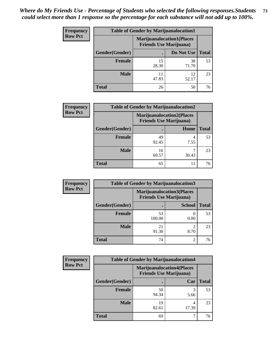| <b>Frequency</b> | <b>Table of Gender by Marijuanalocation1</b> |                                                                    |             |              |
|------------------|----------------------------------------------|--------------------------------------------------------------------|-------------|--------------|
| <b>Row Pct</b>   |                                              | <b>Marijuanalocation1(Places</b><br><b>Friends Use Marijuana</b> ) |             |              |
|                  | Gender(Gender)                               |                                                                    | Do Not Use  | <b>Total</b> |
|                  | <b>Female</b>                                | 15<br>28.30                                                        | 38<br>71.70 | 53           |
|                  | <b>Male</b>                                  | 11<br>47.83                                                        | 12<br>52.17 | 23           |
|                  | <b>Total</b>                                 | 26                                                                 | 50          | 76           |

| <b>Frequency</b> | <b>Table of Gender by Marijuanalocation2</b> |                                                                    |           |       |
|------------------|----------------------------------------------|--------------------------------------------------------------------|-----------|-------|
| <b>Row Pct</b>   |                                              | <b>Marijuanalocation2(Places</b><br><b>Friends Use Marijuana</b> ) |           |       |
|                  | Gender(Gender)                               |                                                                    | Home      | Total |
|                  | <b>Female</b>                                | 49<br>92.45                                                        | 4<br>7.55 | 53    |
|                  | <b>Male</b>                                  | 16<br>69.57                                                        | 30.43     | 23    |
|                  | <b>Total</b>                                 | 65                                                                 | 11        | 76    |

| Frequency      | <b>Table of Gender by Marijuanalocation3</b> |              |                                                                    |              |  |
|----------------|----------------------------------------------|--------------|--------------------------------------------------------------------|--------------|--|
| <b>Row Pct</b> |                                              |              | <b>Marijuanalocation3(Places</b><br><b>Friends Use Marijuana</b> ) |              |  |
|                | Gender(Gender)                               |              | <b>School</b>                                                      | <b>Total</b> |  |
|                | Female                                       | 53<br>100.00 | 0.00                                                               | 53           |  |
|                | <b>Male</b>                                  | 21<br>91.30  | 8.70                                                               | 23           |  |
|                | <b>Total</b>                                 | 74           | $\mathfrak{D}$                                                     | 76           |  |

| <b>Frequency</b> | <b>Table of Gender by Marijuanalocation4</b> |                                |                                  |              |
|------------------|----------------------------------------------|--------------------------------|----------------------------------|--------------|
| <b>Row Pct</b>   |                                              | <b>Friends Use Marijuana</b> ) | <b>Marijuanalocation4(Places</b> |              |
|                  | Gender(Gender)                               |                                | Car                              | <b>Total</b> |
|                  | <b>Female</b>                                | 50<br>94.34                    | 5.66                             | 53           |
|                  | <b>Male</b>                                  | 19<br>82.61                    | 17.39                            | 23           |
|                  | <b>Total</b>                                 | 69                             |                                  | 76           |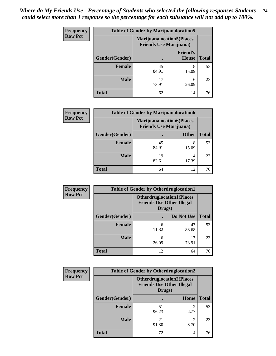| <b>Frequency</b> | <b>Table of Gender by Marijuanalocation5</b> |                                |                                   |              |
|------------------|----------------------------------------------|--------------------------------|-----------------------------------|--------------|
| <b>Row Pct</b>   |                                              | <b>Friends Use Marijuana</b> ) | <b>Marijuanalocation5</b> (Places |              |
|                  | Gender(Gender)                               |                                | <b>Friend's</b><br><b>House</b>   | <b>Total</b> |
|                  | <b>Female</b>                                | 45<br>84.91                    | 8<br>15.09                        | 53           |
|                  | <b>Male</b>                                  | 17<br>73.91                    | 6<br>26.09                        | 23           |
|                  | <b>Total</b>                                 | 62                             | 14                                | 76           |

| <b>Frequency</b> | <b>Table of Gender by Marijuanalocation6</b> |             |                                                                    |              |  |
|------------------|----------------------------------------------|-------------|--------------------------------------------------------------------|--------------|--|
| <b>Row Pct</b>   |                                              |             | <b>Marijuanalocation6(Places</b><br><b>Friends Use Marijuana</b> ) |              |  |
|                  | Gender(Gender)                               |             | <b>Other</b>                                                       | <b>Total</b> |  |
|                  | <b>Female</b>                                | 45<br>84.91 | 8<br>15.09                                                         | 53           |  |
|                  | <b>Male</b>                                  | 19<br>82.61 | 4<br>17.39                                                         | 23           |  |
|                  | <b>Total</b>                                 | 64          | 12                                                                 | 76           |  |

| <b>Frequency</b> | <b>Table of Gender by Otherdruglocation1</b> |                                            |                                  |              |
|------------------|----------------------------------------------|--------------------------------------------|----------------------------------|--------------|
| <b>Row Pct</b>   |                                              | <b>Friends Use Other Illegal</b><br>Drugs) | <b>Otherdruglocation1(Places</b> |              |
|                  | Gender(Gender)                               |                                            | Do Not Use                       | <b>Total</b> |
|                  | Female                                       | 6<br>11.32                                 | 47<br>88.68                      | 53           |
|                  | <b>Male</b>                                  | 6<br>26.09                                 | 17<br>73.91                      | 23           |
|                  | <b>Total</b>                                 | 12                                         | 64                               | 76           |

| <b>Frequency</b> | <b>Table of Gender by Otherdruglocation2</b> |                                                                                |                        |              |
|------------------|----------------------------------------------|--------------------------------------------------------------------------------|------------------------|--------------|
| <b>Row Pct</b>   |                                              | <b>Otherdruglocation2(Places</b><br><b>Friends Use Other Illegal</b><br>Drugs) |                        |              |
|                  | Gender(Gender)                               |                                                                                | Home                   | <b>Total</b> |
|                  | <b>Female</b>                                | 51<br>96.23                                                                    | 2<br>3.77              | 53           |
|                  | <b>Male</b>                                  | 21<br>91.30                                                                    | $\mathfrak{D}$<br>8.70 | 23           |
|                  | <b>Total</b>                                 | 72                                                                             | 4                      | 76           |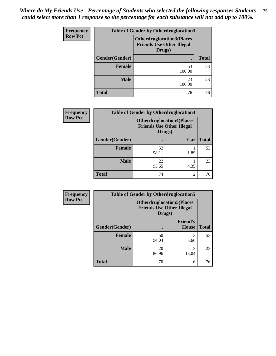| <b>Frequency</b> | <b>Table of Gender by Otherdruglocation3</b> |                                                                                |              |  |
|------------------|----------------------------------------------|--------------------------------------------------------------------------------|--------------|--|
| <b>Row Pct</b>   |                                              | <b>Otherdruglocation3(Places</b><br><b>Friends Use Other Illegal</b><br>Drugs) |              |  |
|                  | Gender(Gender)<br>$\bullet$                  |                                                                                | <b>Total</b> |  |
|                  | Female                                       | 53<br>100.00                                                                   | 53           |  |
|                  | <b>Male</b>                                  | 23<br>100.00                                                                   | 23           |  |
|                  | <b>Total</b>                                 | 76                                                                             | 76           |  |

| Frequency      | <b>Table of Gender by Otherdruglocation4</b> |                                            |                                   |              |
|----------------|----------------------------------------------|--------------------------------------------|-----------------------------------|--------------|
| <b>Row Pct</b> |                                              | <b>Friends Use Other Illegal</b><br>Drugs) | <b>Otherdruglocation4(Places)</b> |              |
|                | Gender(Gender)                               |                                            | Car                               | <b>Total</b> |
|                | <b>Female</b>                                | 52<br>98.11                                | 1.89                              | 53           |
|                | <b>Male</b>                                  | 22<br>95.65                                | 4.35                              | 23           |
|                | Total                                        | 74                                         | $\overline{2}$                    | 76           |

| Frequency      | <b>Table of Gender by Otherdruglocation5</b> |                                                                                |                                 |              |
|----------------|----------------------------------------------|--------------------------------------------------------------------------------|---------------------------------|--------------|
| <b>Row Pct</b> |                                              | <b>Otherdruglocation5(Places</b><br><b>Friends Use Other Illegal</b><br>Drugs) |                                 |              |
|                | Gender(Gender)                               |                                                                                | <b>Friend's</b><br><b>House</b> | <b>Total</b> |
|                | <b>Female</b>                                | 50<br>94.34                                                                    | 3<br>5.66                       | 53           |
|                | <b>Male</b>                                  | 20<br>86.96                                                                    | 13.04                           | 23           |
|                | <b>Total</b>                                 | 70                                                                             | 6                               | 76           |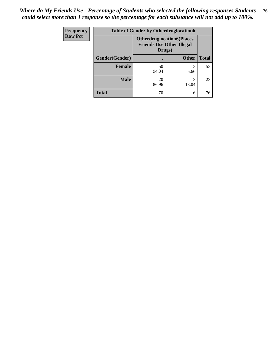| <b>Frequency</b> | <b>Table of Gender by Otherdruglocation6</b> |                                                                                |              |              |
|------------------|----------------------------------------------|--------------------------------------------------------------------------------|--------------|--------------|
| <b>Row Pct</b>   |                                              | <b>Otherdruglocation6(Places</b><br><b>Friends Use Other Illegal</b><br>Drugs) |              |              |
|                  | Gender(Gender)                               |                                                                                | <b>Other</b> | <b>Total</b> |
|                  | Female                                       | 50<br>94.34                                                                    | 5.66         | 53           |
|                  | <b>Male</b>                                  | 20<br>86.96                                                                    | 13.04        | 23           |
|                  | <b>Total</b>                                 | 70                                                                             | 6            | 76           |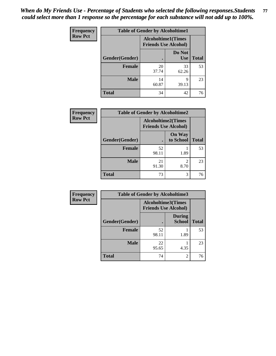| <b>Frequency</b> | <b>Table of Gender by Alcoholtime1</b> |                                                          |                      |              |
|------------------|----------------------------------------|----------------------------------------------------------|----------------------|--------------|
| <b>Row Pct</b>   |                                        | <b>Alcoholtime1(Times</b><br><b>Friends Use Alcohol)</b> |                      |              |
|                  | Gender(Gender)                         | $\bullet$                                                | Do Not<br><b>Use</b> | <b>Total</b> |
|                  | <b>Female</b>                          | 20<br>37.74                                              | 33<br>62.26          | 53           |
|                  | <b>Male</b>                            | 14<br>60.87                                              | 9<br>39.13           | 23           |
|                  | <b>Total</b>                           | 34                                                       | 42                   | 76           |

| <b>Frequency</b> | <b>Table of Gender by Alcoholtime2</b> |                                                          |                            |              |
|------------------|----------------------------------------|----------------------------------------------------------|----------------------------|--------------|
| <b>Row Pct</b>   |                                        | <b>Alcoholtime2(Times</b><br><b>Friends Use Alcohol)</b> |                            |              |
|                  | Gender(Gender)                         |                                                          | <b>On Way</b><br>to School | <b>Total</b> |
|                  | <b>Female</b>                          | 52<br>98.11                                              | 1.89                       | 53           |
|                  | <b>Male</b>                            | 21<br>91.30                                              | $\mathfrak{D}$<br>8.70     | 23           |
|                  | <b>Total</b>                           | 73                                                       | 3                          | 76           |

| <b>Frequency</b> | <b>Table of Gender by Alcoholtime3</b> |                                                          |                                |              |
|------------------|----------------------------------------|----------------------------------------------------------|--------------------------------|--------------|
| <b>Row Pct</b>   |                                        | <b>Alcoholtime3(Times</b><br><b>Friends Use Alcohol)</b> |                                |              |
|                  | Gender(Gender)                         |                                                          | <b>During</b><br><b>School</b> | <b>Total</b> |
|                  | <b>Female</b>                          | 52<br>98.11                                              | 1.89                           | 53           |
|                  | <b>Male</b>                            | 22<br>95.65                                              | 4.35                           | 23           |
|                  | <b>Total</b>                           | 74                                                       | 2                              | 76           |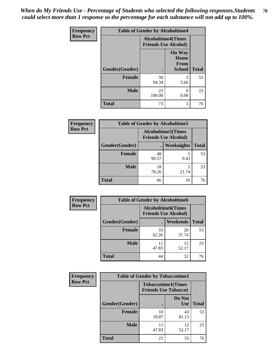*When do My Friends Use - Percentage of Students who selected the following responses.Students could select more than 1 response so the percentage for each substance will not add up to 100%.* **78**

| <b>Frequency</b> | <b>Table of Gender by Alcoholtime4</b> |                                                          |                                                |              |  |
|------------------|----------------------------------------|----------------------------------------------------------|------------------------------------------------|--------------|--|
| <b>Row Pct</b>   |                                        | <b>Alcoholtime4(Times</b><br><b>Friends Use Alcohol)</b> |                                                |              |  |
|                  | Gender(Gender)                         |                                                          | <b>On Way</b><br>Home<br>From<br><b>School</b> | <b>Total</b> |  |
|                  | <b>Female</b>                          | 50<br>94.34                                              | 3<br>5.66                                      | 53           |  |
|                  | <b>Male</b>                            | 23<br>100.00                                             | 0<br>0.00                                      | 23           |  |
|                  | <b>Total</b>                           | 73                                                       | 3                                              | 76           |  |

| <b>Frequency</b> |                | <b>Table of Gender by Alcoholtime5</b>                    |                   |              |
|------------------|----------------|-----------------------------------------------------------|-------------------|--------------|
| <b>Row Pct</b>   |                | <b>Alcoholtime5</b> (Times<br><b>Friends Use Alcohol)</b> |                   |              |
|                  | Gender(Gender) |                                                           | <b>Weeknights</b> | <b>Total</b> |
|                  | <b>Female</b>  | 48<br>90.57                                               | 5<br>9.43         | 53           |
|                  | <b>Male</b>    | 18<br>78.26                                               | 5<br>21.74        | 23           |
|                  | <b>Total</b>   | 66                                                        | 10                | 76           |

| <b>Frequency</b> | <b>Table of Gender by Alcoholtime6</b> |             |                                                          |              |
|------------------|----------------------------------------|-------------|----------------------------------------------------------|--------------|
| <b>Row Pct</b>   |                                        |             | <b>Alcoholtime6(Times</b><br><b>Friends Use Alcohol)</b> |              |
|                  | Gender(Gender)                         |             | Weekends                                                 | <b>Total</b> |
|                  | Female                                 | 33<br>62.26 | 20<br>37.74                                              | 53           |
|                  | <b>Male</b>                            | 11<br>47.83 | 12<br>52.17                                              | 23           |
|                  | <b>Total</b>                           | 44          | 32                                                       | 76           |

| <b>Frequency</b> | <b>Table of Gender by Tobaccotime1</b> |                                                          |                      |              |
|------------------|----------------------------------------|----------------------------------------------------------|----------------------|--------------|
| <b>Row Pct</b>   |                                        | <b>Tobaccotime1(Times</b><br><b>Friends Use Tobacco)</b> |                      |              |
|                  | Gender(Gender)                         |                                                          | Do Not<br><b>Use</b> | <b>Total</b> |
|                  | <b>Female</b>                          | 10<br>18.87                                              | 43<br>81.13          | 53           |
|                  | <b>Male</b>                            | 47.83                                                    | 12<br>52.17          | 23           |
|                  | <b>Total</b>                           | 21                                                       | 55                   | 76           |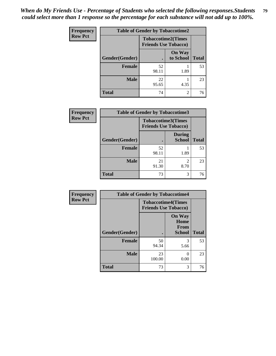*When do My Friends Use - Percentage of Students who selected the following responses.Students could select more than 1 response so the percentage for each substance will not add up to 100%.* **79**

| Frequency      | <b>Table of Gender by Tobaccotime2</b> |                                                          |                            |              |
|----------------|----------------------------------------|----------------------------------------------------------|----------------------------|--------------|
| <b>Row Pct</b> |                                        | <b>Tobaccotime2(Times</b><br><b>Friends Use Tobacco)</b> |                            |              |
|                | Gender(Gender)                         | $\bullet$                                                | <b>On Way</b><br>to School | <b>Total</b> |
|                | Female                                 | 52<br>98.11                                              | 1.89                       | 53           |
|                | <b>Male</b>                            | 22<br>95.65                                              | 4.35                       | 23           |
|                | <b>Total</b>                           | 74                                                       | 2                          | 76           |

| Frequency      | <b>Table of Gender by Tobaccotime3</b> |                                                          |                                |              |
|----------------|----------------------------------------|----------------------------------------------------------|--------------------------------|--------------|
| <b>Row Pct</b> |                                        | <b>Tobaccotime3(Times</b><br><b>Friends Use Tobacco)</b> |                                |              |
|                | Gender(Gender)                         |                                                          | <b>During</b><br><b>School</b> | <b>Total</b> |
|                | Female                                 | 52<br>98.11                                              | 1.89                           | 53           |
|                | <b>Male</b>                            | 21<br>91.30                                              | $\mathfrak{D}$<br>8.70         | 23           |
|                | <b>Total</b>                           | 73                                                       | 3                              | 76           |

| <b>Frequency</b> | <b>Table of Gender by Tobaccotime4</b> |                                                          |                                                |              |
|------------------|----------------------------------------|----------------------------------------------------------|------------------------------------------------|--------------|
| <b>Row Pct</b>   |                                        | <b>Tobaccotime4(Times</b><br><b>Friends Use Tobacco)</b> |                                                |              |
|                  | Gender(Gender)                         |                                                          | <b>On Way</b><br>Home<br>From<br><b>School</b> | <b>Total</b> |
|                  | Female                                 | 50<br>94.34                                              | 3<br>5.66                                      | 53           |
|                  | <b>Male</b>                            | 23<br>100.00                                             | 0<br>0.00                                      | 23           |
|                  | <b>Total</b>                           | 73                                                       | 3                                              | 76           |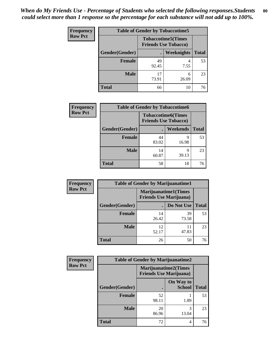| <b>Frequency</b> |                | <b>Table of Gender by Tobaccotime5</b> |                                                           |              |
|------------------|----------------|----------------------------------------|-----------------------------------------------------------|--------------|
| <b>Row Pct</b>   |                |                                        | <b>Tobaccotime5</b> (Times<br><b>Friends Use Tobacco)</b> |              |
|                  | Gender(Gender) |                                        | Weeknights                                                | <b>Total</b> |
|                  | Female         | 49<br>92.45                            | 4<br>7.55                                                 | 53           |
|                  | <b>Male</b>    | 17<br>73.91                            | 6<br>26.09                                                | 23           |
|                  | Total          | 66                                     | 10                                                        | 76           |

| <b>Frequency</b> |                | <b>Table of Gender by Tobaccotime6</b>                   |                 |              |
|------------------|----------------|----------------------------------------------------------|-----------------|--------------|
| <b>Row Pct</b>   |                | <b>Tobaccotime6(Times</b><br><b>Friends Use Tobacco)</b> |                 |              |
|                  | Gender(Gender) |                                                          | <b>Weekends</b> | <b>Total</b> |
|                  | Female         | 44<br>83.02                                              | 9<br>16.98      | 53           |
|                  | <b>Male</b>    | 14<br>60.87                                              | 9<br>39.13      | 23           |
|                  | <b>Total</b>   | 58                                                       | 18              | 76           |

| <b>Frequency</b> | <b>Table of Gender by Marijuanatime1</b> |                                |                             |              |
|------------------|------------------------------------------|--------------------------------|-----------------------------|--------------|
| <b>Row Pct</b>   |                                          | <b>Friends Use Marijuana</b> ) | <b>Marijuanatime1(Times</b> |              |
|                  | Gender(Gender)                           |                                | Do Not Use                  | <b>Total</b> |
|                  | <b>Female</b>                            | 14<br>26.42                    | 39<br>73.58                 | 53           |
|                  | <b>Male</b>                              | 12<br>52.17                    | 11<br>47.83                 | 23           |
|                  | <b>Total</b>                             | 26                             | 50                          | 76           |

| <b>Frequency</b> | <b>Table of Gender by Marijuanatime2</b> |                                                               |                            |              |
|------------------|------------------------------------------|---------------------------------------------------------------|----------------------------|--------------|
| <b>Row Pct</b>   |                                          | <b>Marijuanatime2(Times</b><br><b>Friends Use Marijuana</b> ) |                            |              |
|                  | Gender(Gender)                           |                                                               | On Way to<br><b>School</b> | <b>Total</b> |
|                  | Female                                   | 52<br>98.11                                                   | 1.89                       | 53           |
|                  | <b>Male</b>                              | 20<br>86.96                                                   | 3<br>13.04                 | 23           |
|                  | <b>Total</b>                             | 72                                                            | 4                          | 76           |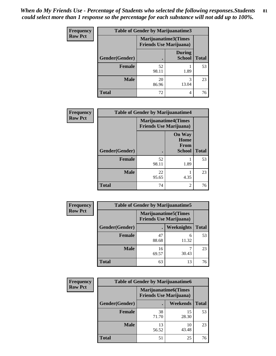*When do My Friends Use - Percentage of Students who selected the following responses.Students could select more than 1 response so the percentage for each substance will not add up to 100%.* **81**

| <b>Frequency</b> | <b>Table of Gender by Marijuanatime3</b> |                                                        |                                |              |
|------------------|------------------------------------------|--------------------------------------------------------|--------------------------------|--------------|
| <b>Row Pct</b>   |                                          | Marijuanatime3(Times<br><b>Friends Use Marijuana</b> ) |                                |              |
|                  | Gender(Gender)                           |                                                        | <b>During</b><br><b>School</b> | <b>Total</b> |
|                  | Female                                   | 52<br>98.11                                            | 1.89                           | 53           |
|                  | <b>Male</b>                              | 20<br>86.96                                            | 3<br>13.04                     | 23           |
|                  | <b>Total</b>                             | 72                                                     | 4                              | 76           |

| Frequency      | <b>Table of Gender by Marijuanatime4</b> |                                                               |                                                |              |
|----------------|------------------------------------------|---------------------------------------------------------------|------------------------------------------------|--------------|
| <b>Row Pct</b> |                                          | <b>Marijuanatime4(Times</b><br><b>Friends Use Marijuana</b> ) |                                                |              |
|                | Gender(Gender)                           |                                                               | <b>On Way</b><br>Home<br>From<br><b>School</b> | <b>Total</b> |
|                | <b>Female</b>                            | 52<br>98.11                                                   | 1.89                                           | 53           |
|                | <b>Male</b>                              | 22<br>95.65                                                   | 4.35                                           | 23           |
|                | <b>Total</b>                             | 74                                                            | $\overline{2}$                                 | 76           |

| Frequency      | <b>Table of Gender by Marijuanatime5</b> |                |                                                                |              |
|----------------|------------------------------------------|----------------|----------------------------------------------------------------|--------------|
| <b>Row Pct</b> |                                          |                | <b>Marijuanatime5</b> (Times<br><b>Friends Use Marijuana</b> ) |              |
|                | Gender(Gender)                           | $\blacksquare$ | Weeknights                                                     | <b>Total</b> |
|                | <b>Female</b>                            | 47<br>88.68    | 6<br>11.32                                                     | 53           |
|                | <b>Male</b>                              | 16<br>69.57    | 30.43                                                          | 23           |
|                | <b>Total</b>                             | 63             | 13                                                             | 76           |

| <b>Frequency</b> | <b>Table of Gender by Marijuanatime6</b> |                                                               |             |              |
|------------------|------------------------------------------|---------------------------------------------------------------|-------------|--------------|
| <b>Row Pct</b>   |                                          | <b>Marijuanatime6(Times</b><br><b>Friends Use Marijuana</b> ) |             |              |
|                  | Gender(Gender)                           |                                                               | Weekends    | <b>Total</b> |
|                  | <b>Female</b>                            | 38<br>71.70                                                   | 15<br>28.30 | 53           |
|                  | <b>Male</b>                              | 13<br>56.52                                                   | 10<br>43.48 | 23           |
|                  | <b>Total</b>                             | 51                                                            | 25          | 76           |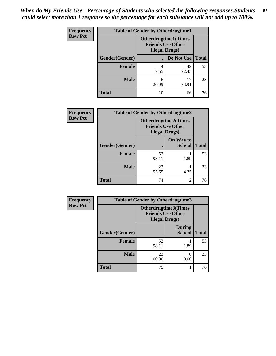| <b>Frequency</b> | <b>Table of Gender by Otherdrugtime1</b> |                                                                                    |                    |    |
|------------------|------------------------------------------|------------------------------------------------------------------------------------|--------------------|----|
| <b>Row Pct</b>   |                                          | <b>Otherdrugtime1</b> (Times<br><b>Friends Use Other</b><br><b>Illegal Drugs</b> ) |                    |    |
|                  | Gender(Gender)                           |                                                                                    | Do Not Use   Total |    |
|                  | <b>Female</b>                            | 4                                                                                  | 49                 | 53 |
|                  |                                          | 7.55                                                                               | 92.45              |    |
|                  | Male                                     | 6                                                                                  | 17                 | 23 |
|                  |                                          | 26.09                                                                              | 73.91              |    |
|                  | <b>Total</b>                             | 10                                                                                 | 66                 | 76 |

| Frequency      | <b>Table of Gender by Otherdrugtime2</b> |                                                                                  |                            |              |
|----------------|------------------------------------------|----------------------------------------------------------------------------------|----------------------------|--------------|
| <b>Row Pct</b> |                                          | <b>Otherdrugtime2(Times</b><br><b>Friends Use Other</b><br><b>Illegal Drugs)</b> |                            |              |
|                | Gender(Gender)                           |                                                                                  | On Way to<br><b>School</b> | <b>Total</b> |
|                | <b>Female</b>                            | 52<br>98.11                                                                      | 1.89                       | 53           |
|                | <b>Male</b>                              | 22<br>95.65                                                                      | 4.35                       | 23           |
|                | <b>Total</b>                             | 74                                                                               | 2                          | 76           |

| <b>Frequency</b> | Table of Gender by Otherdrugtime3 |                                                                            |                                |              |
|------------------|-----------------------------------|----------------------------------------------------------------------------|--------------------------------|--------------|
| <b>Row Pct</b>   |                                   | Otherdrugtime3(Times<br><b>Friends Use Other</b><br><b>Illegal Drugs</b> ) |                                |              |
|                  | Gender(Gender)                    | $\bullet$                                                                  | <b>During</b><br><b>School</b> | <b>Total</b> |
|                  | <b>Female</b>                     | 52<br>98.11                                                                | 1.89                           | 53           |
|                  | <b>Male</b>                       | 23<br>100.00                                                               | 0<br>0.00                      | 23           |
|                  | <b>Total</b>                      | 75                                                                         |                                | 76           |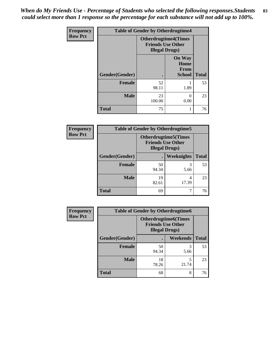*When do My Friends Use - Percentage of Students who selected the following responses.Students could select more than 1 response so the percentage for each substance will not add up to 100%.* **83**

| Frequency      | <b>Table of Gender by Otherdrugtime4</b> |                                                    |                                                |              |
|----------------|------------------------------------------|----------------------------------------------------|------------------------------------------------|--------------|
| <b>Row Pct</b> |                                          | <b>Friends Use Other</b><br><b>Illegal Drugs</b> ) | <b>Otherdrugtime4(Times</b>                    |              |
|                | Gender(Gender)                           |                                                    | <b>On Way</b><br>Home<br>From<br><b>School</b> | <b>Total</b> |
|                | <b>Female</b>                            | 52<br>98.11                                        | 1.89                                           | 53           |
|                | <b>Male</b>                              | 23<br>100.00                                       | 0<br>0.00                                      | 23           |
|                | <b>Total</b>                             | 75                                                 |                                                | 76           |

| Frequency      | <b>Table of Gender by Otherdrugtime5</b> |                                                                                    |                   |              |
|----------------|------------------------------------------|------------------------------------------------------------------------------------|-------------------|--------------|
| <b>Row Pct</b> |                                          | <b>Otherdrugtime5</b> (Times<br><b>Friends Use Other</b><br><b>Illegal Drugs</b> ) |                   |              |
|                | Gender(Gender)                           |                                                                                    | <b>Weeknights</b> | <b>Total</b> |
|                | <b>Female</b>                            | 50<br>94.34                                                                        | 5.66              | 53           |
|                | <b>Male</b>                              | 19<br>82.61                                                                        | 4<br>17.39        | 23           |
|                | <b>Total</b>                             | 69                                                                                 |                   | 76           |

| <b>Frequency</b> | <b>Table of Gender by Otherdrugtime6</b> |                                                                                   |            |              |
|------------------|------------------------------------------|-----------------------------------------------------------------------------------|------------|--------------|
| <b>Row Pct</b>   |                                          | <b>Otherdrugtime6(Times</b><br><b>Friends Use Other</b><br><b>Illegal Drugs</b> ) |            |              |
|                  | Gender(Gender)                           |                                                                                   | Weekends   | <b>Total</b> |
|                  | <b>Female</b>                            | 50<br>94.34                                                                       | 3<br>5.66  | 53           |
|                  | Male                                     | 18<br>78.26                                                                       | 5<br>21.74 | 23           |
|                  | <b>Total</b>                             | 68                                                                                | 8          | 76           |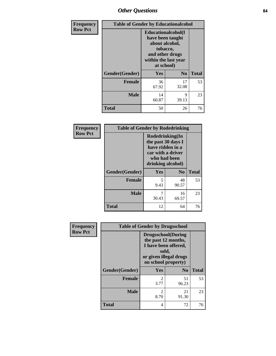## *Other Questions* **84**

| <b>Frequency</b> | <b>Table of Gender by Educationalcohol</b> |                                                                                                                                       |                |              |
|------------------|--------------------------------------------|---------------------------------------------------------------------------------------------------------------------------------------|----------------|--------------|
| <b>Row Pct</b>   |                                            | <b>Educationalcohol</b> (I<br>have been taught<br>about alcohol,<br>tobacco,<br>and other drugs<br>within the last year<br>at school) |                |              |
|                  | Gender(Gender)                             | <b>Yes</b>                                                                                                                            | N <sub>0</sub> | <b>Total</b> |
|                  | <b>Female</b>                              | 36<br>67.92                                                                                                                           | 17<br>32.08    | 53           |
|                  | <b>Male</b>                                | 14<br>60.87                                                                                                                           | 9<br>39.13     | 23           |
|                  | <b>Total</b>                               | 50                                                                                                                                    | 26             | 76           |

| Frequency      | <b>Table of Gender by Rodedrinking</b> |                                                                                                                     |             |              |  |
|----------------|----------------------------------------|---------------------------------------------------------------------------------------------------------------------|-------------|--------------|--|
| <b>Row Pct</b> |                                        | Rodedrinking(In<br>the past 30 days I<br>have ridden in a<br>car with a driver<br>who had been<br>drinking alcohol) |             |              |  |
|                | Gender(Gender)                         | Yes                                                                                                                 | $\bf N_0$   | <b>Total</b> |  |
|                | <b>Female</b>                          | 5<br>9.43                                                                                                           | 48<br>90.57 | 53           |  |
|                | <b>Male</b>                            | 30.43                                                                                                               | 16<br>69.57 | 23           |  |
|                | <b>Total</b>                           | 12                                                                                                                  | 64          | 76           |  |

| Frequency      | <b>Table of Gender by Drugsschool</b> |                                                                                                                                     |                |              |  |
|----------------|---------------------------------------|-------------------------------------------------------------------------------------------------------------------------------------|----------------|--------------|--|
| <b>Row Pct</b> |                                       | <b>Drugsschool</b> (During<br>the past 12 months,<br>I have been offered,<br>sold,<br>or given illegal drugs<br>on school property) |                |              |  |
|                | Gender(Gender)                        | Yes                                                                                                                                 | N <sub>0</sub> | <b>Total</b> |  |
|                | <b>Female</b>                         | $\mathfrak{D}$<br>3.77                                                                                                              | 51<br>96.23    | 53           |  |
|                | <b>Male</b>                           | $\overline{c}$<br>8.70                                                                                                              | 21<br>91.30    | 23           |  |
|                | <b>Total</b>                          | 4                                                                                                                                   | 72             | 76           |  |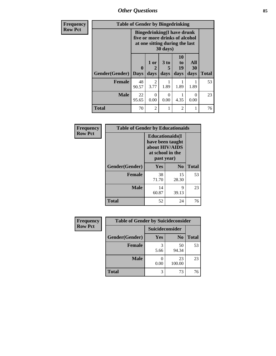*Other Questions* **85**

| Frequency      | <b>Table of Gender by Bingedrinking</b> |                                                                                                                            |                |                   |                        |                   |              |
|----------------|-----------------------------------------|----------------------------------------------------------------------------------------------------------------------------|----------------|-------------------|------------------------|-------------------|--------------|
| <b>Row Pct</b> |                                         | <b>Bingedrinking(I have drunk</b><br>five or more drinks of alcohol<br>at one sitting during the last<br>$30 \text{ days}$ |                |                   |                        |                   |              |
|                | Gender(Gender)                          | $\mathbf{0}$<br><b>Days</b>                                                                                                | 1 or<br>days   | 3 to<br>5<br>days | 10<br>to<br>19<br>days | All<br>30<br>days | <b>Total</b> |
|                | <b>Female</b>                           | 48<br>90.57                                                                                                                | 2<br>3.77      | 1.89              | 1.89                   | 1.89              | 53           |
|                | <b>Male</b>                             | 22<br>95.65                                                                                                                | 0<br>0.00      | $\Omega$<br>0.00  | 4.35                   | ∩<br>0.00         | 23           |
|                | <b>Total</b>                            | 70                                                                                                                         | $\overline{c}$ |                   | $\overline{2}$         |                   | 76           |

| Frequency      | <b>Table of Gender by Educationaids</b> |                                                                                                 |                |              |  |
|----------------|-----------------------------------------|-------------------------------------------------------------------------------------------------|----------------|--------------|--|
| <b>Row Pct</b> |                                         | <b>Educationaids</b> (I<br>have been taught<br>about HIV/AIDS<br>at school in the<br>past year) |                |              |  |
|                | Gender(Gender)                          | Yes                                                                                             | N <sub>0</sub> | <b>Total</b> |  |
|                | <b>Female</b>                           | 38<br>71.70                                                                                     | 15<br>28.30    | 53           |  |
|                | <b>Male</b>                             | 14<br>60.87                                                                                     | 9<br>39.13     | 23           |  |
|                | <b>Total</b>                            | 52                                                                                              | 24             | 76           |  |

| Frequency      | <b>Table of Gender by Suicideconsider</b> |                 |                |              |
|----------------|-------------------------------------------|-----------------|----------------|--------------|
| <b>Row Pct</b> |                                           | Suicideconsider |                |              |
|                | Gender(Gender)                            | Yes             | N <sub>0</sub> | <b>Total</b> |
|                | <b>Female</b>                             | 5.66            | 50<br>94.34    | 53           |
|                | <b>Male</b>                               | 0.00            | 23<br>100.00   | 23           |
|                | <b>Total</b>                              | 3               | 73             | 76           |